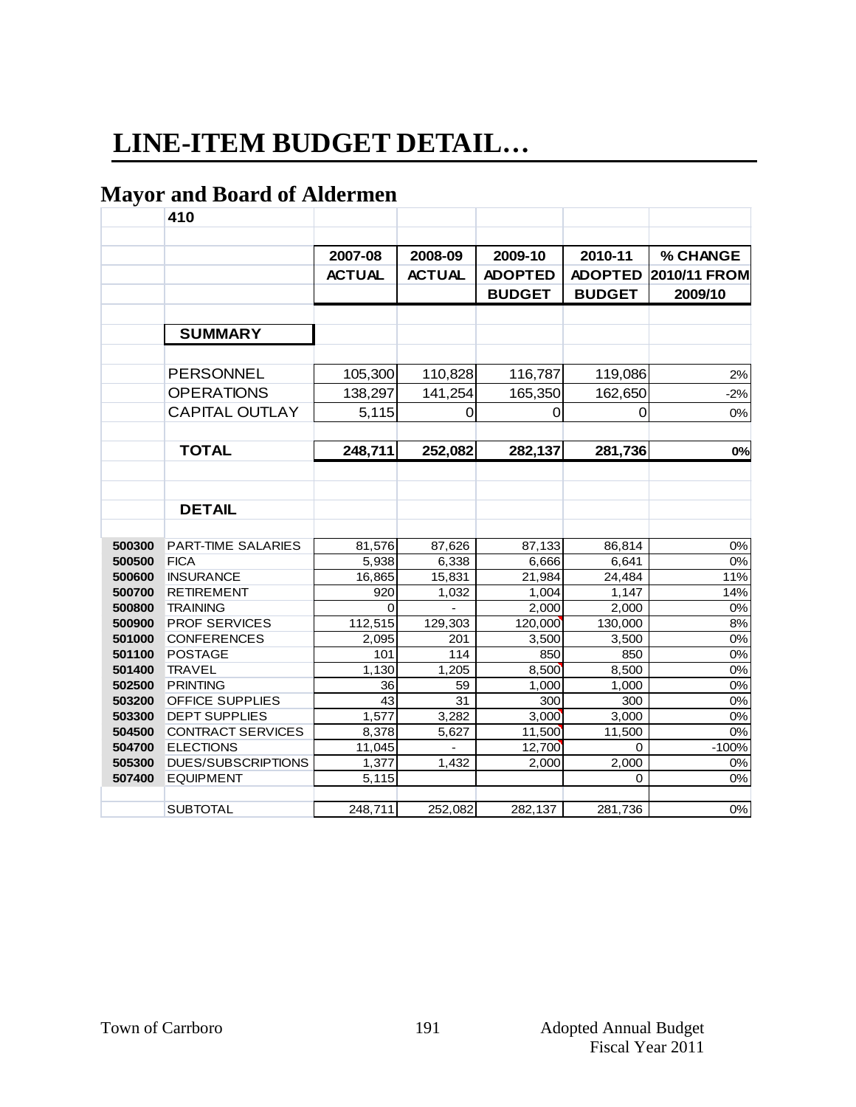# **LINE-ITEM BUDGET DETAIL…**

# **Mayor and Board of Aldermen**

| ີ      | 410                       |               |               |                |                |                  |
|--------|---------------------------|---------------|---------------|----------------|----------------|------------------|
|        |                           |               |               |                |                |                  |
|        |                           | 2007-08       | 2008-09       | 2009-10        | 2010-11        | % CHANGE         |
|        |                           | <b>ACTUAL</b> | <b>ACTUAL</b> | <b>ADOPTED</b> | <b>ADOPTED</b> | 2010/11 FROM     |
|        |                           |               |               | <b>BUDGET</b>  | <b>BUDGET</b>  | 2009/10          |
|        |                           |               |               |                |                |                  |
|        |                           |               |               |                |                |                  |
|        | <b>SUMMARY</b>            |               |               |                |                |                  |
|        |                           |               |               |                |                |                  |
|        | <b>PERSONNEL</b>          | 105,300       | 110,828       | 116,787        | 119,086        | 2%               |
|        | <b>OPERATIONS</b>         | 138,297       | 141,254       | 165,350        | 162,650        | $-2%$            |
|        | <b>CAPITAL OUTLAY</b>     | 5,115         | 0             | 0              | 0              | 0%               |
|        |                           |               |               |                |                |                  |
|        | <b>TOTAL</b>              |               |               |                |                |                  |
|        |                           | 248,711       | 252,082       | 282,137        | 281,736        | 0%               |
|        |                           |               |               |                |                |                  |
|        |                           |               |               |                |                |                  |
|        | <b>DETAIL</b>             |               |               |                |                |                  |
|        |                           |               |               |                |                |                  |
| 500300 | PART-TIME SALARIES        | 81,576        | 87,626        | 87,133         | 86,814         | 0%               |
| 500500 | <b>FICA</b>               | 5,938         | 6,338         | 6,666          | 6,641          | $0\%$            |
| 500600 | <b>INSURANCE</b>          | 16,865        | 15,831        | 21,984         | 24,484         | 11%              |
| 500700 | <b>RETIREMENT</b>         | 920           | 1,032         | 1,004          | 1,147          | 14%              |
| 500800 | <b>TRAINING</b>           | 0             |               | 2,000          | 2,000          | 0%               |
| 500900 | PROF SERVICES             | 112,515       | 129,303       | 120,000        | 130,000        | $8%$             |
| 501000 | <b>CONFERENCES</b>        | 2,095         | 201           | 3,500          | 3,500          | 0%               |
| 501100 | <b>POSTAGE</b>            | 101           | 114           | 850            | 850            | 0%               |
| 501400 | <b>TRAVEL</b>             | 1,130         | 1,205         | 8,500          | 8,500          | 0%               |
| 502500 | <b>PRINTING</b>           | 36            | 59            | 1,000          | 1,000          | 0%               |
| 503200 | <b>OFFICE SUPPLIES</b>    | 43            | 31            | 300            | 300            | 0%               |
| 503300 | <b>DEPT SUPPLIES</b>      | 1,577         | 3,282         | 3,000          | 3,000          | 0%               |
| 504500 | <b>CONTRACT SERVICES</b>  | 8,378         | 5,627         | 11,500         | 11,500         | 0%               |
| 504700 | <b>ELECTIONS</b>          | 11,045        |               | 12,700         | 0              | $-100%$          |
| 505300 | <b>DUES/SUBSCRIPTIONS</b> | 1,377         | 1,432         | 2,000          | 2,000          | 0%               |
| 507400 | <b>EQUIPMENT</b>          | 5,115         |               |                | 0              | $\overline{0\%}$ |
|        |                           |               |               |                |                |                  |
|        | <b>SUBTOTAL</b>           | 248,711       | 252,082       | 282,137        | 281,736        | 0%               |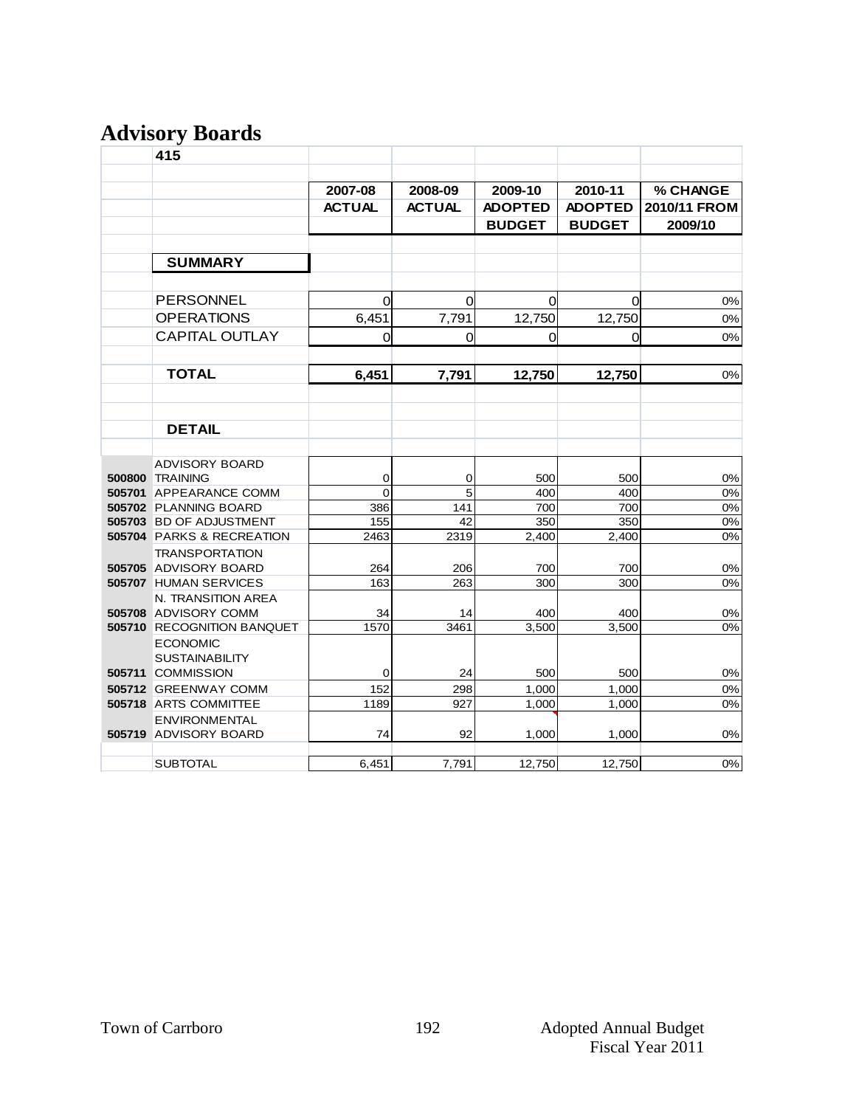# **Advisory Boards**

| 415                                            |               |               |                |                |              |
|------------------------------------------------|---------------|---------------|----------------|----------------|--------------|
|                                                | 2007-08       | 2008-09       | 2009-10        | 2010-11        | % CHANGE     |
|                                                | <b>ACTUAL</b> | <b>ACTUAL</b> | <b>ADOPTED</b> | <b>ADOPTED</b> | 2010/11 FROM |
|                                                |               |               | <b>BUDGET</b>  | <b>BUDGET</b>  | 2009/10      |
|                                                |               |               |                |                |              |
| <b>SUMMARY</b>                                 |               |               |                |                |              |
|                                                |               |               |                |                |              |
| <b>PERSONNEL</b>                               | 0             | 0             | 0              | 0              | 0%           |
| <b>OPERATIONS</b>                              | 6,451         | 7,791         | 12,750         | 12,750         | 0%           |
| <b>CAPITAL OUTLAY</b>                          | 0             | $\Omega$      | $\Omega$       | 0              | 0%           |
|                                                |               |               |                |                |              |
| <b>TOTAL</b>                                   | 6,451         | 7,791         | 12,750         | 12,750         | 0%           |
|                                                |               |               |                |                |              |
|                                                |               |               |                |                |              |
| <b>DETAIL</b>                                  |               |               |                |                |              |
|                                                |               |               |                |                |              |
| <b>ADVISORY BOARD</b>                          |               |               |                |                |              |
| <b>500800 TRAINING</b>                         | 0             | 0             | 500            | 500            | $0\%$        |
| 505701 APPEARANCE COMM                         | 0             | 5             | 400            | 400            | 0%           |
| 505702 PLANNING BOARD                          | 386           | 141           | 700            | 700            | 0%           |
| 505703 BD OF ADJUSTMENT                        | 155           | 42            | 350            | 350            | 0%<br>0%     |
| 505704 PARKS & RECREATION                      | 2463          | 2319          | 2,400          | 2,400          |              |
| <b>TRANSPORTATION</b>                          |               |               |                |                |              |
| 505705 ADVISORY BOARD<br>505707 HUMAN SERVICES | 264<br>163    | 206<br>263    | 700<br>300     | 700<br>300     | 0%<br>0%     |
| N. TRANSITION AREA                             |               |               |                |                |              |
| 505708 ADVISORY COMM                           | 34            | 14            | 400            | 400            | 0%           |
| 505710 RECOGNITION BANQUET                     | 1570          | 3461          | 3,500          | 3,500          | 0%           |
| <b>ECONOMIC</b>                                |               |               |                |                |              |
| <b>SUSTAINABILITY</b>                          |               |               |                |                |              |
| 505711 COMMISSION                              | 0             | 24            | 500            | 500            | 0%           |
| 505712 GREENWAY COMM                           | 152           | 298           | 1,000          | 1,000          | 0%           |
| 505718 ARTS COMMITTEE                          | 1189          | 927           | 1,000          | 1,000          | 0%           |
| <b>ENVIRONMENTAL</b>                           |               |               |                |                |              |
| 505719 ADVISORY BOARD                          | 74            | 92            | 1,000          | 1,000          | 0%           |
|                                                |               |               |                |                |              |
| <b>SUBTOTAL</b>                                | 6,451         | 7,791         | 12,750         | 12,750         | 0%           |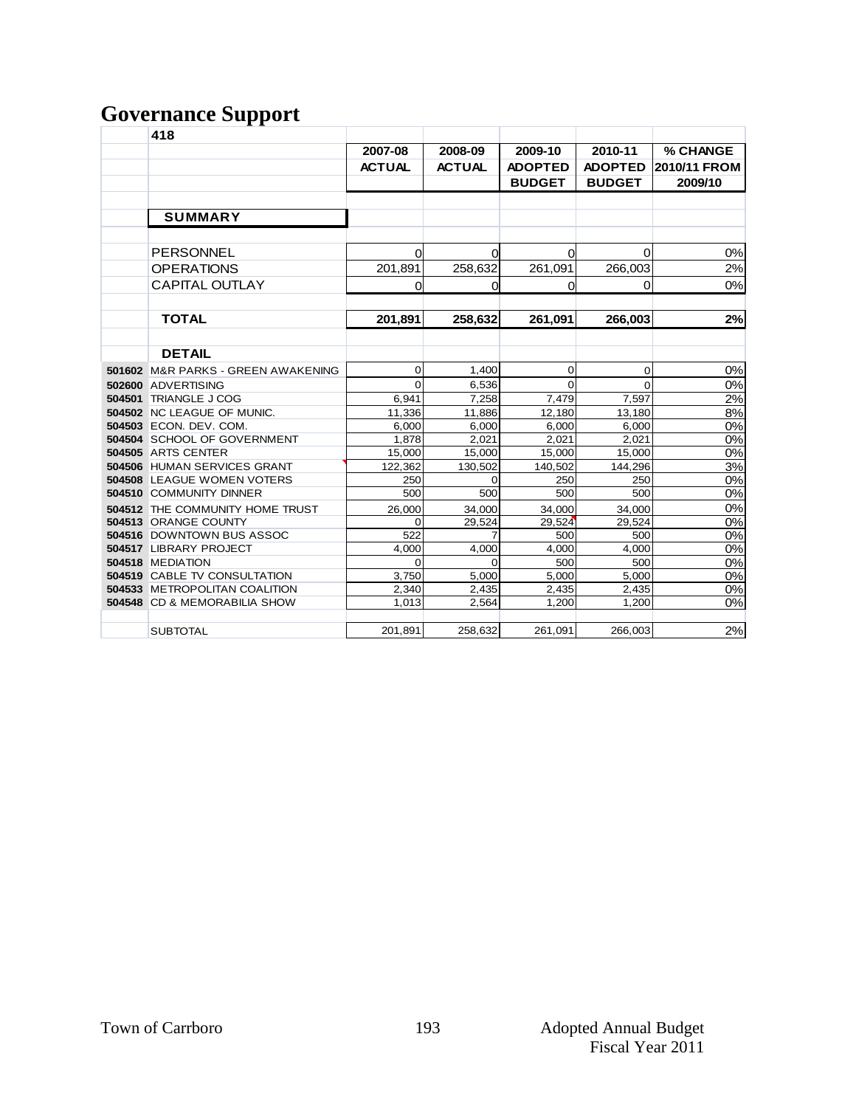#### **Governance Support**

|        | 418                                  |               |               |                |                |              |
|--------|--------------------------------------|---------------|---------------|----------------|----------------|--------------|
|        |                                      | 2007-08       | 2008-09       | 2009-10        | 2010-11        | % CHANGE     |
|        |                                      | <b>ACTUAL</b> | <b>ACTUAL</b> | <b>ADOPTED</b> | <b>ADOPTED</b> | 2010/11 FROM |
|        |                                      |               |               | <b>BUDGET</b>  | <b>BUDGET</b>  | 2009/10      |
|        |                                      |               |               |                |                |              |
|        | <b>SUMMARY</b>                       |               |               |                |                |              |
|        | <b>PERSONNEL</b>                     | 0             | 0             | 0              | 0              | 0%           |
|        | <b>OPERATIONS</b>                    | 201,891       | 258,632       | 261,091        | 266,003        | 2%           |
|        | <b>CAPITAL OUTLAY</b>                | 0             | 0             | $\mathbf 0$    | 0              | 0%           |
|        |                                      |               |               |                |                |              |
|        | <b>TOTAL</b>                         | 201,891       | 258,632       | 261,091        | 266,003        | 2%           |
|        |                                      |               |               |                |                |              |
|        | <b>DETAIL</b>                        |               |               |                |                |              |
|        | 501602 M&R PARKS - GREEN AWAKENING   | $\mathbf 0$   | 1,400         | 0              | 0              | 0%           |
|        | 502600 ADVERTISING                   | $\Omega$      | 6,536         | $\Omega$       | $\Omega$       | 0%           |
| 504501 | <b>TRIANGLE J COG</b>                | 6,941         | 7,258         | 7,479          | 7,597          | 2%           |
|        | 504502 NC LEAGUE OF MUNIC.           | 11,336        | 11,886        | 12,180         | 13,180         | 8%           |
|        | 504503 ECON. DEV. COM.               | 6,000         | 6,000         | 6,000          | 6,000          | 0%           |
|        | 504504 SCHOOL OF GOVERNMENT          | 1,878         | 2,021         | 2,021          | 2,021          | 0%           |
|        | 504505 ARTS CENTER                   | 15,000        | 15,000        | 15,000         | 15,000         | 0%           |
|        | 504506 HUMAN SERVICES GRANT          | 122,362       | 130.502       | 140,502        | 144,296        | 3%           |
|        | <b>504508 LEAGUE WOMEN VOTERS</b>    | 250           | $\Omega$      | 250            | 250            | 0%           |
|        | 504510 COMMUNITY DINNER              | 500           | 500           | 500            | 500            | 0%           |
|        | 504512 THE COMMUNITY HOME TRUST      | 26,000        | 34,000        | 34,000         | 34,000         | 0%           |
|        | 504513 ORANGE COUNTY                 | $\Omega$      | 29,524        | 29,524         | 29,524         | 0%           |
|        | 504516 DOWNTOWN BUS ASSOC            | 522           | 7             | 500            | 500            | 0%           |
|        | 504517 LIBRARY PROJECT               | 4.000         | 4.000         | 4.000          | 4.000          | 0%           |
|        | 504518 MEDIATION                     | $\Omega$      | $\Omega$      | 500            | 500            | 0%           |
|        | <b>504519 CABLE TV CONSULTATION</b>  | 3,750         | 5,000         | 5,000          | 5,000          | 0%           |
|        | <b>504533 METROPOLITAN COALITION</b> | 2,340         | 2,435         | 2,435          | 2,435          | 0%           |
|        | 504548 CD & MEMORABILIA SHOW         | 1,013         | 2,564         | 1,200          | 1,200          | 0%           |
|        | <b>SUBTOTAL</b>                      | 201,891       | 258,632       | 261,091        | 266,003        | 2%           |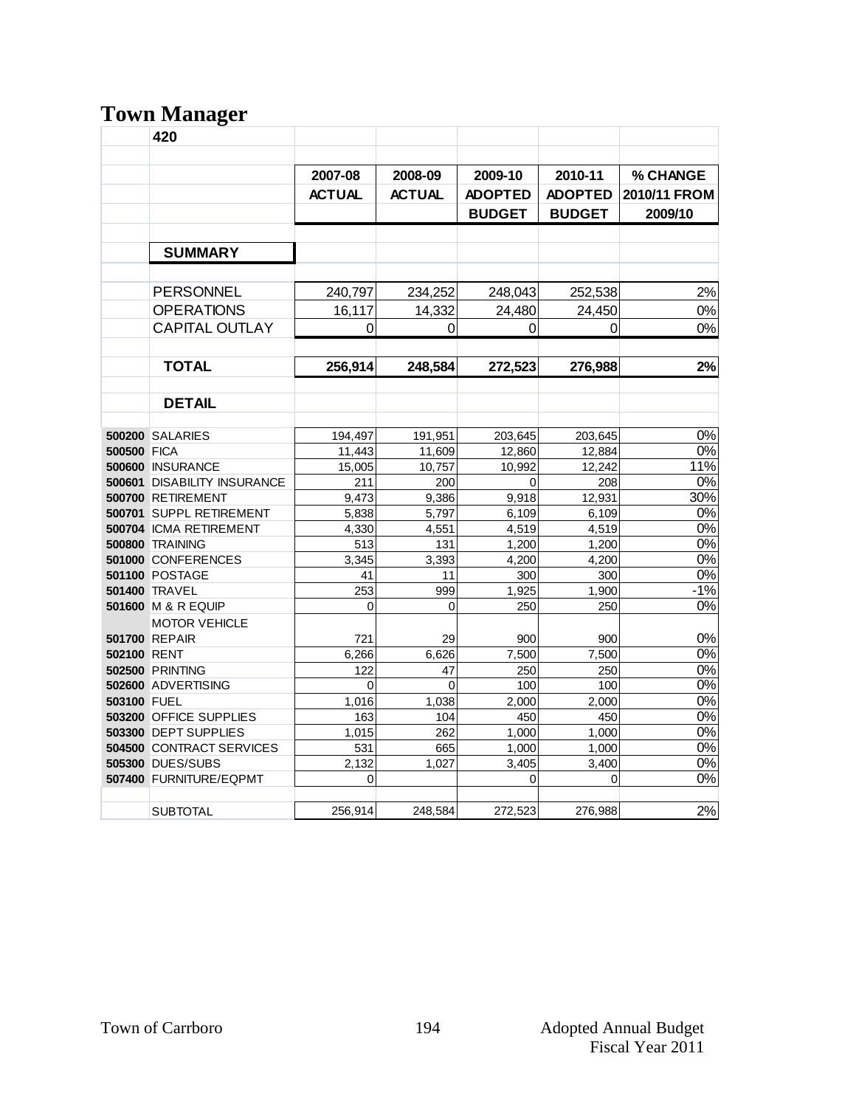# **Town Manager**

|             | o<br>420                           |               |               |                |                |                  |
|-------------|------------------------------------|---------------|---------------|----------------|----------------|------------------|
|             |                                    |               |               |                |                |                  |
|             |                                    |               |               |                |                |                  |
|             |                                    | 2007-08       | 2008-09       | 2009-10        | 2010-11        | % CHANGE         |
|             |                                    | <b>ACTUAL</b> | <b>ACTUAL</b> | <b>ADOPTED</b> | <b>ADOPTED</b> | 2010/11 FROM     |
|             |                                    |               |               | <b>BUDGET</b>  | <b>BUDGET</b>  | 2009/10          |
|             |                                    |               |               |                |                |                  |
|             | <b>SUMMARY</b>                     |               |               |                |                |                  |
|             |                                    |               |               |                |                |                  |
|             |                                    |               |               |                |                |                  |
|             | <b>PERSONNEL</b>                   | 240,797       | 234,252       | 248,043        | 252,538        | 2%               |
|             | <b>OPERATIONS</b>                  | 16,117        | 14,332        | 24.480         | 24.450         | 0%               |
|             | <b>CAPITAL OUTLAY</b>              | 0             | 0             | 0              | 0              | 0%               |
|             |                                    |               |               |                |                |                  |
|             | <b>TOTAL</b>                       | 256,914       | 248,584       | 272,523        | 276,988        | 2%               |
|             |                                    |               |               |                |                |                  |
|             | <b>DETAIL</b>                      |               |               |                |                |                  |
|             |                                    |               |               |                |                |                  |
|             | <b>500200 SALARIES</b>             | 194,497       | 191,951       | 203,645        | 203,645        | 0%               |
| 500500 FICA |                                    | 11,443        | 11,609        | 12,860         | 12,884         | $\overline{0\%}$ |
|             | 500600 INSURANCE                   | 15,005        | 10,757        | 10,992         | 12,242         | 11%              |
|             | <b>500601 DISABILITY INSURANCE</b> | 211           | 200           | 0              | 208            | $\overline{0\%}$ |
|             | 500700 RETIREMENT                  | 9,473         | 9,386         | 9,918          | 12,931         | 30%              |
|             | 500701 SUPPL RETIREMENT            | 5,838         | 5,797         | 6,109          | 6,109          | $\overline{0\%}$ |
|             | 500704 ICMA RETIREMENT             | 4,330         | 4,551         | 4,519          | 4,519          | $\overline{0\%}$ |
|             | <b>500800 TRAINING</b>             | 513           | 131           | 1,200          | 1,200          | 0%               |
|             | 501000 CONFERENCES                 | 3,345         | 3,393         | 4,200          | 4,200          | 0%               |
|             | <b>501100 POSTAGE</b>              | 41            | 11            | 300            | 300            | 0%               |
|             | <b>501400 TRAVEL</b>               | 253           | 999           | 1,925          | 1,900          | $-1%$            |
|             | 501600 M & R EQUIP                 | 0             | 0             | 250            | 250            | 0%               |
|             | <b>MOTOR VEHICLE</b>               |               |               |                |                |                  |
|             | <b>501700 REPAIR</b>               | 721           | 29            | 900            | 900            | 0%               |
| 502100 RENT |                                    | 6,266         | 6,626         | 7,500          | 7,500          | 0%               |
|             | <b>502500 PRINTING</b>             | 122           | 47            | 250            | 250            | 0%               |
|             | 502600 ADVERTISING                 | 0             | $\Omega$      | 100            | 100            | 0%               |
| 503100 FUEL |                                    | 1,016         | 1,038         | 2,000          | 2,000          | 0%               |
|             | 503200 OFFICE SUPPLIES             | 163           | 104           | 450            | 450            | 0%               |
|             | 503300 DEPT SUPPLIES               | 1,015         | 262           | 1,000          | 1,000          | 0%               |
|             | <b>504500 CONTRACT SERVICES</b>    | 531           | 665           | 1,000          | 1,000          | 0%               |
|             | <b>505300 DUES/SUBS</b>            | 2.132         | 1,027         | 3,405          | 3,400          | 0%               |
|             | 507400 FURNITURE/EQPMT             | 0             |               | $\mathbf{0}$   | 0              | 0%               |
|             |                                    |               |               |                |                |                  |
|             | <b>SUBTOTAL</b>                    | 256,914       | 248,584       | 272,523        | 276,988        | 2%               |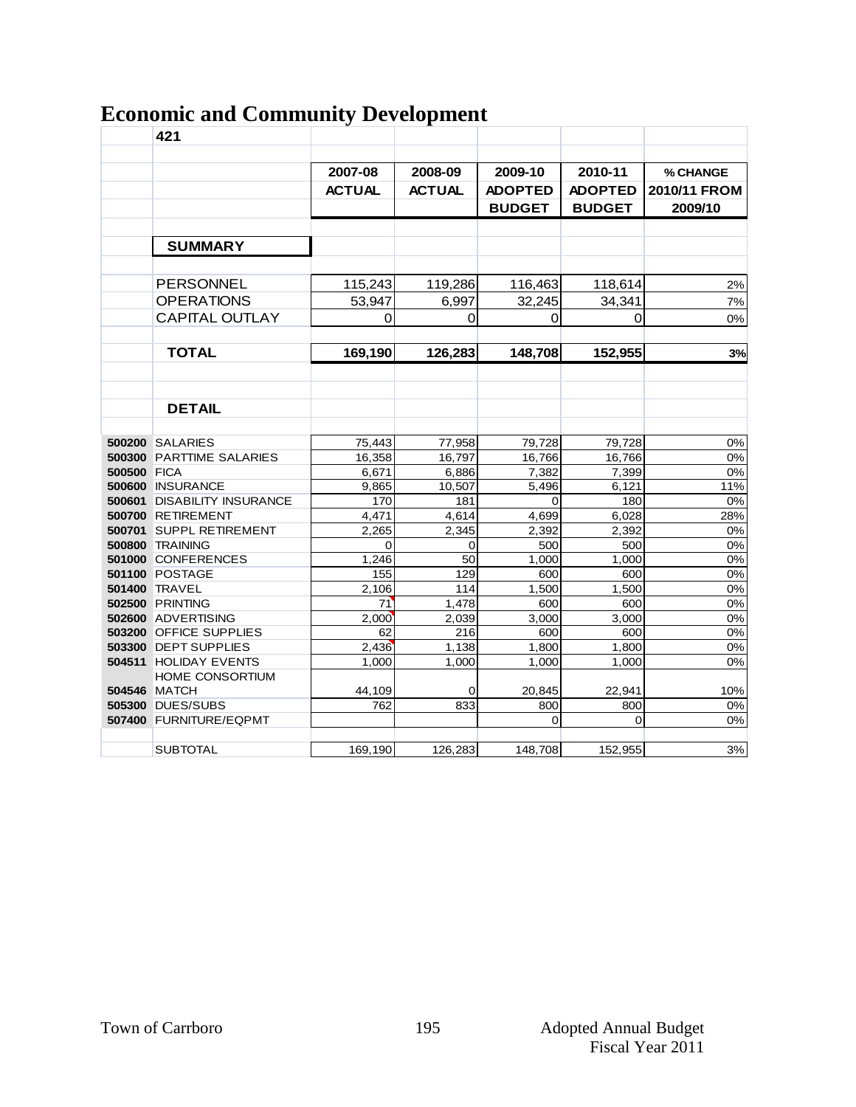| <b>Economic and Community Development</b> |  |  |
|-------------------------------------------|--|--|
|                                           |  |  |

|                    | 421                             |               |               |                |                |              |
|--------------------|---------------------------------|---------------|---------------|----------------|----------------|--------------|
|                    |                                 |               |               |                |                |              |
|                    |                                 | 2007-08       | 2008-09       | 2009-10        | 2010-11        | % CHANGE     |
|                    |                                 | <b>ACTUAL</b> | <b>ACTUAL</b> | <b>ADOPTED</b> | <b>ADOPTED</b> | 2010/11 FROM |
|                    |                                 |               |               |                | <b>BUDGET</b>  | 2009/10      |
|                    |                                 |               |               | <b>BUDGET</b>  |                |              |
|                    |                                 |               |               |                |                |              |
|                    | <b>SUMMARY</b>                  |               |               |                |                |              |
|                    |                                 |               |               |                |                |              |
|                    | <b>PERSONNEL</b>                | 115,243       | 119,286       | 116,463        | 118,614        | 2%           |
|                    | <b>OPERATIONS</b>               | 53,947        | 6,997         | 32,245         | 34,341         | 7%           |
|                    | <b>CAPITAL OUTLAY</b>           | 0             | $\Omega$      | 0              | $\mathbf 0$    | 0%           |
|                    |                                 |               |               |                |                |              |
|                    | <b>TOTAL</b>                    | 169,190       | 126,283       | 148,708        | 152,955        | 3%           |
|                    |                                 |               |               |                |                |              |
|                    |                                 |               |               |                |                |              |
|                    | <b>DETAIL</b>                   |               |               |                |                |              |
|                    |                                 |               |               |                |                |              |
|                    | <b>500200 SALARIES</b>          | 75,443        | 77,958        | 79,728         | 79,728         | 0%           |
|                    | <b>500300 PARTTIME SALARIES</b> | 16,358        | 16,797        | 16,766         | 16,766         | 0%           |
| <b>500500 FICA</b> |                                 | 6,671         | 6,886         | 7,382          | 7,399          | 0%           |
|                    | 500600 INSURANCE                | 9.865         | 10.507        | 5.496          | 6.121          | 11%          |
|                    | 500601 DISABILITY INSURANCE     | 170           | 181           | 0              | 180            | 0%           |
|                    | 500700 RETIREMENT               | 4.471         | 4.614         | 4.699          | 6,028          | 28%          |
|                    | 500701 SUPPL RETIREMENT         | 2,265         | 2,345         | 2,392          | 2,392          | 0%           |
|                    | <b>500800 TRAINING</b>          | 0             | $\mathbf 0$   | 500            | 500            | 0%           |
|                    | 501000 CONFERENCES              | 1,246         | 50            | 1,000          | 1,000          | 0%           |
|                    | <b>501100 POSTAGE</b>           | 155           | 129           | 600            | 600            | 0%           |
|                    | <b>501400 TRAVEL</b>            | 2,106         | 114           | 1,500          | 1,500          | 0%           |
|                    | <b>502500 PRINTING</b>          | 71            | 1,478         | 600            | 600            | 0%           |
|                    | 502600 ADVERTISING              | 2,000         | 2,039         | 3,000          | 3,000          | 0%           |
|                    | 503200 OFFICE SUPPLIES          | 62            | 216           | 600            | 600            | 0%           |
|                    | 503300 DEPT SUPPLIES            | 2,436         | 1,138         | 1,800          | 1,800          | 0%           |
|                    | 504511 HOLIDAY EVENTS           | 1,000         | 1.000         | 1,000          | 1,000          | 0%           |
|                    | HOME CONSORTIUM                 |               |               |                |                |              |
|                    | <b>504546 MATCH</b>             | 44,109        | 0             | 20,845         | 22,941         | 10%          |
|                    | <b>505300 DUES/SUBS</b>         | 762           | 833           | 800            | 800            | 0%           |
|                    | 507400 FURNITURE/EQPMT          |               |               | 0              | $\mathbf 0$    | 0%           |
|                    |                                 |               |               |                |                |              |
|                    | <b>SUBTOTAL</b>                 | 169.190       | 126,283       | 148,708        | 152,955        | 3%           |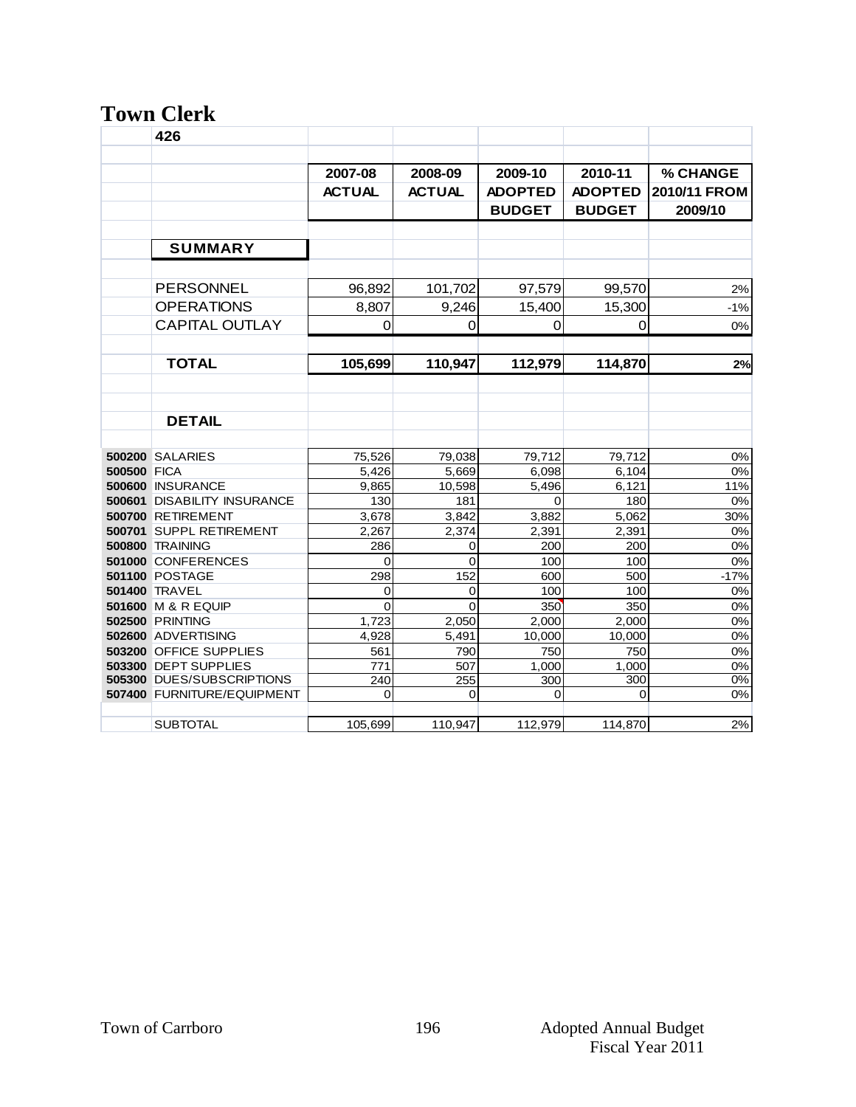### **Town Clerk**

|             | 426                         |                |               |                |                  |              |
|-------------|-----------------------------|----------------|---------------|----------------|------------------|--------------|
|             |                             |                |               |                |                  |              |
|             |                             | 2007-08        | 2008-09       | 2009-10        | 2010-11          | % CHANGE     |
|             |                             | <b>ACTUAL</b>  | <b>ACTUAL</b> | <b>ADOPTED</b> | <b>ADOPTED</b>   | 2010/11 FROM |
|             |                             |                |               | <b>BUDGET</b>  | <b>BUDGET</b>    | 2009/10      |
|             |                             |                |               |                |                  |              |
|             | <b>SUMMARY</b>              |                |               |                |                  |              |
|             |                             |                |               |                |                  |              |
|             | <b>PERSONNEL</b>            | 96,892         | 101,702       | 97,579         | 99,570           | 2%           |
|             | <b>OPERATIONS</b>           | 8.807          | 9.246         | 15,400         | 15.300           | $-1%$        |
|             | <b>CAPITAL OUTLAY</b>       | 0              | $\Omega$      | 0              | $\Omega$         | 0%           |
|             |                             |                |               |                |                  |              |
|             |                             |                |               |                |                  |              |
|             | <b>TOTAL</b>                | 105.699        | 110.947       | 112.979        | 114.870          | 2%           |
|             |                             |                |               |                |                  |              |
|             |                             |                |               |                |                  |              |
|             | <b>DETAIL</b>               |                |               |                |                  |              |
|             |                             |                |               |                |                  |              |
|             | <b>500200 SALARIES</b>      | 75,526         | 79,038        | 79,712         | 79,712           | 0%           |
| 500500 FICA |                             | 5.426          | 5.669         | 6,098          | 6.104            | 0%           |
|             | 500600 INSURANCE            | 9.865          | 10,598        | 5,496          | 6,121            | 11%          |
|             | 500601 DISABILITY INSURANCE | 130            | 181           | 0              | 180              | 0%           |
|             | 500700 RETIREMENT           | 3,678          | 3.842         | 3.882          | 5.062            | 30%          |
|             | 500701 SUPPL RETIREMENT     | 2,267          | 2,374         | 2.391          | 2,391            | 0%           |
|             | 500800 TRAINING             | 286            | 0             | 200            | 200              | 0%           |
|             | 501000 CONFERENCES          | 0              | $\mathbf 0$   | 100            | 100              | 0%           |
|             | <b>501100 POSTAGE</b>       | 298            | 152           | 600            | 500              | $-17%$       |
|             | 501400 TRAVEL               | 0              | $\mathbf 0$   | 100            | 100              | 0%           |
|             | 501600 M & R EQUIP          | $\overline{0}$ | $\Omega$      | 350            | 350              | 0%           |
|             | <b>502500 PRINTING</b>      | 1,723          | 2,050         | 2,000          | 2,000            | 0%           |
|             | 502600 ADVERTISING          | 4,928          | 5,491         | 10,000         | 10,000           | 0%           |
|             | 503200 OFFICE SUPPLIES      | 561            | 790           | 750            | 750              | 0%           |
|             | 503300 DEPT SUPPLIES        | 771            | 507           | 1,000          | 1,000            | 0%           |
|             | 505300 DUES/SUBSCRIPTIONS   | 240            | 255           | 300            | $\overline{300}$ | 0%           |
|             | 507400 FURNITURE/EQUIPMENT  | 0              | 0             | 0              | 0                | 0%           |
|             |                             |                |               |                |                  |              |
|             | <b>SUBTOTAL</b>             | 105,699        | 110,947       | 112,979        | 114,870          | 2%           |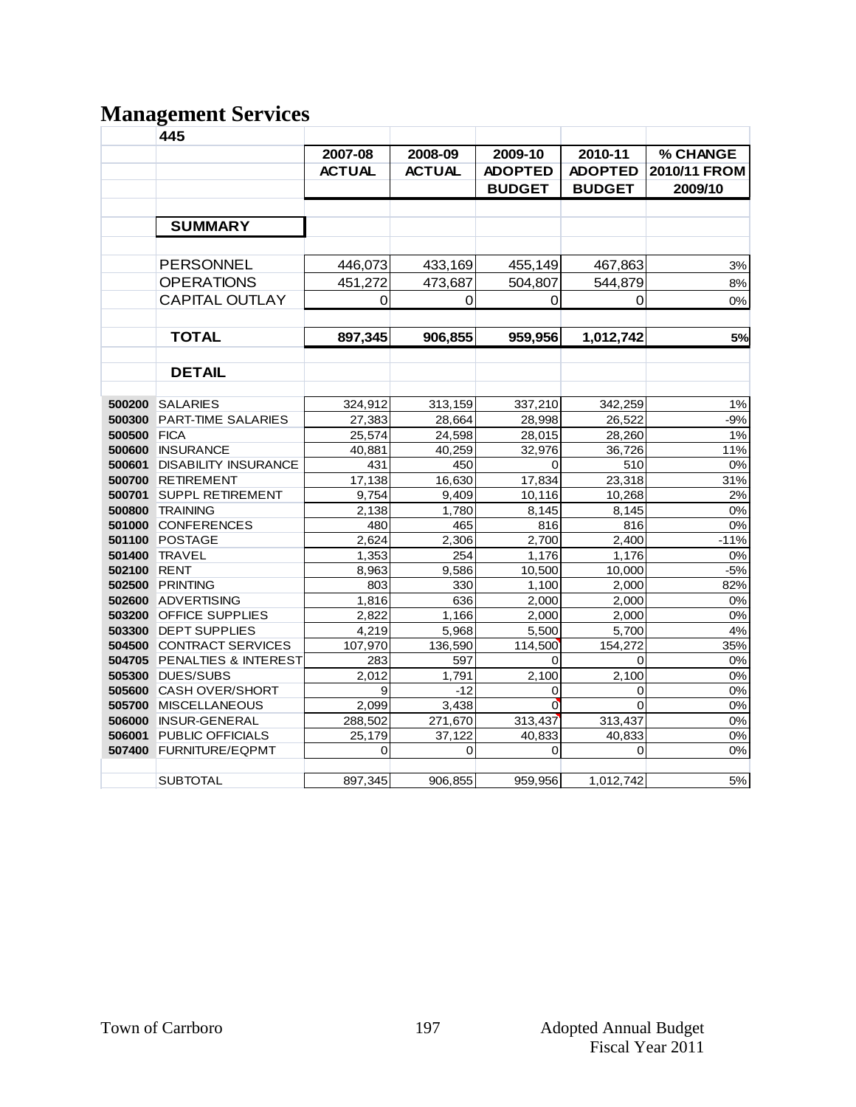# **Management Services**

|                    | 445                                              |               |               |                |                |              |
|--------------------|--------------------------------------------------|---------------|---------------|----------------|----------------|--------------|
|                    |                                                  | 2007-08       | 2008-09       | 2009-10        | 2010-11        | % CHANGE     |
|                    |                                                  | <b>ACTUAL</b> | <b>ACTUAL</b> | <b>ADOPTED</b> | <b>ADOPTED</b> | 2010/11 FROM |
|                    |                                                  |               |               | <b>BUDGET</b>  | <b>BUDGET</b>  | 2009/10      |
|                    |                                                  |               |               |                |                |              |
|                    |                                                  |               |               |                |                |              |
|                    | <b>SUMMARY</b>                                   |               |               |                |                |              |
|                    |                                                  |               |               |                |                |              |
|                    | <b>PERSONNEL</b>                                 | 446,073       | 433,169       | 455,149        | 467,863        | 3%           |
|                    | <b>OPERATIONS</b>                                | 451,272       | 473,687       | 504,807        | 544,879        | 8%           |
|                    | <b>CAPITAL OUTLAY</b>                            | 0             | 0             | 0              | $\Omega$       | 0%           |
|                    |                                                  |               |               |                |                |              |
|                    | <b>TOTAL</b>                                     | 897,345       | 906,855       | 959,956        | 1,012,742      | 5%           |
|                    |                                                  |               |               |                |                |              |
|                    | <b>DETAIL</b>                                    |               |               |                |                |              |
|                    |                                                  |               |               |                |                |              |
|                    | <b>500200 SALARIES</b>                           | 324,912       | 313,159       | 337,210        | 342,259        | 1%           |
| 500300             | PART-TIME SALARIES                               | 27,383        | 28,664        | 28,998         | 26,522         | $-9%$        |
| <b>500500 FICA</b> |                                                  | 25,574        | 24,598        | 28,015         | 28,260         | 1%           |
|                    | 500600 INSURANCE                                 | 40,881        | 40,259        | 32,976         | 36,726         | 11%          |
| 500601             | <b>DISABILITY INSURANCE</b><br>500700 RETIREMENT | 431<br>17,138 | 450<br>16,630 | 0<br>17,834    | 510<br>23,318  | 0%<br>31%    |
| 500701             | <b>SUPPL RETIREMENT</b>                          | 9,754         | 9,409         | 10,116         | 10,268         | 2%           |
|                    | <b>500800 TRAINING</b>                           | 2,138         | 1,780         | 8,145          | 8,145          | 0%           |
|                    | 501000 CONFERENCES                               | 480           | 465           | 816            | 816            | 0%           |
|                    | <b>501100 POSTAGE</b>                            | 2,624         | 2,306         | 2,700          | 2,400          | $-11%$       |
|                    | 501400 TRAVEL                                    | 1,353         | 254           | 1,176          | 1,176          | 0%           |
| 502100 RENT        |                                                  | 8,963         | 9,586         | 10,500         | 10,000         | $-5%$        |
|                    | <b>502500 PRINTING</b>                           | 803           | 330           | 1,100          | 2,000          | 82%          |
|                    | 502600 ADVERTISING                               | 1,816         | 636           | 2,000          | 2,000          | 0%           |
|                    | 503200 OFFICE SUPPLIES                           | 2,822         | 1,166         | 2,000          | 2,000          | 0%           |
|                    | 503300 DEPT SUPPLIES                             | 4,219         | 5,968         | 5,500          | 5,700          | 4%           |
|                    | 504500 CONTRACT SERVICES                         | 107,970       | 136,590       | 114,500        | 154,272        | 35%          |
|                    | <b>504705 PENALTIES &amp; INTEREST</b>           | 283           | 597           | 0              | 0              | 0%           |
|                    | 505300 DUES/SUBS                                 | 2.012         | 1,791         | 2.100          | 2,100          | 0%           |
|                    | 505600 CASH OVER/SHORT                           | 9             | $-12$         | 0              | 0              | 0%           |
|                    | 505700 MISCELLANEOUS                             | 2,099         | 3,438         | $\mathbf{0}$   | $\mathbf 0$    | 0%           |
|                    | 506000 INSUR-GENERAL                             | 288,502       | 271,670       | 313,437        | 313,437        | 0%           |
| 506001             | PUBLIC OFFICIALS                                 | 25,179        | 37,122        | 40,833         | 40,833         | 0%           |
|                    | 507400 FURNITURE/EQPMT                           | 0             | 0             | 0              | 0              | 0%           |
|                    | <b>SUBTOTAL</b>                                  | 897,345       | 906,855       | 959,956        | 1,012,742      | 5%           |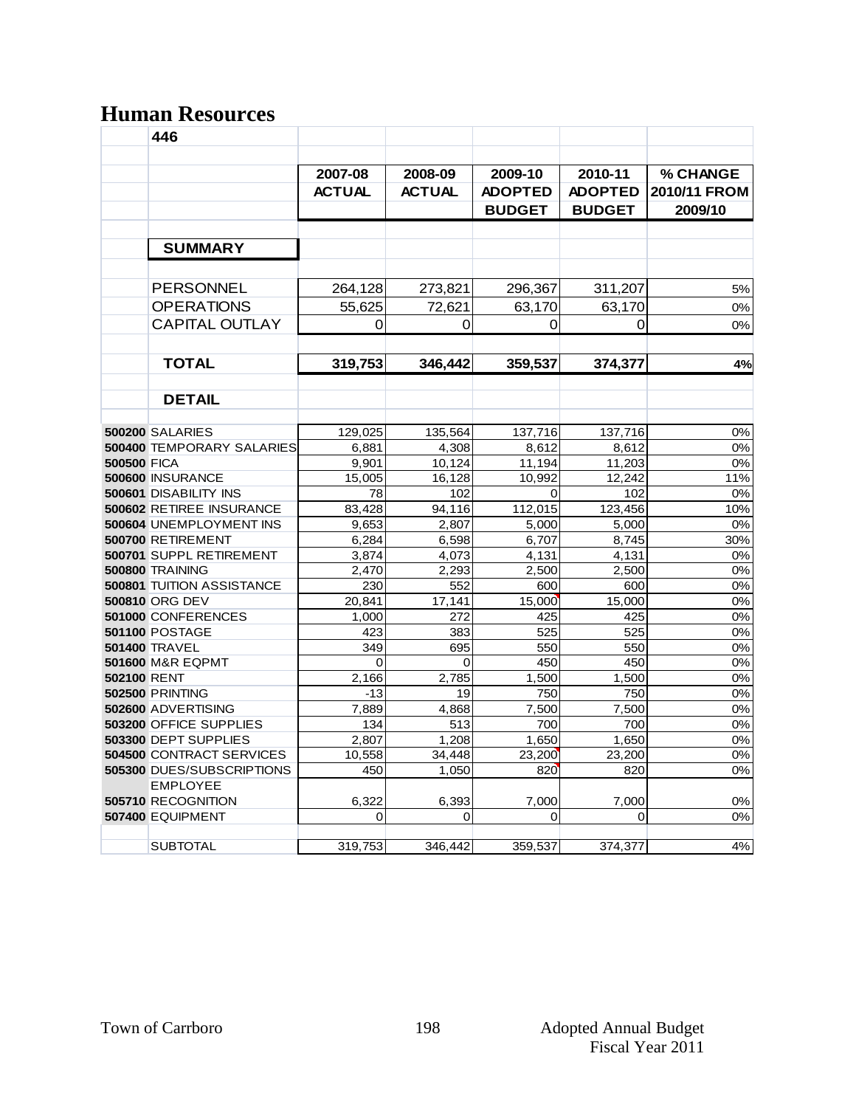# **Human Resources**

|                    | 446                                                             |                |               |                                 |                                 |                         |
|--------------------|-----------------------------------------------------------------|----------------|---------------|---------------------------------|---------------------------------|-------------------------|
|                    |                                                                 | 2007-08        | 2008-09       | 2009-10                         | 2010-11                         | % CHANGE                |
|                    |                                                                 | <b>ACTUAL</b>  | <b>ACTUAL</b> | <b>ADOPTED</b><br><b>BUDGET</b> | <b>ADOPTED</b><br><b>BUDGET</b> | 2010/11 FROM<br>2009/10 |
|                    | <b>SUMMARY</b>                                                  |                |               |                                 |                                 |                         |
|                    |                                                                 |                |               |                                 |                                 |                         |
|                    | <b>PERSONNEL</b>                                                | 264,128        | 273,821       | 296,367                         | 311,207                         | 5%                      |
|                    | <b>OPERATIONS</b>                                               | 55,625         | 72,621        | 63,170                          | 63,170                          | 0%                      |
|                    | <b>CAPITAL OUTLAY</b>                                           | $\Omega$       | 0             | 0                               | 0                               | 0%                      |
|                    | <b>TOTAL</b>                                                    | 319,753        | 346,442       | 359,537                         | 374,377                         | 4%                      |
|                    |                                                                 |                |               |                                 |                                 |                         |
|                    | <b>DETAIL</b>                                                   |                |               |                                 |                                 |                         |
|                    |                                                                 |                |               |                                 |                                 |                         |
|                    | <b>500200 SALARIES</b>                                          | 129,025        | 135,564       | 137,716                         | 137,716                         | 0%                      |
|                    | <b>500400 TEMPORARY SALARIES</b>                                | 6,881          | 4,308         | 8,612                           | 8,612                           | 0%                      |
| <b>500500 FICA</b> |                                                                 | 9,901          | 10,124        | 11,194                          | 11,203                          | 0%                      |
|                    | <b>500600 INSURANCE</b>                                         | 15.005         | 16.128        | 10.992                          | 12.242                          | 11%                     |
|                    | <b>500601 DISABILITY INS</b><br><b>500602 RETIREE INSURANCE</b> | 78<br>83.428   | 102<br>94.116 | $\Omega$<br>112,015             | 102<br>123.456                  | 0%<br>10%               |
|                    | 500604 UNEMPLOYMENT INS                                         | 9,653          | 2,807         | 5,000                           | 5,000                           | 0%                      |
|                    | 500700 RETIREMENT                                               | 6,284          | 6,598         | 6,707                           | 8,745                           | 30%                     |
|                    | 500701 SUPPL RETIREMENT                                         | 3,874          | 4,073         | 4,131                           | 4,131                           | 0%                      |
|                    | 500800 TRAINING                                                 | 2.470          | 2.293         | 2.500                           | 2,500                           | 0%                      |
|                    | <b>500801 TUITION ASSISTANCE</b>                                | 230            | 552           | 600                             | 600                             | 0%                      |
|                    | <b>500810 ORG DEV</b>                                           | 20,841         | 17,141        | 15,000                          | 15,000                          | 0%                      |
|                    | 501000 CONFERENCES                                              | 1.000          | 272           | 425                             | 425                             | 0%                      |
|                    | <b>501100 POSTAGE</b>                                           | 423            | 383           | 525                             | 525                             | 0%                      |
|                    | <b>501400 TRAVEL</b>                                            | 349            | 695           | 550                             | 550                             | 0%                      |
|                    | <b>501600 M&amp;R EQPMT</b>                                     | $\Omega$       | $\Omega$      | 450                             | 450                             | 0%                      |
| <b>502100 RENT</b> | <b>502500 PRINTING</b>                                          | 2.166<br>$-13$ | 2.785<br>19   | 1.500<br>750                    | 1.500<br>750                    | 0%<br>0%                |
|                    | 502600 ADVERTISING                                              | 7,889          | 4,868         | 7,500                           | 7,500                           | 0%                      |
|                    | 503200 OFFICE SUPPLIES                                          | 134            | 513           | 700                             | 700                             | 0%                      |
|                    | 503300 DEPT SUPPLIES                                            | 2,807          | 1,208         | 1,650                           | 1,650                           | 0%                      |
|                    | <b>504500 CONTRACT SERVICES</b>                                 | 10,558         | 34.448        | 23,200                          | 23,200                          | 0%                      |
|                    | <b>505300 DUES/SUBSCRIPTIONS</b>                                | 450            | 1.050         | 820                             | 820                             | 0%                      |
|                    | <b>EMPLOYEE</b><br>505710 RECOGNITION                           |                |               |                                 |                                 |                         |
|                    | 507400 EQUIPMENT                                                | 6,322<br>0     | 6,393<br>0    | 7,000<br>0                      | 7,000<br>0                      | 0%<br>0%                |
|                    |                                                                 |                |               |                                 |                                 |                         |
|                    | <b>SUBTOTAL</b>                                                 | 319,753        | 346,442       | 359,537                         | 374,377                         | 4%                      |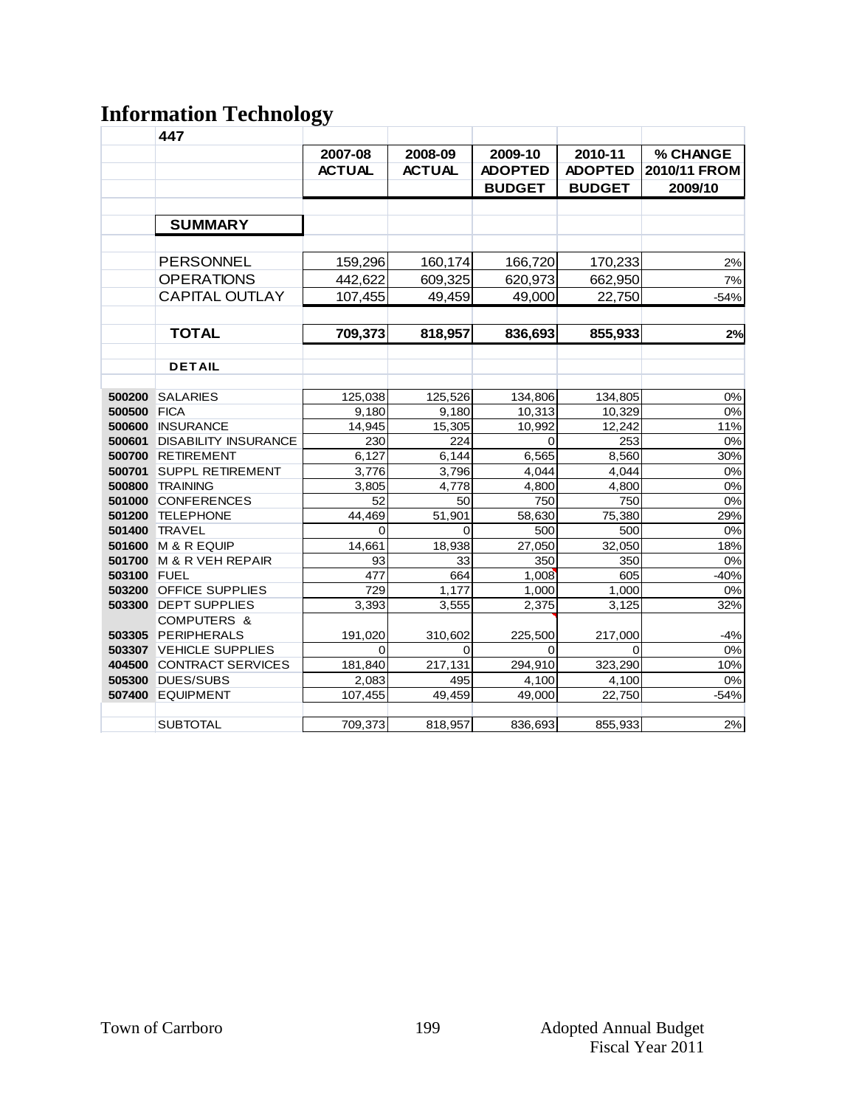# **Information Technology**

|             | 447                         |               |               |                |                |              |
|-------------|-----------------------------|---------------|---------------|----------------|----------------|--------------|
|             |                             | 2007-08       | 2008-09       | 2009-10        | 2010-11        | % CHANGE     |
|             |                             | <b>ACTUAL</b> | <b>ACTUAL</b> | <b>ADOPTED</b> | <b>ADOPTED</b> | 2010/11 FROM |
|             |                             |               |               | <b>BUDGET</b>  | <b>BUDGET</b>  | 2009/10      |
|             |                             |               |               |                |                |              |
|             | <b>SUMMARY</b>              |               |               |                |                |              |
|             |                             |               |               |                |                |              |
|             | <b>PERSONNEL</b>            | 159,296       | 160,174       | 166,720        | 170,233        | 2%           |
|             | <b>OPERATIONS</b>           | 442,622       | 609,325       | 620,973        | 662,950        | 7%           |
|             | <b>CAPITAL OUTLAY</b>       | 107,455       | 49,459        | 49,000         | 22,750         | $-54%$       |
|             |                             |               |               |                |                |              |
|             | <b>TOTAL</b>                | 709,373       | 818,957       | 836,693        | 855,933        | 2%           |
|             |                             |               |               |                |                |              |
|             | <b>DETAIL</b>               |               |               |                |                |              |
|             |                             |               |               |                |                |              |
| 500200      | SALARIES                    | 125,038       | 125,526       | 134,806        | 134,805        | 0%           |
| 500500 FICA |                             | 9,180         | 9,180         | 10,313         | 10,329         | $0\%$        |
|             | 500600 INSURANCE            | 14,945        | 15,305        | 10,992         | 12,242         | 11%          |
| 500601      | <b>DISABILITY INSURANCE</b> | 230           | 224           | $\Omega$       | 253            | 0%           |
|             | 500700 RETIREMENT           | 6,127         | 6,144         | 6,565          | 8,560          | 30%          |
| 500701      | <b>SUPPL RETIREMENT</b>     | 3,776         | 3,796         | 4,044          | 4,044          | 0%           |
| 500800      | TRAINING                    | 3,805         | 4,778         | 4,800          | 4,800          | $0\%$        |
|             | 501000 CONFERENCES          | 52            | 50            | 750            | 750            | 0%           |
|             | 501200 TELEPHONE            | 44,469        | 51.901        | 58,630         | 75,380         | 29%          |
| 501400      | <b>TRAVEL</b>               | $\mathbf 0$   | $\Omega$      | 500            | 500            | 0%           |
| 501600      | M & R EQUIP                 | 14,661        | 18,938        | 27,050         | 32,050         | 18%          |
|             | 501700 M & R VEH REPAIR     | 93            | 33            | 350            | 350            | 0%           |
| 503100 FUEL |                             | 477           | 664           | 1,008          | 605            | $-40%$       |
|             | 503200 OFFICE SUPPLIES      | 729           | 1,177         | 1,000          | 1,000          | 0%           |
|             | 503300 DEPT SUPPLIES        | 3,393         | 3,555         | 2,375          | 3,125          | 32%          |
|             | COMPUTERS &                 |               |               |                |                |              |
|             | 503305 PERIPHERALS          | 191,020       | 310,602       | 225,500        | 217,000        | $-4%$        |
|             | 503307 VEHICLE SUPPLIES     | 0             | $\Omega$      | 0              | $\Omega$       | 0%           |
|             | 404500 CONTRACT SERVICES    | 181,840       | 217,131       | 294,910        | 323,290        | 10%          |
|             | <b>505300 DUES/SUBS</b>     | 2,083         | 495           | 4,100          | 4,100          | 0%           |
|             | 507400 EQUIPMENT            | 107,455       | 49,459        | 49,000         | 22,750         | $-54%$       |
|             |                             |               |               |                |                |              |
|             | <b>SUBTOTAL</b>             | 709,373       | 818,957       | 836,693        | 855,933        | 2%           |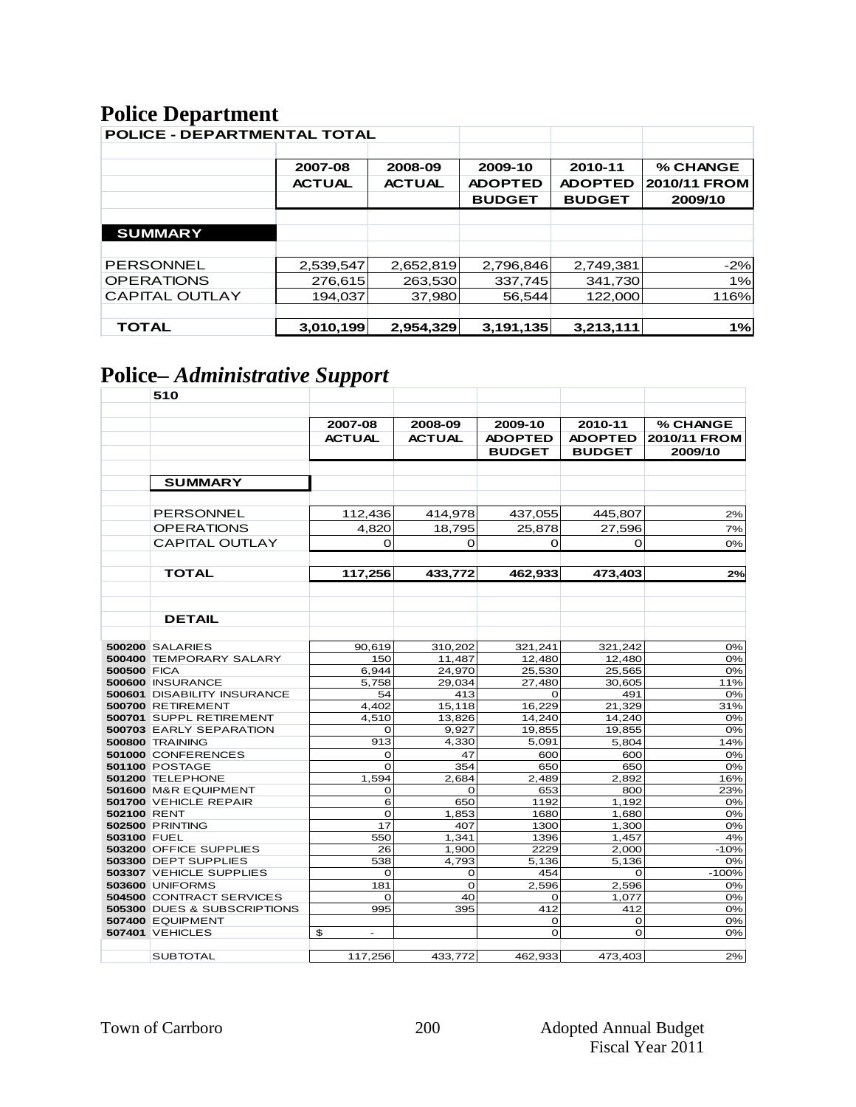# **Police Department**

| <b>POLICE - DEPARTMENTAL TOTAL</b> |               |               |                |                |              |
|------------------------------------|---------------|---------------|----------------|----------------|--------------|
|                                    |               |               |                |                |              |
|                                    | 2007-08       | 2008-09       | 2009-10        | 2010-11        | % CHANGE     |
|                                    | <b>ACTUAL</b> | <b>ACTUAL</b> | <b>ADOPTED</b> | <b>ADOPTED</b> | 2010/11 FROM |
|                                    |               |               | <b>BUDGET</b>  | <b>BUDGET</b>  | 2009/10      |
|                                    |               |               |                |                |              |
| <b>SUMMARY</b>                     |               |               |                |                |              |
|                                    |               |               |                |                |              |
| <b>PERSONNEL</b>                   | 2,539,547     | 2,652,819     | 2,796,846      | 2,749,381      | $-2%$        |
| <b>OPERATIONS</b>                  | 276,615       | 263,530       | 337,745        | 341,730        | 1%           |
| <b>CAPITAL OUTLAY</b>              | 194.037       | 37,980        | 56.544         | 122,000        | 116%         |
|                                    |               |               |                |                |              |
| <b>TOTAL</b>                       | 3,010,199     | 2,954,329     | 3,191,135      | 3,213,111      | 1%           |

# **Police–** *Administrative Support*

|                    | 510                                |                      |                  |                  |                  |              |
|--------------------|------------------------------------|----------------------|------------------|------------------|------------------|--------------|
|                    |                                    |                      |                  |                  |                  |              |
|                    |                                    | 2007-08              | 2008-09          | 2009-10          | 2010-11          | % CHANGE     |
|                    |                                    | <b>ACTUAL</b>        | <b>ACTUAL</b>    | <b>ADOPTED</b>   | <b>ADOPTED</b>   | 2010/11 FROM |
|                    |                                    |                      |                  | <b>BUDGET</b>    | <b>BUDGET</b>    | 2009/10      |
|                    |                                    |                      |                  |                  |                  |              |
|                    | <b>SUMMARY</b>                     |                      |                  |                  |                  |              |
|                    |                                    |                      |                  |                  |                  |              |
|                    |                                    |                      |                  |                  |                  |              |
|                    | PERSONNEL                          | 112,436              | 414,978          | 437,055          | 445,807          | 2%           |
|                    | <b>OPERATIONS</b>                  | 4,820                | 18,795           | 25,878           | 27,596           | 7%           |
|                    | <b>CAPITAL OUTLAY</b>              | 0                    | O                | 0                | O                | 0%           |
|                    |                                    |                      |                  |                  |                  |              |
|                    | <b>TOTAL</b>                       | 117,256              | 433,772          | 462,933          | 473,403          | 2%           |
|                    |                                    |                      |                  |                  |                  |              |
|                    |                                    |                      |                  |                  |                  |              |
|                    |                                    |                      |                  |                  |                  |              |
|                    | <b>DETAIL</b>                      |                      |                  |                  |                  |              |
|                    |                                    |                      |                  |                  |                  |              |
|                    | <b>500200 SALARIES</b>             | 90,619               | 310,202          | 321,241          | 321,242          | 0%           |
|                    | 500400 TEMPORARY SALARY            | 150                  | 11,487           | 12,480           | 12,480           | 0%           |
| <b>500500 FICA</b> | 500600 INSURANCE                   | 6.944<br>5.758       | 24.970<br>29.034 | 25,530<br>27.480 | 25,565<br>30.605 | 0%           |
|                    | <b>500601 DISABILITY INSURANCE</b> | 54                   | 413              | $\Omega$         | 491              | 11%<br>0%    |
|                    | 500700 RETIREMENT                  | 4,402                | 15,118           | 16,229           | 21,329           | 31%          |
|                    | 500701 SUPPL RETIREMENT            | 4,510                | 13,826           | 14,240           | 14,240           | 0%           |
|                    | 500703 EARLY SEPARATION            | O                    | 9,927            | 19,855           | 19,855           | 0%           |
|                    | <b>500800 TRAINING</b>             | 913                  | 4.330            | 5,091            | 5,804            | 14%          |
|                    | 501000 CONFERENCES                 | O                    | 47               | 600              | 600              | 0%           |
|                    | <b>501100 POSTAGE</b>              | $\mathbf O$          | 354              | 650              | 650              | 0%           |
|                    | 501200 TELEPHONE                   | 1,594                | 2,684            | 2,489            | 2,892            | 16%          |
|                    | 501600 M&R EQUIPMENT               | O                    | $\Omega$         | 653              | 800              | 23%          |
|                    | 501700 VEHICLE REPAIR              | 6                    | 650              | 1192             | 1,192            | 0%           |
| 502100 RENT        |                                    | $\mathbf O$          | 1,853            | 1680             | 1,680            | 0%           |
|                    | <b>502500 PRINTING</b>             | 17                   | 407              | 1300             | 1,300            | 0%           |
| 503100 FUEL        | 503200 OFFICE SUPPLIES             | 550<br>26            | 1,341<br>1,900   | 1396<br>2229     | 1,457<br>2,000   | 4%<br>$-10%$ |
|                    | 503300 DEPT SUPPLIES               | 538                  | 4.793            | 5.136            | 5.136            | 0%           |
|                    | 503307 VEHICLE SUPPLIES            | O                    | 0                | 454              | O                | $-100%$      |
|                    | <b>503600 UNIFORMS</b>             | 181                  | $\mathbf 0$      | 2.596            | 2.596            | 0%           |
|                    | 504500 CONTRACT SERVICES           | O                    | 40               | 0                | 1,077            | 0%           |
|                    | 505300 DUES & SUBSCRIPTIONS        | 995                  | 395              | 412              | 412              | 0%           |
|                    | 507400 EQUIPMENT                   |                      |                  | 0                | 0                | 0%           |
|                    | <b>507401 VEHICLES</b>             | \$<br>$\overline{a}$ |                  | $\Omega$         | $\mathbf O$      | 0%           |
|                    |                                    |                      |                  |                  |                  |              |
|                    | <b>SUBTOTAL</b>                    | 117,256              | 433,772          | 462,933          | 473,403          | 2%           |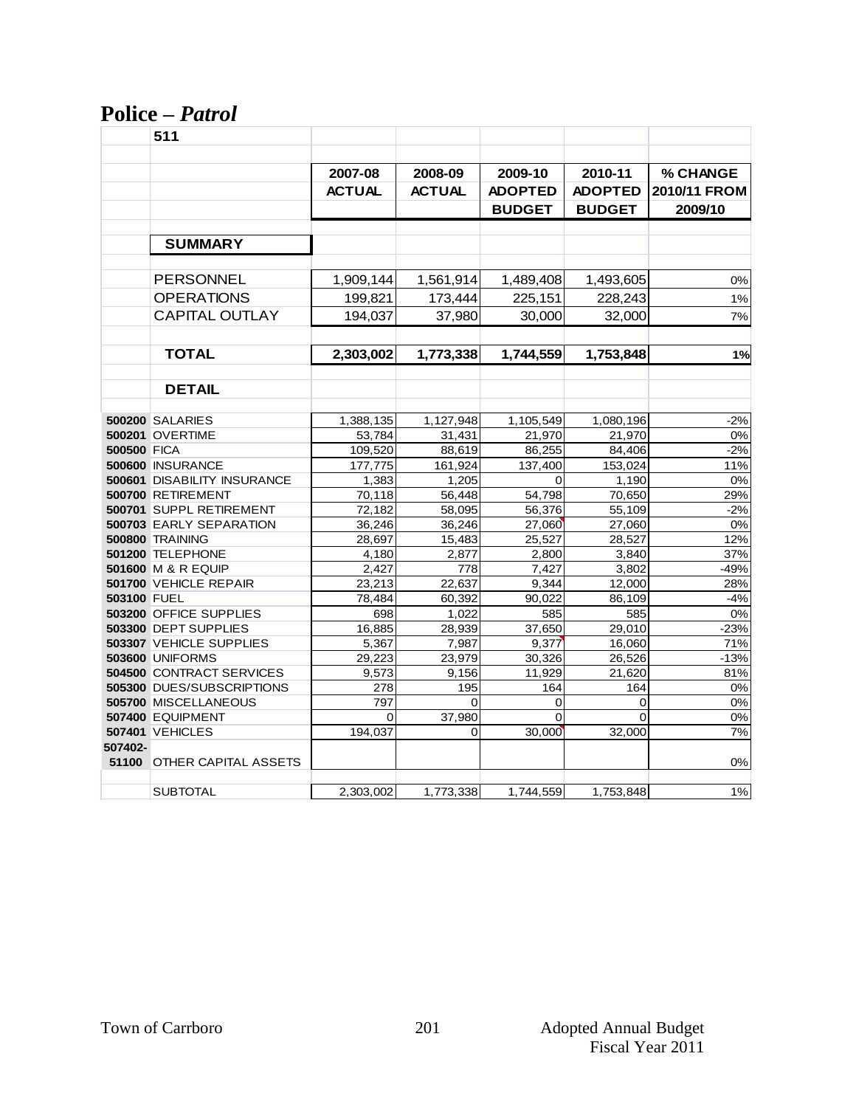#### **Police –** *Patrol*

|                    | 511                                                       |                 |                 |                |                  |                 |
|--------------------|-----------------------------------------------------------|-----------------|-----------------|----------------|------------------|-----------------|
|                    |                                                           |                 |                 |                |                  |                 |
|                    |                                                           | 2007-08         | 2008-09         | 2009-10        | 2010-11          | <b>% CHANGE</b> |
|                    |                                                           | <b>ACTUAL</b>   | <b>ACTUAL</b>   | <b>ADOPTED</b> | <b>ADOPTED</b>   | 2010/11 FROM    |
|                    |                                                           |                 |                 | <b>BUDGET</b>  | <b>BUDGET</b>    | 2009/10         |
|                    | <b>SUMMARY</b>                                            |                 |                 |                |                  |                 |
|                    |                                                           |                 |                 |                |                  |                 |
|                    | PERSONNEL                                                 | 1,909,144       | 1,561,914       | 1,489,408      | 1,493,605        | 0%              |
|                    | <b>OPERATIONS</b>                                         | 199,821         | 173,444         | 225,151        | 228,243          | 1%              |
|                    | <b>CAPITAL OUTLAY</b>                                     | 194,037         | 37,980          | 30,000         | 32,000           | 7%              |
|                    | <b>TOTAL</b>                                              | 2,303,002       | 1,773,338       | 1,744,559      | 1,753,848        | 1%              |
|                    |                                                           |                 |                 |                |                  |                 |
|                    | <b>DETAIL</b>                                             |                 |                 |                |                  |                 |
|                    | <b>500200 SALARIES</b>                                    | 1,388,135       | 1,127,948       | 1,105,549      | 1,080,196        | $-2%$           |
|                    | <b>500201 OVERTIME</b>                                    | 53,784          | 31,431          | 21,970         | 21,970           | 0%              |
| <b>500500 FICA</b> |                                                           | 109,520         | 88,619          | 86,255         | 84,406           | $-2%$           |
|                    | 500600 INSURANCE                                          | 177,775         | 161,924         | 137.400        | 153,024          | 11%             |
|                    | 500601 DISABILITY INSURANCE                               | 1,383           | 1,205           | 0              | 1,190            | 0%              |
|                    | 500700 RETIREMENT                                         | 70,118          | 56.448          | 54,798         | 70,650           | 29%             |
|                    | 500701 SUPPL RETIREMENT                                   | 72.182          | 58,095          | 56,376         | 55,109           | $-2%$           |
|                    | 500703 EARLY SEPARATION                                   | 36,246          | 36,246          | 27.060         | 27.060           | 0%              |
|                    | 500800 TRAINING                                           | 28,697          | 15,483          | 25,527         | 28,527           | 12%             |
|                    | 501200 TELEPHONE                                          | 4,180           | 2.877           | 2.800          | 3.840            | 37%             |
|                    | 501600 M & R EQUIP                                        | 2,427           | 778             | 7,427          | 3,802            | $-49%$          |
|                    | 501700 VEHICLE REPAIR                                     | 23.213          | 22.637          | 9.344          | 12,000           | 28%             |
| 503100 FUEL        |                                                           | 78,484          | 60.392          | 90,022         | 86,109           | $-4%$           |
|                    | 503200 OFFICE SUPPLIES                                    | 698             | 1.022           | 585            | 585              | 0%              |
|                    | 503300 DEPT SUPPLIES                                      | 16.885          | 28.939          | 37.650         | 29.010           | $-23%$          |
|                    | 503307 VEHICLE SUPPLIES                                   | 5,367           | 7.987           | 9.377          | 16,060           | 71%             |
|                    | <b>503600 UNIFORMS</b><br><b>504500 CONTRACT SERVICES</b> | 29,223<br>9,573 | 23,979<br>9,156 | 30,326         | 26,526<br>21,620 | $-13%$<br>81%   |
|                    | 505300 DUES/SUBSCRIPTIONS                                 | 278             | 195             | 11,929<br>164  | 164              | 0%              |
|                    | 505700 MISCELLANEOUS                                      | 797             | 0               | 0              | 0                | 0%              |
|                    | 507400 EQUIPMENT                                          | $\Omega$        | 37,980          | $\Omega$       | $\Omega$         | 0%              |
|                    | <b>507401 VEHICLES</b>                                    | 194,037         | 0               | 30,000         | 32,000           | 7%              |
| 507402-            |                                                           |                 |                 |                |                  |                 |
|                    | <b>51100 OTHER CAPITAL ASSETS</b>                         |                 |                 |                |                  | 0%              |
|                    | <b>SUBTOTAL</b>                                           | 2,303,002       | 1,773,338       | 1,744,559      | 1,753,848        | $1\%$           |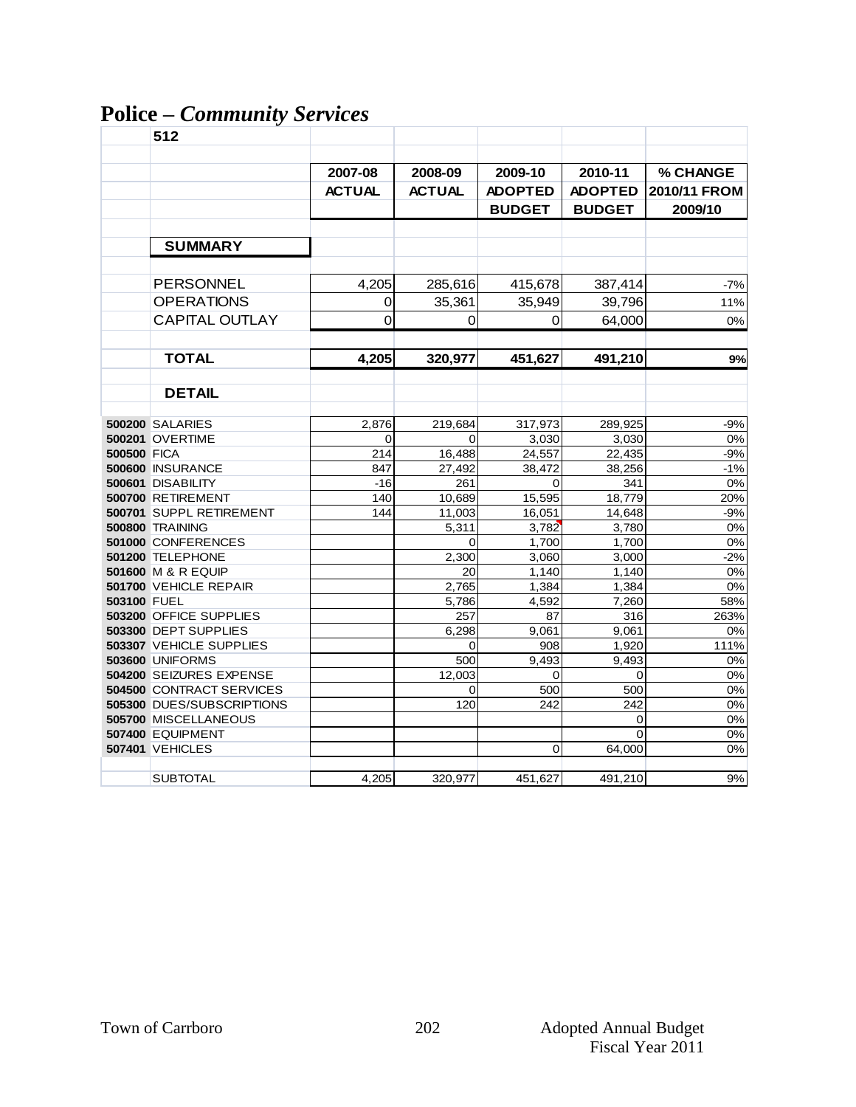# **Police –** *Community Services*

|                    | 512                                                   |               |               |                |                   |                        |
|--------------------|-------------------------------------------------------|---------------|---------------|----------------|-------------------|------------------------|
|                    |                                                       |               |               |                |                   |                        |
|                    |                                                       | 2007-08       | 2008-09       | 2009-10        | 2010-11           | % CHANGE               |
|                    |                                                       | <b>ACTUAL</b> | <b>ACTUAL</b> | <b>ADOPTED</b> | <b>ADOPTED</b>    | 2010/11 FROM           |
|                    |                                                       |               |               | <b>BUDGET</b>  | <b>BUDGET</b>     | 2009/10                |
|                    |                                                       |               |               |                |                   |                        |
|                    | <b>SUMMARY</b>                                        |               |               |                |                   |                        |
|                    |                                                       |               |               |                |                   |                        |
|                    | <b>PERSONNEL</b>                                      | 4,205         | 285,616       | 415,678        | 387,414           | $-7%$                  |
|                    | <b>OPERATIONS</b>                                     | 0             | 35,361        | 35,949         | 39,796            | 11%                    |
|                    | <b>CAPITAL OUTLAY</b>                                 | 0             | 0             | 0              | 64,000            | 0%                     |
|                    |                                                       |               |               |                |                   |                        |
|                    | <b>TOTAL</b>                                          | 4,205         | 320,977       | 451,627        | 491,210           | 9%                     |
|                    |                                                       |               |               |                |                   |                        |
|                    | <b>DETAIL</b>                                         |               |               |                |                   |                        |
|                    | <b>500200 SALARIES</b>                                | 2,876         | 219,684       | 317,973        | 289,925           | $-9%$                  |
|                    | <b>500201 OVERTIME</b>                                | 0             | $\Omega$      | 3,030          | 3,030             | 0%                     |
| <b>500500 FICA</b> |                                                       | 214           | 16,488        | 24,557         | 22,435            | $-9%$                  |
|                    | 500600 INSURANCE                                      | 847           | 27,492        | 38,472         | 38,256            | $-1%$                  |
|                    | 500601 DISABILITY                                     | $-16$         | 261           | 0              | 341               | 0%                     |
|                    | 500700 RETIREMENT                                     | 140           | 10,689        | 15,595         | 18,779            | 20%                    |
|                    | 500701 SUPPL RETIREMENT                               | 144           | 11,003        | 16,051         | 14,648            | $-9%$                  |
|                    | <b>500800 TRAINING</b>                                |               | 5,311         | 3,782          | 3,780             | 0%                     |
|                    | 501000 CONFERENCES                                    |               | $\Omega$      | 1,700          | 1,700             | 0%                     |
|                    | 501200 TELEPHONE                                      |               | 2.300         | 3.060          | 3.000             | $-2%$                  |
|                    | 501600 M & R EQUIP                                    |               | 20            | 1,140          | 1,140             | 0%                     |
|                    | 501700 VEHICLE REPAIR                                 |               | 2,765         | 1,384          | 1,384             | 0%                     |
| 503100 FUEL        |                                                       |               | 5,786         | 4.592          | 7.260             | 58%                    |
|                    | 503200 OFFICE SUPPLIES                                |               | 257           | 87             | 316               | 263%                   |
|                    | 503300 DEPT SUPPLIES                                  |               | 6,298         | 9,061          | 9,061             | 0%                     |
|                    | 503307 VEHICLE SUPPLIES                               |               | $\Omega$      | 908            | 1.920             | 111%                   |
|                    | <b>503600 UNIFORMS</b>                                |               | 500<br>12.003 | 9,493          | 9,493<br>$\Omega$ | 0%<br>$\overline{0\%}$ |
|                    | 504200 SEIZURES EXPENSE                               |               |               | $\Omega$       |                   |                        |
|                    | 504500 CONTRACT SERVICES<br>505300 DUES/SUBSCRIPTIONS |               | $\Omega$      | 500            | 500<br>242        | 0%                     |
|                    | 505700 MISCELLANEOUS                                  |               | 120           | 242            | 0                 | 0%<br>0%               |
|                    | 507400 EQUIPMENT                                      |               |               |                | $\Omega$          | $0\%$                  |
|                    | <b>507401 VEHICLES</b>                                |               |               | 0              | 64,000            | 0%                     |
|                    |                                                       |               |               |                |                   |                        |
|                    | <b>SUBTOTAL</b>                                       | 4,205         | 320,977       | 451,627        | 491,210           | 9%                     |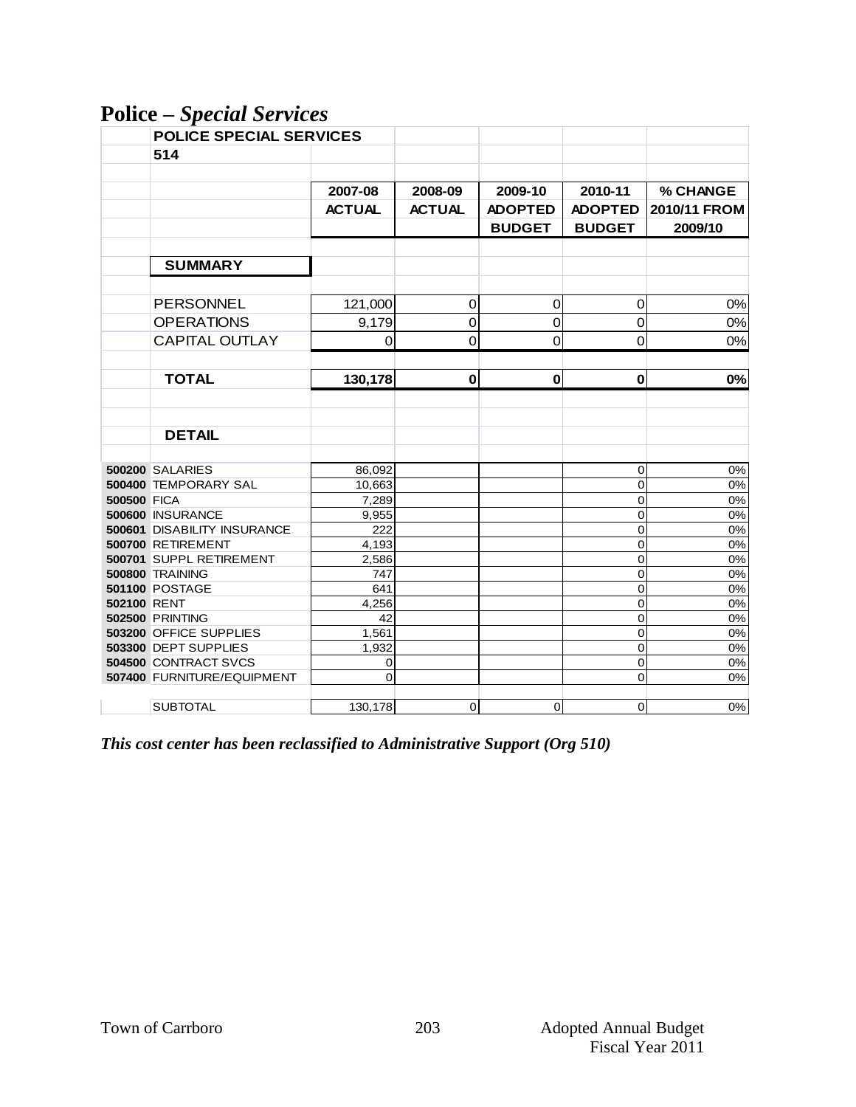**Police –** *Special Services*

|                    | <b>POLICE SPECIAL SERVICES</b> |               |                |                |                |              |
|--------------------|--------------------------------|---------------|----------------|----------------|----------------|--------------|
|                    | 514                            |               |                |                |                |              |
|                    |                                |               |                |                |                |              |
|                    |                                | 2007-08       | 2008-09        | 2009-10        | 2010-11        | % CHANGE     |
|                    |                                | <b>ACTUAL</b> | <b>ACTUAL</b>  | <b>ADOPTED</b> | <b>ADOPTED</b> | 2010/11 FROM |
|                    |                                |               |                | <b>BUDGET</b>  | <b>BUDGET</b>  | 2009/10      |
|                    |                                |               |                |                |                |              |
|                    | <b>SUMMARY</b>                 |               |                |                |                |              |
|                    |                                |               |                |                |                |              |
|                    |                                |               |                |                |                |              |
|                    | PERSONNEL                      | 121,000       | $\mathbf 0$    | 0              | $\mathbf 0$    | 0%           |
|                    | <b>OPERATIONS</b>              | 9,179         | $\mathbf 0$    | 0              | $\mathbf 0$    | 0%           |
|                    | <b>CAPITAL OUTLAY</b>          | 0             | 0              | $\mathbf 0$    | $\mathbf 0$    | 0%           |
|                    |                                |               |                |                |                |              |
|                    | <b>TOTAL</b>                   | 130,178       | $\bf{0}$       | $\mathbf 0$    | $\bf{0}$       | 0%           |
|                    |                                |               |                |                |                |              |
|                    |                                |               |                |                |                |              |
|                    | <b>DETAIL</b>                  |               |                |                |                |              |
|                    |                                |               |                |                |                |              |
|                    | <b>500200 SALARIES</b>         | 86,092        |                |                |                | 0%           |
|                    | 500400 TEMPORARY SAL           | 10,663        |                |                | 0<br>0         | $0\%$        |
| <b>500500 FICA</b> |                                | 7,289         |                |                | 0              | $0\%$        |
|                    | 500600 INSURANCE               | 9,955         |                |                | 0              | $0\%$        |
|                    | 500601 DISABILITY INSURANCE    | 222           |                |                | 0              | 0%           |
|                    | 500700 RETIREMENT              | 4,193         |                |                | 0              | 0%           |
|                    | 500701 SUPPL RETIREMENT        | 2,586         |                |                | 0              | $0\%$        |
|                    | <b>500800 TRAINING</b>         | 747           |                |                | $\mathbf 0$    | $0\%$        |
|                    | <b>501100 POSTAGE</b>          | 641           |                |                | $\mathbf 0$    | $0\%$        |
| 502100 RENT        |                                | 4,256         |                |                | $\overline{0}$ | 0%           |
|                    | <b>502500 PRINTING</b>         | 42            |                |                | $\mathbf 0$    | $0\%$        |
|                    | 503200 OFFICE SUPPLIES         | 1,561         |                |                | 0              | $0\%$        |
|                    | 503300 DEPT SUPPLIES           | 1,932         |                |                | 0              | $0\%$        |
|                    | 504500 CONTRACT SVCS           | 0             |                |                | 0              | $0\%$        |
|                    | 507400 FURNITURE/EQUIPMENT     | 0             |                |                | 0              | 0%           |
|                    |                                |               |                |                |                |              |
|                    | <b>SUBTOTAL</b>                | 130,178       | $\overline{0}$ | $\mathbf 0$    | $\overline{0}$ | $0\%$        |

*This cost center has been reclassified to Administrative Support (Org 510)*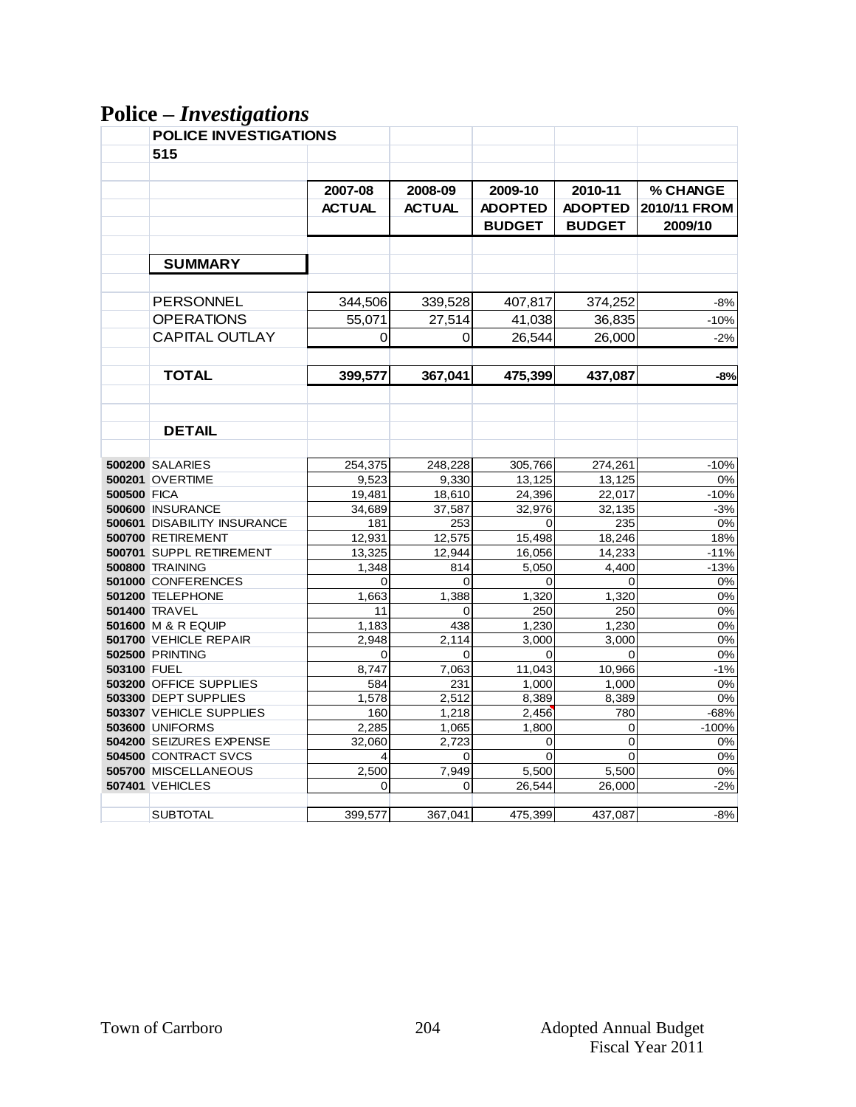# **Police –** *Investigations*

|                    | <b>POLICE INVESTIGATIONS</b>           |               |               |                |                |              |
|--------------------|----------------------------------------|---------------|---------------|----------------|----------------|--------------|
|                    | 515                                    |               |               |                |                |              |
|                    |                                        |               |               |                |                |              |
|                    |                                        | 2007-08       | 2008-09       | 2009-10        | 2010-11        | % CHANGE     |
|                    |                                        | <b>ACTUAL</b> | <b>ACTUAL</b> | <b>ADOPTED</b> | <b>ADOPTED</b> | 2010/11 FROM |
|                    |                                        |               |               | <b>BUDGET</b>  | <b>BUDGET</b>  | 2009/10      |
|                    |                                        |               |               |                |                |              |
|                    |                                        |               |               |                |                |              |
|                    | <b>SUMMARY</b>                         |               |               |                |                |              |
|                    |                                        |               |               |                |                |              |
|                    | <b>PERSONNEL</b>                       | 344,506       | 339,528       | 407,817        | 374,252        | $-8%$        |
|                    | <b>OPERATIONS</b>                      | 55,071        | 27,514        | 41,038         | 36,835         | $-10%$       |
|                    | <b>CAPITAL OUTLAY</b>                  | 0             | 0             | 26,544         | 26,000         | $-2%$        |
|                    |                                        |               |               |                |                |              |
|                    | <b>TOTAL</b>                           |               |               |                |                |              |
|                    |                                        | 399,577       | 367,041       | 475,399        | 437,087        | $-8%$        |
|                    |                                        |               |               |                |                |              |
|                    |                                        |               |               |                |                |              |
|                    | <b>DETAIL</b>                          |               |               |                |                |              |
|                    |                                        |               |               |                |                |              |
|                    | <b>500200 SALARIES</b>                 | 254,375       | 248,228       | 305,766        | 274,261        | $-10%$       |
|                    | <b>500201 OVERTIME</b>                 | 9,523         | 9,330         | 13,125         | 13,125         | 0%           |
| <b>500500 FICA</b> |                                        | 19,481        | 18,610        | 24,396         | 22,017         | $-10%$       |
|                    | 500600 INSURANCE                       | 34,689        | 37,587        | 32,976         | 32,135         | $-3%$        |
|                    | 500601 DISABILITY INSURANCE            | 181           | 253           | 0              | 235            | 0%           |
|                    | 500700 RETIREMENT                      | 12,931        | 12,575        | 15,498         | 18,246         | 18%          |
|                    | 500701 SUPPL RETIREMENT                | 13,325        | 12,944        | 16,056         | 14,233         | $-11%$       |
|                    | <b>500800 TRAINING</b>                 | 1,348         | 814           | 5,050          | 4,400          | $-13%$       |
|                    | 501000 CONFERENCES<br>501200 TELEPHONE | 0<br>1,663    | 0<br>1,388    | 0<br>1,320     | 0<br>1,320     | 0%<br>0%     |
|                    | <b>501400 TRAVEL</b>                   | 11            | 0             | 250            | 250            | 0%           |
|                    | 501600 M & R EQUIP                     | 1,183         | 438           | 1.230          | 1.230          | 0%           |
|                    | 501700 VEHICLE REPAIR                  | 2,948         | 2,114         | 3,000          | 3,000          | 0%           |
|                    | <b>502500 PRINTING</b>                 | $\Omega$      | $\Omega$      | $\Omega$       | $\Omega$       | 0%           |
| 503100 FUEL        |                                        | 8,747         | 7,063         | 11,043         | 10,966         | $-1%$        |
|                    | 503200 OFFICE SUPPLIES                 | 584           | 231           | 1,000          | 1,000          | 0%           |
|                    | 503300 DEPT SUPPLIES                   | 1,578         | 2,512         | 8,389          | 8,389          | 0%           |
|                    | 503307 VEHICLE SUPPLIES                | 160           | 1,218         | 2,456          | 780            | $-68%$       |
|                    | <b>503600 UNIFORMS</b>                 | 2,285         | 1,065         | 1,800          | 0              | $-100%$      |
|                    | 504200 SEIZURES EXPENSE                | 32,060        | 2,723         | 0              | 0              | 0%           |
|                    | 504500 CONTRACT SVCS                   | 4             | 0             | 0              | $\mathbf 0$    | 0%           |
|                    | 505700 MISCELLANEOUS                   | 2,500         | 7,949         | 5,500          | 5,500          | 0%           |
|                    | 507401 VEHICLES                        | $\Omega$      | 0             | 26,544         | 26,000         | $-2%$        |
|                    | <b>SUBTOTAL</b>                        | 399,577       | 367,041       | 475,399        | 437,087        | $-8%$        |
|                    |                                        |               |               |                |                |              |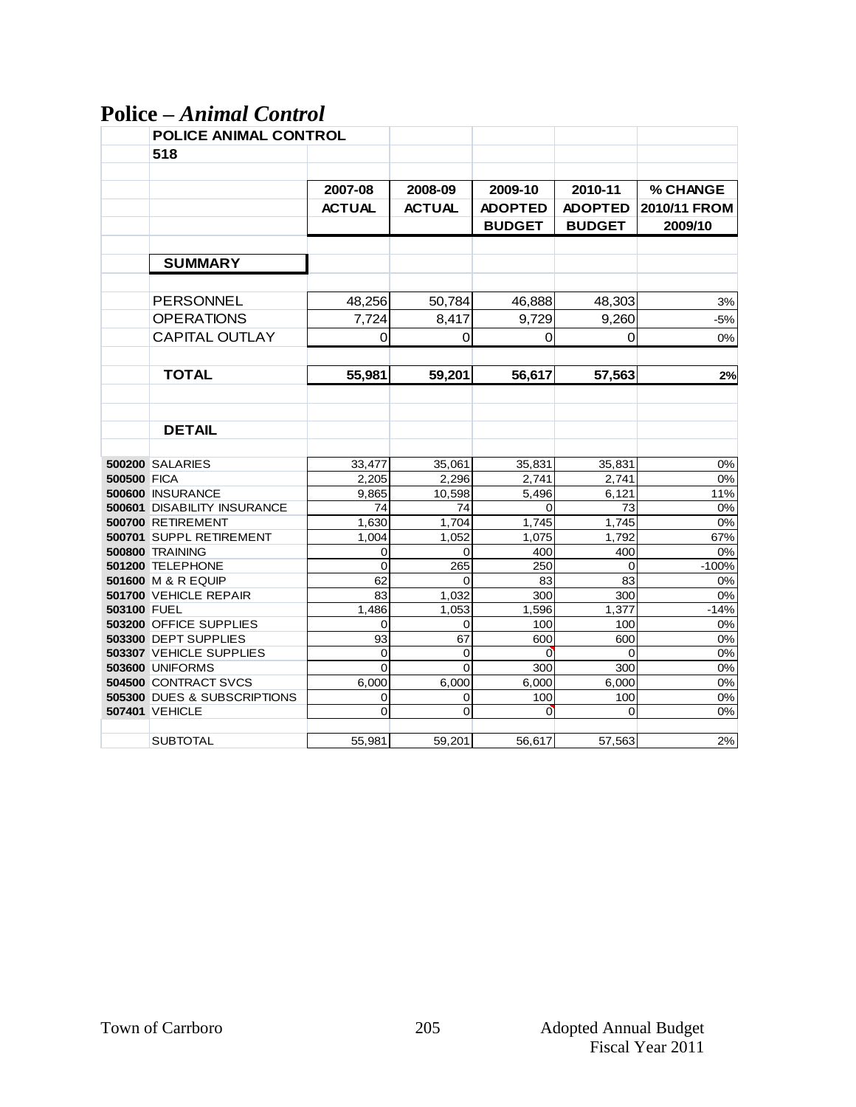# **Police –** *Animal Control*

|                    | <b>POLICE ANIMAL CONTROL</b> |                |               |                |                |              |
|--------------------|------------------------------|----------------|---------------|----------------|----------------|--------------|
|                    | 518                          |                |               |                |                |              |
|                    |                              |                |               |                |                |              |
|                    |                              | 2007-08        | 2008-09       | 2009-10        | 2010-11        | % CHANGE     |
|                    |                              | <b>ACTUAL</b>  | <b>ACTUAL</b> | <b>ADOPTED</b> | <b>ADOPTED</b> | 2010/11 FROM |
|                    |                              |                |               | <b>BUDGET</b>  | <b>BUDGET</b>  | 2009/10      |
|                    |                              |                |               |                |                |              |
|                    |                              |                |               |                |                |              |
|                    | <b>SUMMARY</b>               |                |               |                |                |              |
|                    |                              |                |               |                |                |              |
|                    | <b>PERSONNEL</b>             | 48,256         | 50,784        | 46,888         | 48,303         | 3%           |
|                    | <b>OPERATIONS</b>            | 7,724          | 8,417         | 9,729          | 9,260          | $-5%$        |
|                    | <b>CAPITAL OUTLAY</b>        | 0              | $\mathbf 0$   | $\Omega$       | $\mathbf 0$    | 0%           |
|                    |                              |                |               |                |                |              |
|                    | <b>TOTAL</b>                 | 55,981         | 59,201        | 56,617         | 57,563         | 2%           |
|                    |                              |                |               |                |                |              |
|                    |                              |                |               |                |                |              |
|                    | <b>DETAIL</b>                |                |               |                |                |              |
|                    |                              |                |               |                |                |              |
|                    | <b>500200 SALARIES</b>       | 33,477         | 35,061        | 35,831         | 35,831         | 0%           |
| <b>500500 FICA</b> |                              | 2,205          | 2.296         | 2.741          | 2.741          | 0%           |
|                    | 500600 INSURANCE             | 9,865          | 10,598        | 5,496          | 6,121          | 11%          |
|                    | 500601 DISABILITY INSURANCE  | 74             | 74            | $\Omega$       | 73             | 0%           |
|                    | 500700 RETIREMENT            | 1,630          | 1,704         | 1,745          | 1,745          | 0%           |
|                    | 500701 SUPPL RETIREMENT      | 1,004          | 1,052         | 1,075          | 1,792          | 67%          |
|                    | 500800 TRAINING              | 0              | 0             | 400            | 400            | 0%           |
|                    | 501200 TELEPHONE             | $\overline{0}$ | 265           | 250            | $\mathbf 0$    | $-100%$      |
|                    | 501600 M & R EQUIP           | 62             | 0             | 83             | 83             | 0%           |
|                    | 501700 VEHICLE REPAIR        | 83             | 1,032         | 300            | 300            | 0%           |
| 503100 FUEL        |                              | 1,486          | 1,053         | 1,596          | 1,377          | $-14%$       |
|                    | 503200 OFFICE SUPPLIES       | 0              | 0             | 100            | 100            | 0%           |
|                    | 503300 DEPT SUPPLIES         | 93             | 67            | 600            | 600            | 0%           |
|                    | 503307 VEHICLE SUPPLIES      | 0              | 0             | $\overline{0}$ | 0              | 0%           |
|                    | <b>503600 UNIFORMS</b>       | $\Omega$       | 0             | 300            | 300            | 0%           |
|                    | <b>504500 CONTRACT SVCS</b>  | 6,000          | 6,000         | 6,000          | 6,000          | 0%           |
|                    | 505300 DUES & SUBSCRIPTIONS  | 0              | 0             | 100            | 100            | 0%           |
|                    | <b>507401 VEHICLE</b>        | 0              | 0             | $\overline{0}$ | 0              | 0%           |
|                    |                              |                |               |                |                |              |
|                    | <b>SUBTOTAL</b>              | 55,981         | 59,201        | 56,617         | 57,563         | 2%           |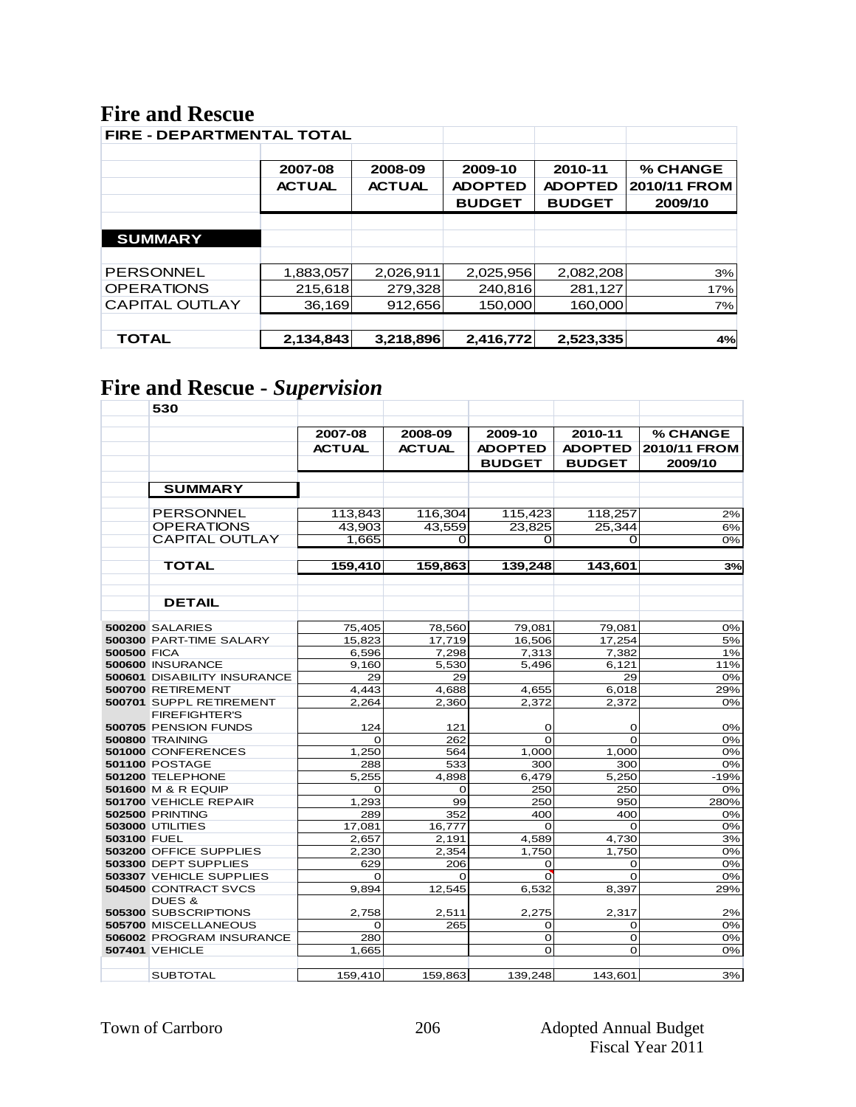# **Fire and Rescue**

| <b>FIRE - DEPARTMENTAL TOTAL</b> |               |               |                |                |              |
|----------------------------------|---------------|---------------|----------------|----------------|--------------|
|                                  |               |               |                |                |              |
|                                  | 2007-08       | 2008-09       | 2009-10        | 2010-11        | % CHANGE     |
|                                  | <b>ACTUAL</b> | <b>ACTUAL</b> | <b>ADOPTED</b> | <b>ADOPTED</b> | 2010/11 FROM |
|                                  |               |               | <b>BUDGET</b>  | <b>BUDGET</b>  | 2009/10      |
|                                  |               |               |                |                |              |
| <b>SUMMARY</b>                   |               |               |                |                |              |
|                                  |               |               |                |                |              |
| <b>PERSONNEL</b>                 | 1,883,057     | 2,026,911     | 2,025,956      | 2,082,208      | 3%           |
| <b>OPERATIONS</b>                | 215,618       | 279,328       | 240,816        | 281,127        | 17%          |
| <b>CAPITAL OUTLAY</b>            | 36,169        | 912,656       | 150,000        | 160,000        | 7%           |
|                                  |               |               |                |                |              |
| <b>TOTAL</b>                     | 2,134,843     | 3,218,896     | 2,416,772      | 2,523,335      | 4%           |

# **Fire and Rescue -** *Supervision*

|                    | 530                                |                |                |                |                |              |
|--------------------|------------------------------------|----------------|----------------|----------------|----------------|--------------|
|                    |                                    |                |                |                |                |              |
|                    |                                    | 2007-08        | 2008-09        | 2009-10        | 2010-11        | % CHANGE     |
|                    |                                    | <b>ACTUAL</b>  | <b>ACTUAL</b>  | <b>ADOPTED</b> | <b>ADOPTED</b> | 2010/11 FROM |
|                    |                                    |                |                | <b>BUDGET</b>  | <b>BUDGET</b>  | 2009/10      |
|                    | <b>SUMMARY</b>                     |                |                |                |                |              |
|                    | PERSONNEL                          | 113,843        | 116,304        | 115,423        | 118,257        | 2%           |
|                    | <b>OPERATIONS</b>                  | 43.903         | 43.559         | 23.825         | 25.344         | 6%           |
|                    | <b>CAPITAL OUTLAY</b>              | 1.665          | o              | 0              | 0              | 0%           |
|                    | <b>TOTAL</b>                       |                |                |                |                |              |
|                    |                                    | 159,410        | 159,863        | 139,248        | 143,601        | 3%           |
|                    |                                    |                |                |                |                |              |
|                    | <b>DETAIL</b>                      |                |                |                |                |              |
|                    | <b>500200 SALARIES</b>             | 75,405         | 78,560         | 79,081         | 79,081         | 0%           |
|                    | 500300 PART-TIME SALARY            | 15.823         | 17,719         | 16,506         | 17,254         | 5%           |
| <b>500500 FICA</b> |                                    | 6,596          | 7,298          | 7,313          | 7,382          | 1%           |
|                    | 500600 INSURANCE                   | 9.160          | 5.530          | 5.496          | 6,121          | 11%          |
|                    | <b>500601 DISABILITY INSURANCE</b> | 29             | 29             |                | 29             | 0%           |
|                    | 500700 RETIREMENT                  | 4,443          | 4,688          | 4,655          | 6,018          | 29%          |
|                    | 500701 SUPPL RETIREMENT            | 2.264          | 2,360          | 2,372          | 2,372          | 0%           |
|                    | <b>FIREFIGHTER'S</b>               |                |                |                |                |              |
|                    | 500705 PENSION FUNDS               | 124            | 121            | O              | O              | 0%           |
|                    | <b>500800 TRAINING</b>             | $\Omega$       | 262            | $\Omega$       | $\Omega$       | 0%           |
|                    | 501000 CONFERENCES                 | 1,250          | 564            | 1,000          | 1,000          | 0%           |
|                    | <b>501100 POSTAGE</b>              | 288            | 533            | 300            | 300            | 0%           |
|                    | 501200 TELEPHONE                   | 5,255          | 4,898          | 6,479          | 5,250          | $-19%$       |
|                    | 501600 M & R EQUIP                 | $\Omega$       | $\Omega$       | 250            | 250            | 0%           |
|                    | <b>501700 VEHICLE REPAIR</b>       | 1.293          | 99             | 250            | 950            | 280%         |
|                    | <b>502500 PRINTING</b>             | 289            | 352            | 400            | 400            | 0%           |
|                    | <b>503000 UTILITIES</b>            | 17,081         | 16,777         | $\Omega$       | $\Omega$       | 0%           |
| 503100 FUEL        | 503200 OFFICE SUPPLIES             | 2,657<br>2,230 | 2,191<br>2,354 | 4,589<br>1,750 | 4,730<br>1,750 | 3%<br>0%     |
|                    | 503300 DEPT SUPPLIES               | 629            | 206            | $\mathbf 0$    | 0              | 0%           |
|                    | 503307 VEHICLE SUPPLIES            | $\Omega$       | O              | $\mathbf{0}$   | 0              | 0%           |
|                    | 504500 CONTRACT SVCS               | 9,894          | 12,545         | 6,532          | 8,397          | 29%          |
|                    | DUES &                             |                |                |                |                |              |
|                    | 505300 SUBSCRIPTIONS               | 2,758          | 2,511          | 2,275          | 2,317          | 2%           |
|                    | 505700 MISCELLANEOUS               | 0              | 265            | O              | 0              | 0%           |
|                    | 506002 PROGRAM INSURANCE           | 280            |                | $\mathbf 0$    | O              | 0%           |
|                    | <b>507401 VEHICLE</b>              | 1,665          |                | $\mathbf 0$    | $\Omega$       | 0%           |
|                    |                                    |                |                |                |                |              |
|                    | <b>SUBTOTAL</b>                    | 159,410        | 159,863        | 139,248        | 143,601        | 3%           |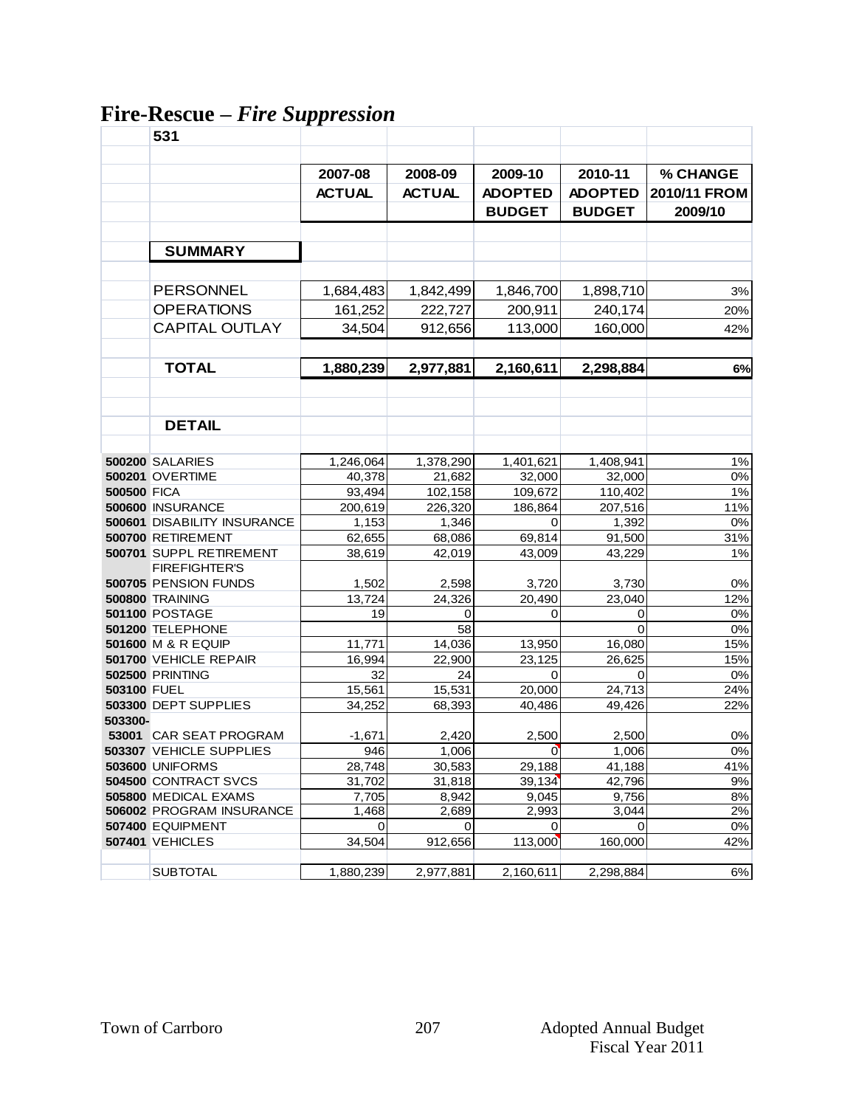# **Fire-Rescue –** *Fire Suppression*

|                    | 531                                |               |               |                |                |              |
|--------------------|------------------------------------|---------------|---------------|----------------|----------------|--------------|
|                    |                                    |               |               |                |                |              |
|                    |                                    | 2007-08       | 2008-09       | 2009-10        | 2010-11        | % CHANGE     |
|                    |                                    | <b>ACTUAL</b> | <b>ACTUAL</b> | <b>ADOPTED</b> | <b>ADOPTED</b> | 2010/11 FROM |
|                    |                                    |               |               | <b>BUDGET</b>  | <b>BUDGET</b>  | 2009/10      |
|                    |                                    |               |               |                |                |              |
|                    | <b>SUMMARY</b>                     |               |               |                |                |              |
|                    |                                    |               |               |                |                |              |
|                    | <b>PERSONNEL</b>                   | 1,684,483     | 1,842,499     | 1,846,700      | 1,898,710      | 3%           |
|                    | <b>OPERATIONS</b>                  | 161,252       | 222,727       | 200,911        | 240,174        | 20%          |
|                    | <b>CAPITAL OUTLAY</b>              | 34,504        | 912,656       | 113,000        | 160,000        | 42%          |
|                    |                                    |               |               |                |                |              |
|                    | <b>TOTAL</b>                       | 1,880,239     | 2,977,881     | 2,160,611      | 2,298,884      | 6%           |
|                    |                                    |               |               |                |                |              |
|                    |                                    |               |               |                |                |              |
|                    | <b>DETAIL</b>                      |               |               |                |                |              |
|                    |                                    |               |               |                |                |              |
|                    | <b>500200 SALARIES</b>             | 1,246,064     | 1,378,290     | 1,401,621      | 1,408,941      | 1%           |
|                    | <b>500201 OVERTIME</b>             | 40,378        | 21,682        | 32,000         | 32,000         | 0%           |
| <b>500500 FICA</b> |                                    | 93,494        | 102,158       | 109,672        | 110.402        | $1\%$        |
|                    | 500600 INSURANCE                   | 200,619       | 226,320       | 186,864        | 207,516        | 11%          |
|                    | <b>500601 DISABILITY INSURANCE</b> | 1,153         | 1,346         | 0              | 1,392          | 0%           |
|                    | 500700 RETIREMENT                  | 62,655        | 68,086        | 69,814         | 91,500         | 31%          |
|                    | 500701 SUPPL RETIREMENT            | 38,619        | 42,019        | 43,009         | 43,229         | 1%           |
|                    | <b>FIREFIGHTER'S</b>               |               |               |                |                |              |
|                    | 500705 PENSION FUNDS               | 1,502         | 2,598         | 3,720          | 3,730          | 0%           |
|                    | 500800 TRAINING                    | 13,724        | 24,326        | 20,490         | 23,040         | 12%          |
|                    | <b>501100 POSTAGE</b>              | 19            | 0             | 0              | 0              | 0%           |
|                    | 501200 TELEPHONE                   |               | 58            |                | $\Omega$       | 0%           |
|                    | 501600 M & R EQUIP                 | 11,771        | 14,036        | 13,950         | 16,080         | 15%          |
|                    | 501700 VEHICLE REPAIR              | 16,994        | 22,900        | 23,125         | 26,625         | 15%          |
|                    | <b>502500 PRINTING</b>             | 32            | 24            | $\Omega$       | 0              | 0%           |
| <b>503100 FUEL</b> |                                    | 15,561        | 15,531        | 20,000         | 24,713         | 24%          |
|                    | 503300 DEPT SUPPLIES               | 34,252        | 68,393        | 40,486         | 49,426         | 22%          |
| 503300-            |                                    |               |               |                |                |              |
|                    | 53001 CAR SEAT PROGRAM             | $-1,671$      | 2,420         | 2,500          | 2,500          | $0\%$        |
|                    | <b>503307 VEHICLE SUPPLIES</b>     | 946           | 1.006         | $\overline{0}$ | 1.006          | 0%           |
|                    | <b>503600 UNIFORMS</b>             | 28,748        | 30,583        | 29,188         | 41,188         | 41%          |
|                    | 504500 CONTRACT SVCS               | 31,702        | 31,818        | 39,134         | 42,796         | 9%           |
|                    | 505800 MEDICAL EXAMS               | 7,705         | 8,942         | 9.045          | 9,756          | 8%           |
|                    | 506002 PROGRAM INSURANCE           | 1,468         | 2,689         | 2,993          | 3,044          | 2%           |
|                    | 507400 EQUIPMENT                   | 0             | 0             | 0              | 0              | $0\%$        |
|                    | <b>507401 VEHICLES</b>             | 34,504        | 912,656       | 113,000        | 160,000        | 42%          |
|                    | <b>SUBTOTAL</b>                    | 1,880,239     | 2,977,881     | 2,160,611      | 2,298,884      | 6%           |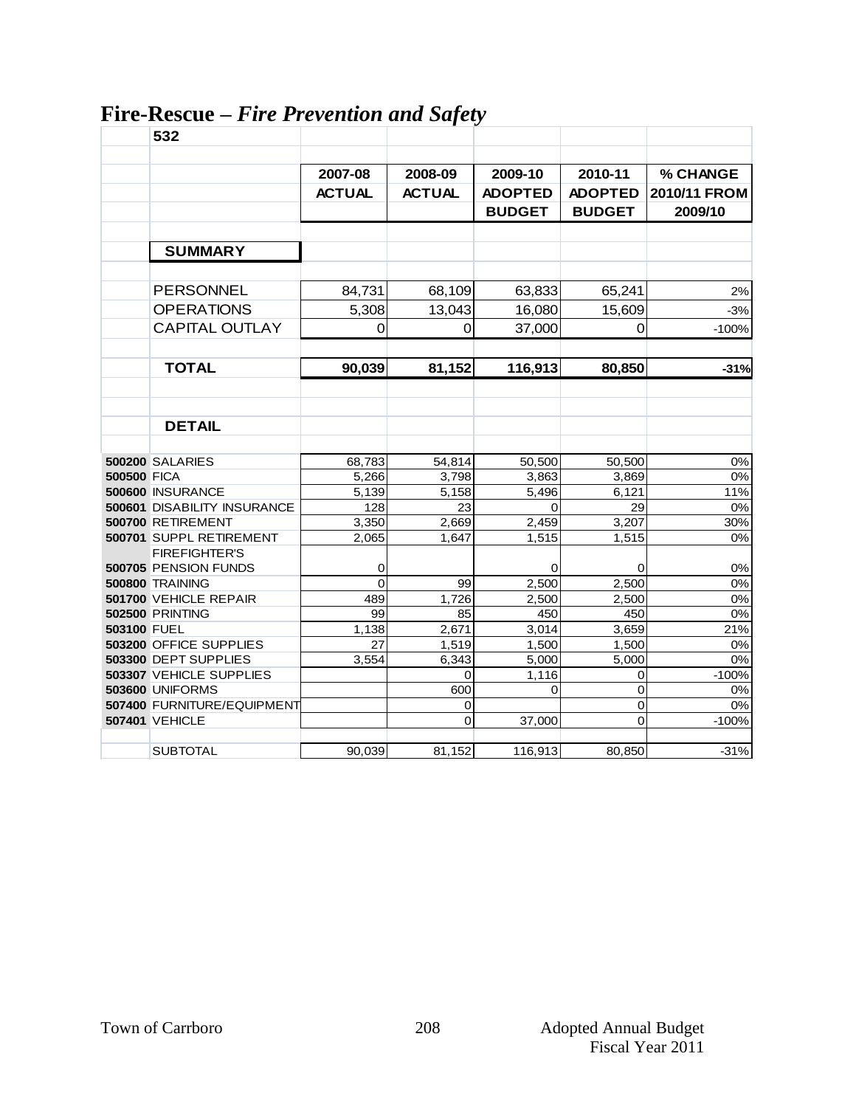|                    | 532                         |               |               |                |                |              |
|--------------------|-----------------------------|---------------|---------------|----------------|----------------|--------------|
|                    |                             |               |               |                |                |              |
|                    |                             | 2007-08       | 2008-09       | 2009-10        | 2010-11        | % CHANGE     |
|                    |                             | <b>ACTUAL</b> | <b>ACTUAL</b> | <b>ADOPTED</b> | <b>ADOPTED</b> | 2010/11 FROM |
|                    |                             |               |               | <b>BUDGET</b>  | <b>BUDGET</b>  | 2009/10      |
|                    |                             |               |               |                |                |              |
|                    | <b>SUMMARY</b>              |               |               |                |                |              |
|                    |                             |               |               |                |                |              |
|                    | <b>PERSONNEL</b>            | 84,731        | 68,109        | 63,833         | 65,241         | 2%           |
|                    | <b>OPERATIONS</b>           | 5,308         | 13,043        | 16,080         | 15,609         | $-3%$        |
|                    | <b>CAPITAL OUTLAY</b>       | 0             | $\mathbf 0$   | 37,000         | $\mathbf 0$    | $-100%$      |
|                    |                             |               |               |                |                |              |
|                    | <b>TOTAL</b>                | 90,039        | 81,152        | 116,913        | 80,850         | $-31%$       |
|                    |                             |               |               |                |                |              |
|                    | <b>DETAIL</b>               |               |               |                |                |              |
|                    |                             |               |               |                |                |              |
|                    | <b>500200 SALARIES</b>      | 68,783        | 54,814        | 50,500         | 50,500         | 0%           |
| <b>500500 FICA</b> |                             | 5,266         | 3,798         | 3,863          | 3,869          | 0%           |
|                    | 500600 INSURANCE            | 5,139         | 5,158         | 5,496          | 6,121          | 11%          |
|                    | 500601 DISABILITY INSURANCE | 128           | 23            | $\Omega$       | 29             | 0%           |
|                    | 500700 RETIREMENT           | 3,350         | 2,669         | 2,459          | 3,207          | 30%          |
|                    | 500701 SUPPL RETIREMENT     | 2,065         | 1,647         | 1,515          | 1,515          | 0%           |
|                    | <b>FIREFIGHTER'S</b>        |               |               |                |                |              |
|                    | 500705 PENSION FUNDS        | 0             |               | 0              | 0              | 0%           |
|                    | <b>500800 TRAINING</b>      | $\Omega$      | 99            | 2,500          | 2,500          | 0%           |
|                    | 501700 VEHICLE REPAIR       | 489           | 1,726         | 2,500          | 2,500          | 0%           |
|                    | <b>502500 PRINTING</b>      | 99            | 85            | 450            | 450            | 0%           |
| 503100 FUEL        |                             | 1,138         | 2,671         | 3,014          | 3,659          | 21%          |
|                    | 503200 OFFICE SUPPLIES      | 27            | 1,519         | 1,500          | 1,500          | 0%           |
|                    | 503300 DEPT SUPPLIES        | 3.554         | 6,343         | 5,000          | 5,000          | 0%           |
|                    | 503307 VEHICLE SUPPLIES     |               | $\Omega$      | 1,116          | 0              | $-100%$      |
|                    | <b>503600 UNIFORMS</b>      |               | 600           | $\Omega$       | 0              | 0%           |
|                    | 507400 FURNITURE/EQUIPMENT  |               | 0             |                | 0              | 0%           |
|                    | <b>507401 VEHICLE</b>       |               | 0             | 37,000         | 0              | $-100%$      |
|                    | <b>SUBTOTAL</b>             | 90,039        | 81,152        | 116,913        | 80,850         | $-31%$       |
|                    |                             |               |               |                |                |              |

# **Fire-Rescue –** *Fire Prevention and Safety*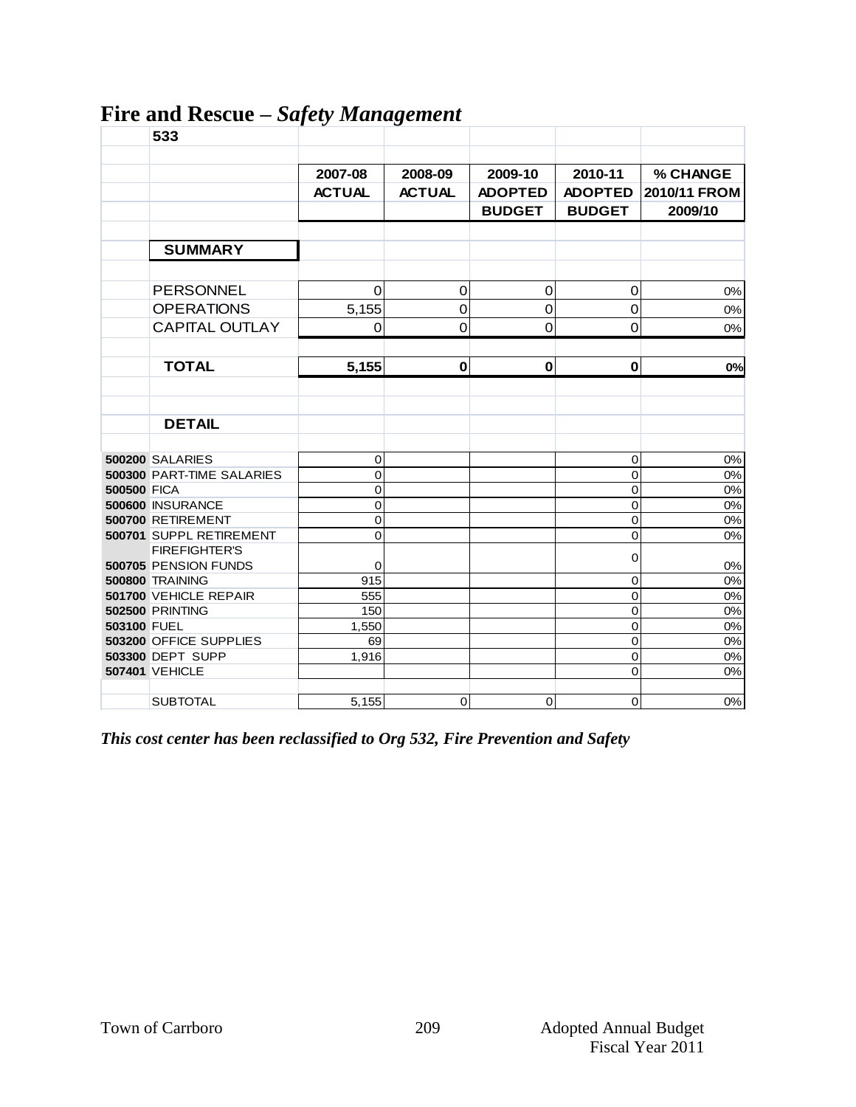|                    | 533                                        | $\mathbf{v}$ $\mathbf{v}$ | $\bullet$      |                |                |              |
|--------------------|--------------------------------------------|---------------------------|----------------|----------------|----------------|--------------|
|                    |                                            | 2007-08                   | 2008-09        | 2009-10        | 2010-11        | % CHANGE     |
|                    |                                            | <b>ACTUAL</b>             | <b>ACTUAL</b>  | <b>ADOPTED</b> | <b>ADOPTED</b> | 2010/11 FROM |
|                    |                                            |                           |                | <b>BUDGET</b>  | <b>BUDGET</b>  | 2009/10      |
|                    |                                            |                           |                |                |                |              |
|                    | <b>SUMMARY</b>                             |                           |                |                |                |              |
|                    |                                            |                           |                |                |                |              |
|                    | <b>PERSONNEL</b>                           | $\Omega$                  | $\mathbf 0$    | $\mathbf 0$    | $\mathbf 0$    | 0%           |
|                    | <b>OPERATIONS</b>                          | 5,155                     | $\mathbf 0$    | $\mathbf 0$    | $\mathbf 0$    | 0%           |
|                    | <b>CAPITAL OUTLAY</b>                      | $\Omega$                  | $\overline{0}$ | $\mathbf 0$    | $\overline{0}$ | 0%           |
|                    |                                            |                           |                |                |                |              |
|                    | <b>TOTAL</b>                               | 5,155                     | $\pmb{0}$      | $\mathbf 0$    | $\mathbf{0}$   | 0%           |
|                    |                                            |                           |                |                |                |              |
|                    |                                            |                           |                |                |                |              |
|                    | <b>DETAIL</b>                              |                           |                |                |                |              |
|                    | <b>500200 SALARIES</b>                     | $\mathsf 0$               |                |                | 0              | 0%           |
|                    | 500300 PART-TIME SALARIES                  | 0                         |                |                | $\overline{0}$ | 0%           |
| <b>500500 FICA</b> |                                            | 0                         |                |                | 0              | 0%           |
|                    | 500600 INSURANCE                           | $\overline{0}$            |                |                | 0              | 0%           |
|                    | 500700 RETIREMENT                          | $\mathbf{O}$              |                |                | 0              | $0\%$        |
|                    | 500701 SUPPL RETIREMENT                    | $\overline{0}$            |                |                | 0              | 0%           |
|                    | <b>FIREFIGHTER'S</b>                       |                           |                |                | 0              |              |
|                    | 500705 PENSION FUNDS                       | 0                         |                |                |                | 0%           |
|                    | <b>500800 TRAINING</b>                     | 915                       |                |                | 0              | 0%           |
|                    | 501700 VEHICLE REPAIR                      | 555                       |                |                | 0              | 0%           |
|                    | <b>502500 PRINTING</b>                     | 150                       |                |                | 0              | 0%           |
| 503100 FUEL        |                                            | 1,550                     |                |                | $\mathbf 0$    | 0%           |
|                    | 503200 OFFICE SUPPLIES<br>503300 DEPT SUPP | 69<br>1,916               |                |                | 0<br>0         | 0%<br>$0\%$  |
|                    | <b>507401 VEHICLE</b>                      |                           |                |                | 0              | 0%           |
|                    |                                            |                           |                |                |                |              |
|                    | <b>SUBTOTAL</b>                            | 5,155                     | $\mathbf 0$    | $\Omega$       | $\overline{0}$ | 0%           |

#### **Fire and Rescue –** *Safety Management*

*This cost center has been reclassified to Org 532, Fire Prevention and Safety*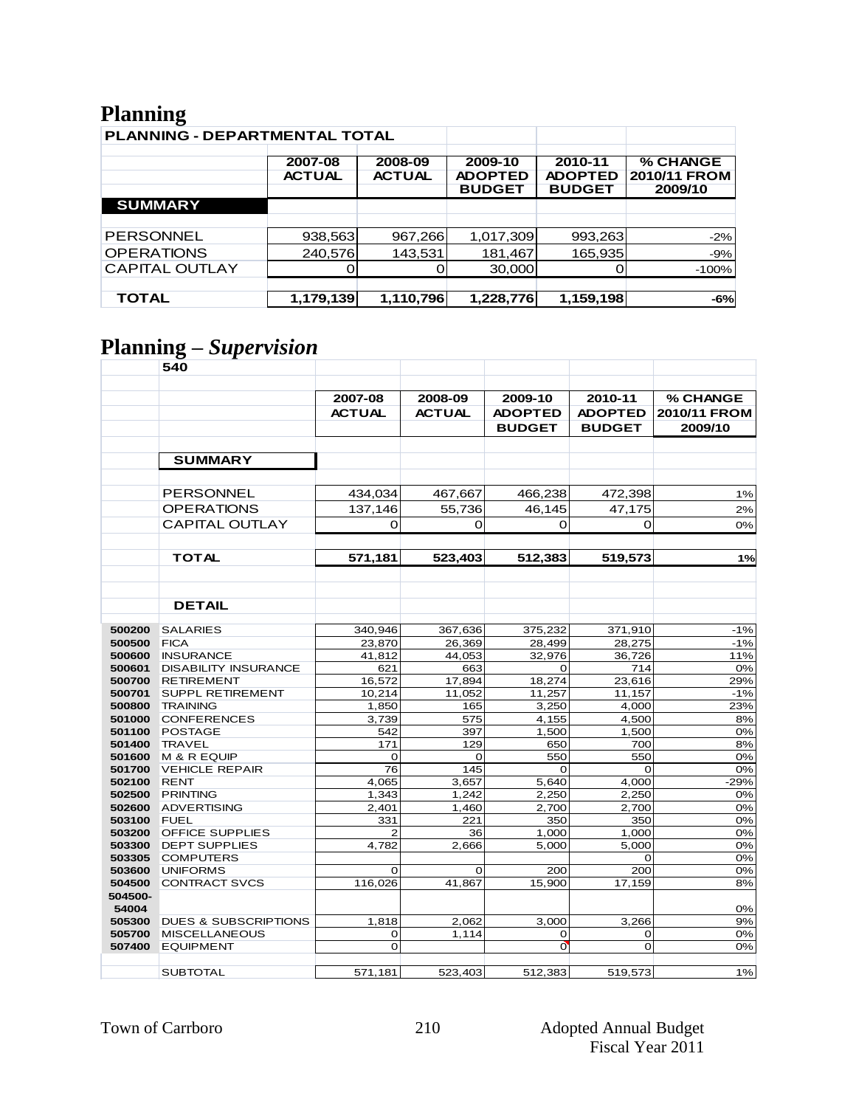## **Planning**

| ີ<br>PLANNING - DEPARTMENTAL TOTAL |                                                      |           |                                            |                                            |                                     |
|------------------------------------|------------------------------------------------------|-----------|--------------------------------------------|--------------------------------------------|-------------------------------------|
|                                    | 2007-08<br>2008-09<br><b>ACTUAL</b><br><b>ACTUAL</b> |           | 2009-10<br><b>ADOPTED</b><br><b>BUDGET</b> | 2010-11<br><b>ADOPTED</b><br><b>BUDGET</b> | % CHANGE<br>2010/11 FROM<br>2009/10 |
| <b>SUMMARY</b>                     |                                                      |           |                                            |                                            |                                     |
|                                    |                                                      |           |                                            |                                            |                                     |
| <b>PERSONNEL</b>                   | 938,563                                              | 967,266   | 1,017,309                                  | 993,263                                    | $-2%$                               |
| <b>OPERATIONS</b>                  | 240,576                                              | 143,531   | 181,467                                    | 165,935                                    | $-9%$                               |
| <b>CAPITAL OUTLAY</b>              |                                                      |           | 30,000                                     |                                            | $-100%$                             |
|                                    |                                                      |           |                                            |                                            |                                     |
| <b>TOTAL</b>                       | 1,179,139                                            | 1,110,796 | 1,228,776                                  | 1,159,198                                  | $-6%$                               |

# **Planning –** *Supervision*

|         | 540                             |               |               |                |                |              |
|---------|---------------------------------|---------------|---------------|----------------|----------------|--------------|
|         |                                 |               |               |                |                |              |
|         |                                 | 2007-08       | 2008-09       | 2009-10        | 2010-11        | % CHANGE     |
|         |                                 |               | <b>ACTUAL</b> |                |                |              |
|         |                                 | <b>ACTUAL</b> |               | <b>ADOPTED</b> | <b>ADOPTED</b> | 2010/11 FROM |
|         |                                 |               |               | <b>BUDGET</b>  | <b>BUDGET</b>  | 2009/10      |
|         |                                 |               |               |                |                |              |
|         | <b>SUMMARY</b>                  |               |               |                |                |              |
|         |                                 |               |               |                |                |              |
|         | PERSONNEL                       | 434.034       | 467,667       | 466,238        | 472,398        | 1%           |
|         | <b>OPERATIONS</b>               | 137,146       | 55,736        | 46,145         | 47,175         | 2%           |
|         |                                 |               |               |                |                |              |
|         | <b>CAPITAL OUTLAY</b>           | 0             | $\Omega$      | O              | O              | 0%           |
|         | <b>TOTAL</b>                    | 571,181       | 523,403       | 512,383        | 519,573        | 1%           |
|         |                                 |               |               |                |                |              |
|         |                                 |               |               |                |                |              |
|         |                                 |               |               |                |                |              |
|         | <b>DETAIL</b>                   |               |               |                |                |              |
| 500200  | <b>SALARIES</b>                 | 340,946       | 367,636       | 375,232        | 371,910        | $-1%$        |
| 500500  | <b>FICA</b>                     | 23,870        | 26,369        | 28,499         | 28,275         | $-1%$        |
| 500600  | <b>INSURANCE</b>                | 41,812        | 44,053        | 32,976         | 36,726         | 11%          |
| 500601  | <b>DISABILITY INSURANCE</b>     | 621           | 663           | $\Omega$       | 714            | 0%           |
| 500700  | <b>RETIREMENT</b>               | 16,572        | 17,894        | 18,274         | 23,616         | 29%          |
| 500701  | <b>SUPPL RETIREMENT</b>         | 10,214        | 11,052        | 11,257         | 11.157         | $-1%$        |
| 500800  | <b>TRAINING</b>                 | 1,850         | 165           | 3,250          | 4,000          | 23%          |
| 501000  | <b>CONFERENCES</b>              | 3,739         | 575           | 4,155          | 4,500          | 8%           |
| 501100  | <b>POSTAGE</b>                  | 542           | 397           | 1,500          | 1,500          | 0%           |
| 501400  | <b>TRAVEL</b>                   | 171           | 129           | 650            | 700            | 8%           |
| 501600  | M & R EQUIP                     | 0             | 0             | 550            | 550            | 0%           |
| 501700  | <b>VEHICLE REPAIR</b>           | 76            | 145           | $\mathbf 0$    | $\Omega$       | 0%           |
| 502100  | <b>RENT</b>                     | 4,065         | 3,657         | 5,640          | 4,000          | $-29%$       |
| 502500  | <b>PRINTING</b>                 | 1,343         | 1,242         | 2,250          | 2,250          | 0%           |
| 502600  | <b>ADVERTISING</b>              | 2.401         | 1.460         | 2,700          | 2,700          | 0%           |
| 503100  | <b>FUEL</b>                     | 331           | 221           | 350            | 350            | 0%           |
| 503200  | <b>OFFICE SUPPLIES</b>          | 2             | 36            | 1,000          | 1,000          | 0%           |
| 503300  | <b>DEPT SUPPLIES</b>            | 4,782         | 2.666         | 5,000          | 5,000          | 0%           |
| 503305  | <b>COMPUTERS</b>                |               |               |                | 0              | 0%           |
| 503600  | <b>UNIFORMS</b>                 | $\Omega$      | $\mathbf 0$   | 200            | 200            | 0%           |
| 504500  | <b>CONTRACT SVCS</b>            | 116,026       | 41,867        | 15,900         | 17,159         | 8%           |
| 504500- |                                 |               |               |                |                |              |
| 54004   |                                 |               |               |                |                | 0%           |
| 505300  | <b>DUES &amp; SUBSCRIPTIONS</b> | 1,818         | 2,062         | 3,000          | 3,266          | 9%           |
| 505700  | <b>MISCELLANEOUS</b>            | 0             | 1,114         | 0              | 0              | 0%           |
| 507400  | <b>EQUIPMENT</b>                | $\Omega$      |               | $\overline{O}$ | $\Omega$       | 0%           |
|         | <b>SUBTOTAL</b>                 | 571,181       | 523,403       | 512,383        | 519,573        | 1%           |
|         |                                 |               |               |                |                |              |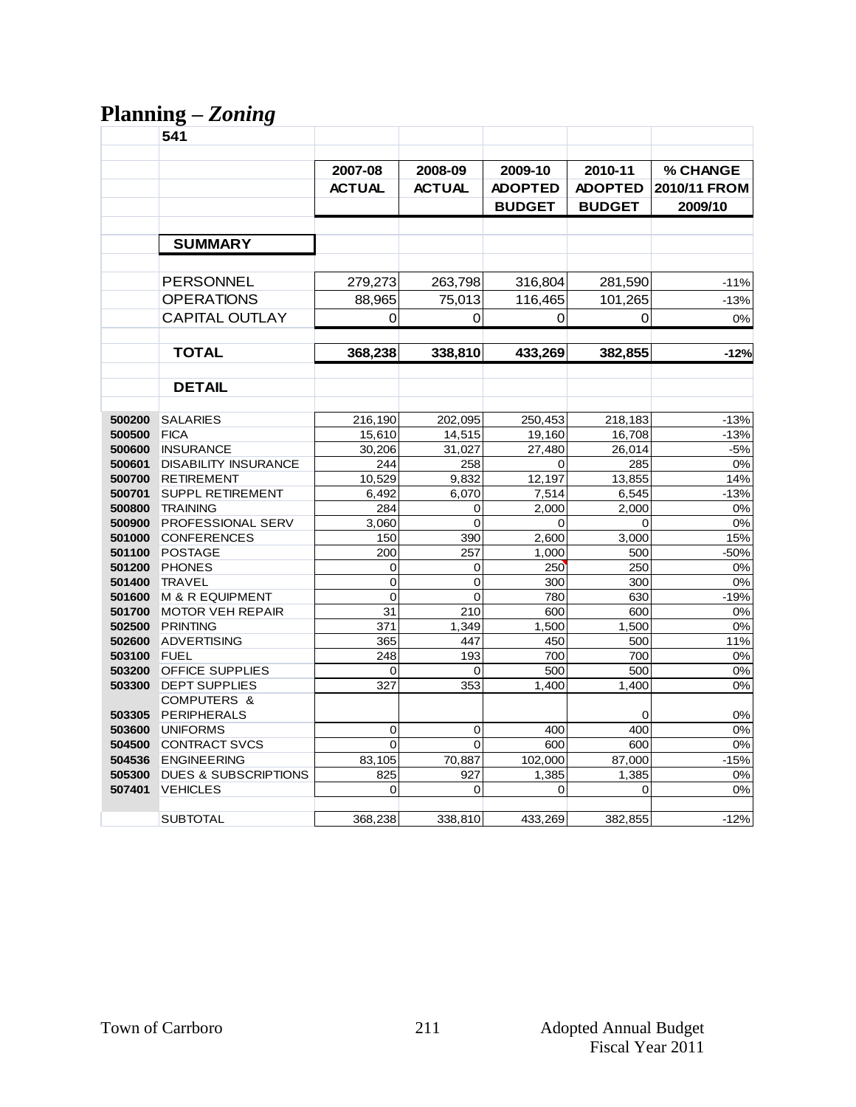# **Planning –** *Zoning*

|                  | 541                                                                   |                     |                       |                       |                       |                    |
|------------------|-----------------------------------------------------------------------|---------------------|-----------------------|-----------------------|-----------------------|--------------------|
|                  |                                                                       |                     |                       |                       |                       |                    |
|                  |                                                                       | 2007-08             | 2008-09               | 2009-10               | 2010-11               | <b>% CHANGE</b>    |
|                  |                                                                       | <b>ACTUAL</b>       | <b>ACTUAL</b>         | <b>ADOPTED</b>        | <b>ADOPTED</b>        | 2010/11 FROM       |
|                  |                                                                       |                     |                       | <b>BUDGET</b>         | <b>BUDGET</b>         | 2009/10            |
|                  |                                                                       |                     |                       |                       |                       |                    |
|                  |                                                                       |                     |                       |                       |                       |                    |
|                  | <b>SUMMARY</b>                                                        |                     |                       |                       |                       |                    |
|                  |                                                                       |                     |                       |                       |                       |                    |
|                  | PERSONNEL                                                             | 279,273             | 263,798               | 316,804               | 281,590               | $-11%$             |
|                  | <b>OPERATIONS</b>                                                     | 88,965              | 75.013                | 116,465               | 101,265               | $-13%$             |
|                  | <b>CAPITAL OUTLAY</b>                                                 | 0                   | $\Omega$              | 0                     | $\Omega$              | 0%                 |
|                  |                                                                       |                     |                       |                       |                       |                    |
|                  | <b>TOTAL</b>                                                          | 368,238             | 338,810               | 433,269               | 382,855               | $-12%$             |
|                  |                                                                       |                     |                       |                       |                       |                    |
|                  | <b>DETAIL</b>                                                         |                     |                       |                       |                       |                    |
| 500200           | <b>SALARIES</b>                                                       |                     |                       |                       |                       |                    |
| 500500           | <b>FICA</b>                                                           | 216,190<br>15,610   | 202,095<br>14,515     | 250,453<br>19,160     | 218,183<br>16,708     | $-13%$<br>$-13%$   |
| 500600           | <b>INSURANCE</b>                                                      | 30,206              | 31,027                | 27,480                | 26,014                | $-5%$              |
| 500601           | <b>DISABILITY INSURANCE</b>                                           | 244                 | 258                   | 0                     | 285                   | 0%                 |
| 500700           | <b>RETIREMENT</b>                                                     | 10,529              | 9,832                 | 12,197                | 13,855                | 14%                |
| 500701           | <b>SUPPL RETIREMENT</b>                                               | 6,492               | 6,070                 | 7,514                 | 6,545                 | $-13%$             |
| 500800           | <b>TRAINING</b>                                                       | 284                 | 0                     | 2,000                 | 2,000                 | 0%                 |
| 500900           | PROFESSIONAL SERV                                                     | 3,060               | 0                     | 0                     | $\mathbf 0$           | 0%                 |
| 501000           | <b>CONFERENCES</b>                                                    | 150                 | 390                   | 2,600                 | 3,000                 | 15%                |
| 501100           | <b>POSTAGE</b>                                                        | 200                 | 257                   | 1,000                 | 500                   | $-50%$             |
| 501200           | <b>PHONES</b>                                                         | 0                   | 0                     | 250                   | 250                   | 0%                 |
| 501400           | <b>TRAVEL</b>                                                         | $\overline{0}$      | 0                     | 300                   | 300                   | 0%                 |
| 501600<br>501700 | <b>M &amp; R EQUIPMENT</b><br><b>MOTOR VEH REPAIR</b>                 | $\mathbf 0$<br>31   | $\overline{0}$<br>210 | 780<br>600            | 630<br>600            | $-19%$<br>0%       |
| 502500           | <b>PRINTING</b>                                                       | 371                 | 1,349                 | 1,500                 | 1,500                 | 0%                 |
| 502600           | <b>ADVERTISING</b>                                                    | 365                 | 447                   | 450                   | 500                   | 11%                |
| 503100           | FUEL                                                                  | 248                 | 193                   | 700                   | 700                   | 0%                 |
| 503200           | <b>OFFICE SUPPLIES</b>                                                | 0                   | 0                     | 500                   | 500                   | 0%                 |
| 503300           | <b>DEPT SUPPLIES</b>                                                  | 327                 | 353                   | 1,400                 | 1,400                 | 0%                 |
|                  | <b>COMPUTERS &amp;</b>                                                |                     |                       |                       |                       |                    |
| 503305           | PERIPHERALS                                                           |                     |                       |                       | 0                     | 0%                 |
| 503600           | <b>UNIFORMS</b>                                                       | 0                   | 0                     | 400                   | 400                   | 0%                 |
| 504500           | <b>CONTRACT SVCS</b>                                                  | $\overline{0}$      | 0                     | 600                   | 600                   | 0%                 |
| 504536           | <b>ENGINEERING</b>                                                    | 83,105              | 70,887                | 102,000               | 87,000                | $-15%$             |
|                  |                                                                       |                     |                       |                       |                       |                    |
|                  |                                                                       |                     |                       |                       |                       |                    |
|                  |                                                                       |                     |                       |                       |                       |                    |
| 505300<br>507401 | <b>DUES &amp; SUBSCRIPTIONS</b><br><b>VEHICLES</b><br><b>SUBTOTAL</b> | 825<br>0<br>368,238 | 927<br>0<br>338,810   | 1,385<br>0<br>433,269 | 1,385<br>0<br>382,855 | 0%<br>0%<br>$-12%$ |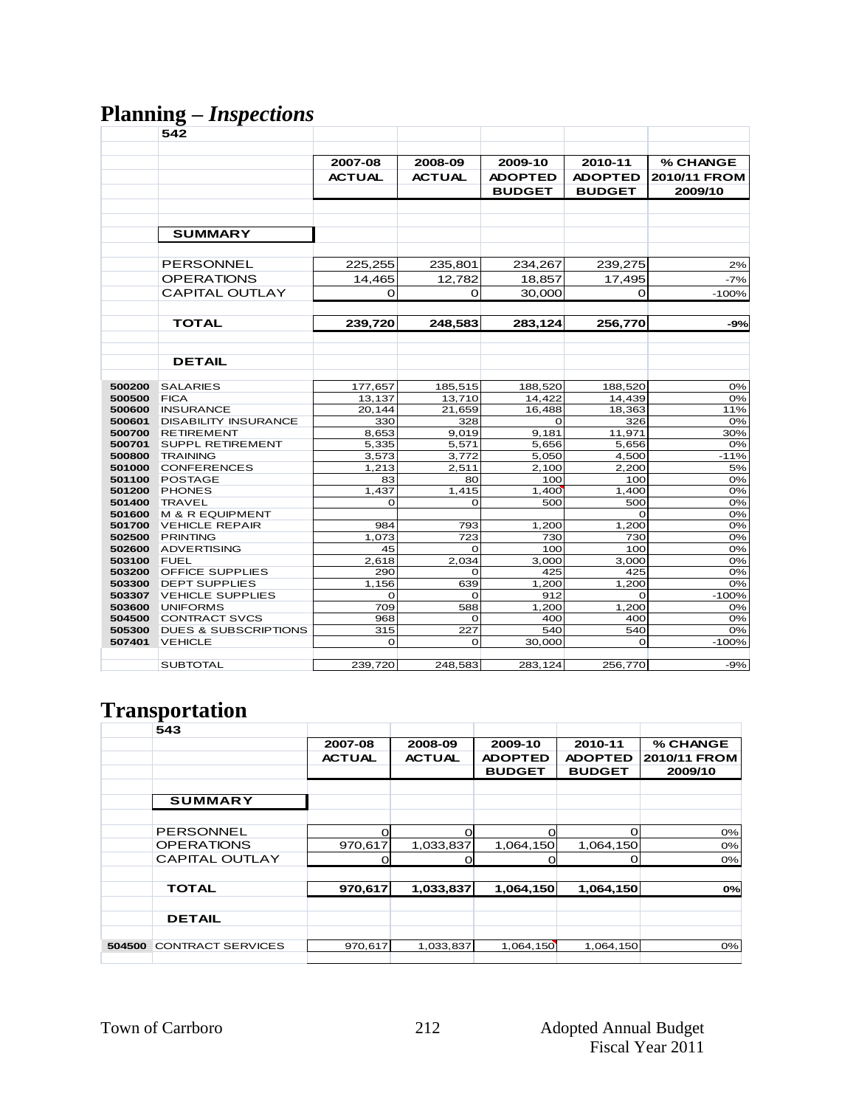#### **Planning –** *Inspections*

|                  | 542                                      |               |               |                |                    |                 |
|------------------|------------------------------------------|---------------|---------------|----------------|--------------------|-----------------|
|                  |                                          |               |               |                |                    |                 |
|                  |                                          | 2007-08       | 2008-09       | 2009-10        | 2010-11            | <b>% CHANGE</b> |
|                  |                                          | <b>ACTUAL</b> | <b>ACTUAL</b> | <b>ADOPTED</b> | <b>ADOPTED</b>     | 2010/11 FROM    |
|                  |                                          |               |               |                |                    |                 |
|                  |                                          |               |               | <b>BUDGET</b>  | <b>BUDGET</b>      | 2009/10         |
|                  |                                          |               |               |                |                    |                 |
|                  |                                          |               |               |                |                    |                 |
|                  | <b>SUMMARY</b>                           |               |               |                |                    |                 |
|                  |                                          |               |               |                |                    |                 |
|                  | <b>PERSONNEL</b>                         |               |               |                |                    |                 |
|                  |                                          | 225,255       | 235,801       | 234,267        | 239,275            | 2%              |
|                  | <b>OPERATIONS</b>                        | 14,465        | 12.782        | 18,857         | 17,495             | $-7%$           |
|                  | <b>CAPITAL OUTLAY</b>                    | O             | $\Omega$      | 30,000         | $\Omega$           | $-100%$         |
|                  |                                          |               |               |                |                    |                 |
|                  | <b>TOTAL</b>                             | 239,720       | 248,583       | 283,124        | 256,770            | $-9%$           |
|                  |                                          |               |               |                |                    |                 |
|                  |                                          |               |               |                |                    |                 |
|                  | <b>DETAIL</b>                            |               |               |                |                    |                 |
|                  |                                          |               |               |                |                    |                 |
| 500200           | <b>SALARIES</b>                          | 177,657       | 185,515       | 188,520        | 188,520            | 0%              |
| 500500           | <b>FICA</b>                              | 13,137        | 13.710        | 14,422         | 14,439             | 0%              |
| 500600           | <b>INSURANCE</b>                         | 20,144        | 21,659        | 16.488         | 18,363             | 11%             |
| 500601           | <b>DISABILITY INSURANCE</b>              | 330           | 328           | $\Omega$       | 326                | 0%              |
| 500700           | <b>RETIREMENT</b>                        | 8,653         | 9,019         | 9,181          | 11,971             | 30%             |
| 500701           | <b>SUPPL RETIREMENT</b>                  | 5,335         | 5,571         | 5,656          | 5.656              | 0%              |
| 500800           | <b>TRAINING</b>                          | 3,573         | 3,772         | 5,050          | 4,500              | $-11%$          |
| 501000           | <b>CONFERENCES</b>                       | 1,213         | 2,511         | 2,100          | 2,200              | 5%              |
| 501100           | <b>POSTAGE</b>                           | 83            | 80            | 100            | 100                | 0%              |
| 501200           | <b>PHONES</b>                            | 1,437         | 1,415         | 1,400          | 1,400              | 0%              |
| 501400           | <b>TRAVEL</b>                            | O             | 0             | 500            | 500                | 0%              |
| 501600<br>501700 | M & R EQUIPMENT<br><b>VEHICLE REPAIR</b> | 984           | 793           | 1,200          | $\Omega$<br>1,200  | 0%<br>0%        |
| 502500           | <b>PRINTING</b>                          | 1.073         | 723           | 730            | 730                | 0%              |
| 502600           | <b>ADVERTISING</b>                       | 45            | O             | 100            | 100                | 0%              |
| 503100           | <b>FUEL</b>                              | 2,618         | 2,034         | 3,000          | 3,000              | 0%              |
| 503200           | <b>OFFICE SUPPLIES</b>                   | 290           | $\Omega$      | 425            | 425                | 0%              |
| 503300           | <b>DEPT SUPPLIES</b>                     | 1,156         | 639           | 1,200          | 1,200              | 0%              |
| 503307           | <b>VEHICLE SUPPLIES</b>                  | O             | O             | 912            | O                  | $-100%$         |
| 503600           | <b>UNIFORMS</b>                          | 709           | 588           | 1,200          | $\overline{1,200}$ | 0%              |
| 504500           | <b>CONTRACT SVCS</b>                     | 968           | $\Omega$      | 400            | 400                | 0%              |
| 505300           | <b>DUES &amp; SUBSCRIPTIONS</b>          | 315           | 227           | 540            | 540                | 0%              |
| 507401           | <b>VEHICLE</b>                           | $\Omega$      | $\Omega$      | 30,000         | $\Omega$           | $-100%$         |
|                  |                                          |               |               |                |                    |                 |
|                  | <b>SUBTOTAL</b>                          | 239,720       | 248,583       | 283,124        | 256,770            | -9%             |

# **Transportation**

|        | 543                      |               |               |                |                |              |
|--------|--------------------------|---------------|---------------|----------------|----------------|--------------|
|        |                          | 2007-08       | 2008-09       | 2009-10        | 2010-11        | % CHANGE     |
|        |                          | <b>ACTUAL</b> | <b>ACTUAL</b> | <b>ADOPTED</b> | <b>ADOPTED</b> | 2010/11 FROM |
|        |                          |               |               | <b>BUDGET</b>  | <b>BUDGET</b>  | 2009/10      |
|        |                          |               |               |                |                |              |
|        | <b>SUMMARY</b>           |               |               |                |                |              |
|        |                          |               |               |                |                |              |
|        | <b>PERSONNEL</b>         | റ             | $\Omega$      | $\Omega$       | 0              | 0%           |
|        | <b>OPERATIONS</b>        | 970,617       | 1,033,837     | 1,064,150      | 1,064,150      | 0%           |
|        | <b>CAPITAL OUTLAY</b>    | Ω             | 0             | O              | 0              | 0%           |
|        |                          |               |               |                |                |              |
|        | <b>TOTAL</b>             | 970,617       | 1,033,837     | 1,064,150      | 1,064,150      | 0%           |
|        |                          |               |               |                |                |              |
|        | <b>DETAIL</b>            |               |               |                |                |              |
|        |                          |               |               |                |                |              |
| 504500 | <b>CONTRACT SERVICES</b> | 970,617       | 1,033,837     | 1,064,150      | 1,064,150      | 0%           |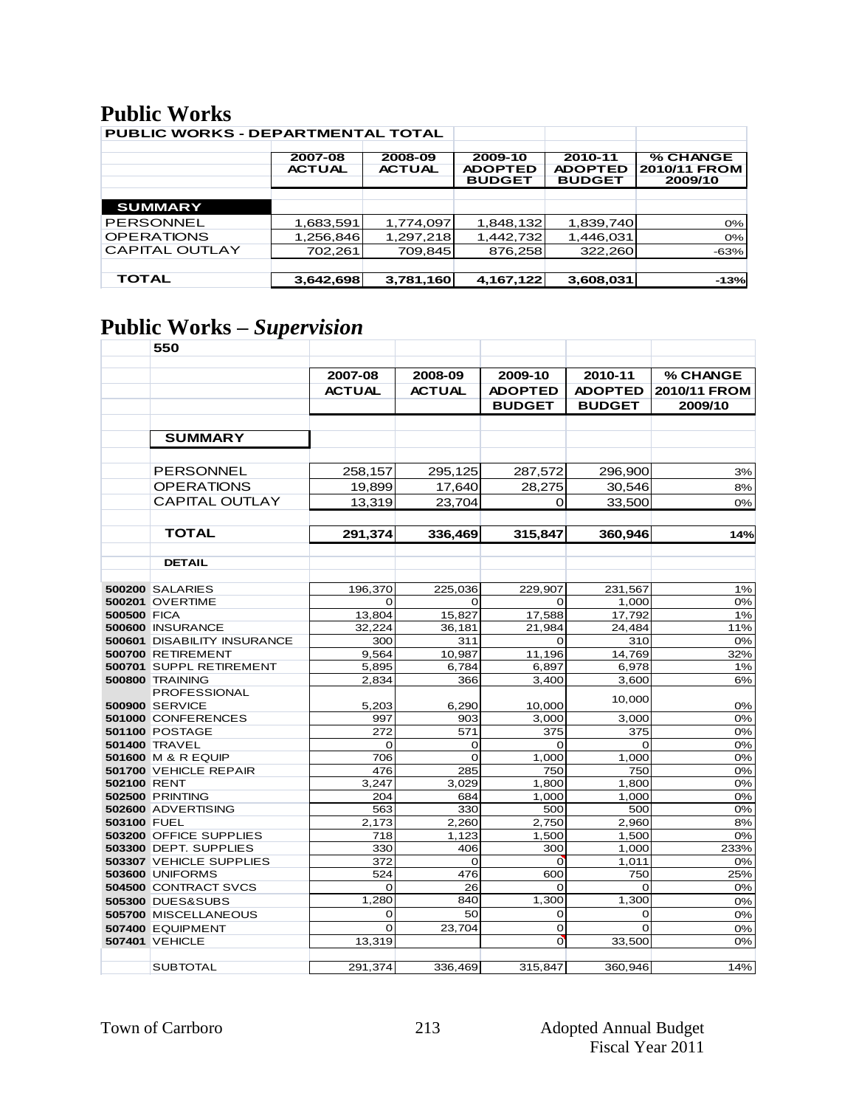#### **Public Works**

| <b>PUBLIC WORKS - DEPARTMENTAL TOTAL</b> |                          |                          |                                            |                                            |                                     |
|------------------------------------------|--------------------------|--------------------------|--------------------------------------------|--------------------------------------------|-------------------------------------|
|                                          | 2007-08<br><b>ACTUAL</b> | 2008-09<br><b>ACTUAL</b> | 2009-10<br><b>ADOPTED</b><br><b>BUDGET</b> | 2010-11<br><b>ADOPTED</b><br><b>BUDGET</b> | % CHANGE<br>2010/11 FROM<br>2009/10 |
|                                          |                          |                          |                                            |                                            |                                     |
| <b>SUMMARY</b>                           |                          |                          |                                            |                                            |                                     |
| <b>PERSONNEL</b>                         | 1,683,591                | 1,774,097                | 1,848,132                                  | 1,839,740                                  | $0\%$                               |
| <b>OPERATIONS</b>                        | 1,256,846                | 1,297,218                | 1,442,732                                  | 1,446,031                                  | 0%                                  |
| <b>CAPITAL OUTLAY</b>                    | 702,261                  | 709,845                  | 876,258                                    | 322,260                                    | $-63%$                              |
|                                          |                          |                          |                                            |                                            |                                     |
| <b>TOTAL</b>                             | 3,642,698                | 3,781,160                | 4,167,122                                  | 3,608,031                                  | $-13%$                              |

# **Public Works –** *Supervision*

|                    | 550                                               |               |               |                       |                |              |
|--------------------|---------------------------------------------------|---------------|---------------|-----------------------|----------------|--------------|
|                    |                                                   |               |               |                       |                |              |
|                    |                                                   | 2007-08       | 2008-09       | 2009-10               | 2010-11        | % CHANGE     |
|                    |                                                   | <b>ACTUAL</b> | <b>ACTUAL</b> | <b>ADOPTED</b>        | <b>ADOPTED</b> | 2010/11 FROM |
|                    |                                                   |               |               | <b>BUDGET</b>         | <b>BUDGET</b>  | 2009/10      |
|                    |                                                   |               |               |                       |                |              |
|                    | <b>SUMMARY</b>                                    |               |               |                       |                |              |
|                    |                                                   |               |               |                       |                |              |
|                    | <b>PERSONNEL</b>                                  | 258,157       | 295,125       | 287,572               | 296,900        | 3%           |
|                    | <b>OPERATIONS</b>                                 | 19.899        | 17,640        | 28.275                | 30,546         | 8%           |
|                    | CAPITAL OUTLAY                                    | 13,319        | 23,704        | $\Omega$              | 33,500         | 0%           |
|                    |                                                   |               |               |                       |                |              |
|                    | <b>TOTAL</b>                                      | 291,374       | 336,469       | 315,847               | 360,946        | 14%          |
|                    |                                                   |               |               |                       |                |              |
|                    | <b>DETAIL</b>                                     |               |               |                       |                |              |
|                    |                                                   |               |               |                       |                |              |
|                    | <b>500200 SALARIES</b>                            | 196,370       | 225,036       | 229,907               | 231,567        | 1%           |
|                    | <b>500201 OVERTIME</b>                            | 0             | 0             | 0                     | 1,000          | 0%           |
| <b>500500 FICA</b> |                                                   | 13,804        | 15,827        | 17,588                | 17,792         | 1%           |
|                    | 500600 INSURANCE                                  | 32,224        | 36,181        | 21,984                | 24,484         | 11%          |
|                    | 500601 DISABILITY INSURANCE                       | 300           | 311           | $\Omega$              | 310            | 0%           |
|                    | 500700 RETIREMENT                                 | 9,564         | 10,987        | 11,196                | 14,769         | 32%          |
|                    | 500701 SUPPL RETIREMENT                           | 5,895         | 6,784         | 6,897                 | 6,978          | 1%           |
|                    | <b>500800 TRAINING</b>                            | 2.834         | 366           | 3.400                 | 3,600          | 6%           |
|                    | <b>PROFESSIONAL</b><br><b>500900 SERVICE</b>      | 5,203         | 6,290         | 10,000                | 10,000         | 0%           |
|                    | 501000 CONFERENCES                                | 997           | 903           | 3,000                 | 3,000          | 0%           |
|                    | <b>501100 POSTAGE</b>                             | 272           | 571           | 375                   | 375            | 0%           |
|                    | <b>501400 TRAVEL</b>                              | $\mathbf 0$   | 0             | $\Omega$              | $\Omega$       | 0%           |
|                    | <b>501600 M &amp; R EQUIP</b>                     | 706           | O             | 1,000                 | 1,000          | 0%           |
|                    | 501700 VEHICLE REPAIR                             | 476           | 285           | 750                   | 750            | 0%           |
| 502100 RENT        |                                                   | 3,247         | 3,029         | 1,800                 | 1,800          | 0%           |
|                    | <b>502500 PRINTING</b>                            | 204           | 684           | 1,000                 | 1,000          | 0%           |
|                    | 502600 ADVERTISING                                | 563           | 330           | 500                   | 500            | 0%           |
| 503100 FUEL        |                                                   | 2,173         | 2,260         | 2,750                 | 2,960          | 8%           |
|                    | 503200 OFFICE SUPPLIES                            | 718           | 1.123         | 1,500                 | 1,500          | 0%           |
|                    | 503300 DEPT. SUPPLIES                             | 330           | 406           | 300                   | 1,000          | 233%         |
|                    | 503307 VEHICLE SUPPLIES<br><b>503600 UNIFORMS</b> | 372<br>524    | 0<br>476      | $\overline{O}$<br>600 | 1,011<br>750   | 0%<br>25%    |
|                    | 504500 CONTRACT SVCS                              | $\Omega$      | 26            | $\mathbf 0$           | $\Omega$       | 0%           |
|                    | <b>505300 DUES&amp;SUBS</b>                       | 1,280         | 840           | 1,300                 | 1,300          | 0%           |
|                    | 505700 MISCELLANEOUS                              | 0             | 50            | 0                     | $\mathbf 0$    | 0%           |
|                    | 507400 EQUIPMENT                                  | $\Omega$      | 23,704        | 0                     | $\Omega$       | 0%           |
|                    | 507401 VEHICLE                                    | 13,319        |               | $\overline{O}$        | 33,500         | 0%           |
|                    |                                                   |               |               |                       |                |              |
|                    | <b>SUBTOTAL</b>                                   | 291,374       | 336,469       | 315,847               | 360,946        | 14%          |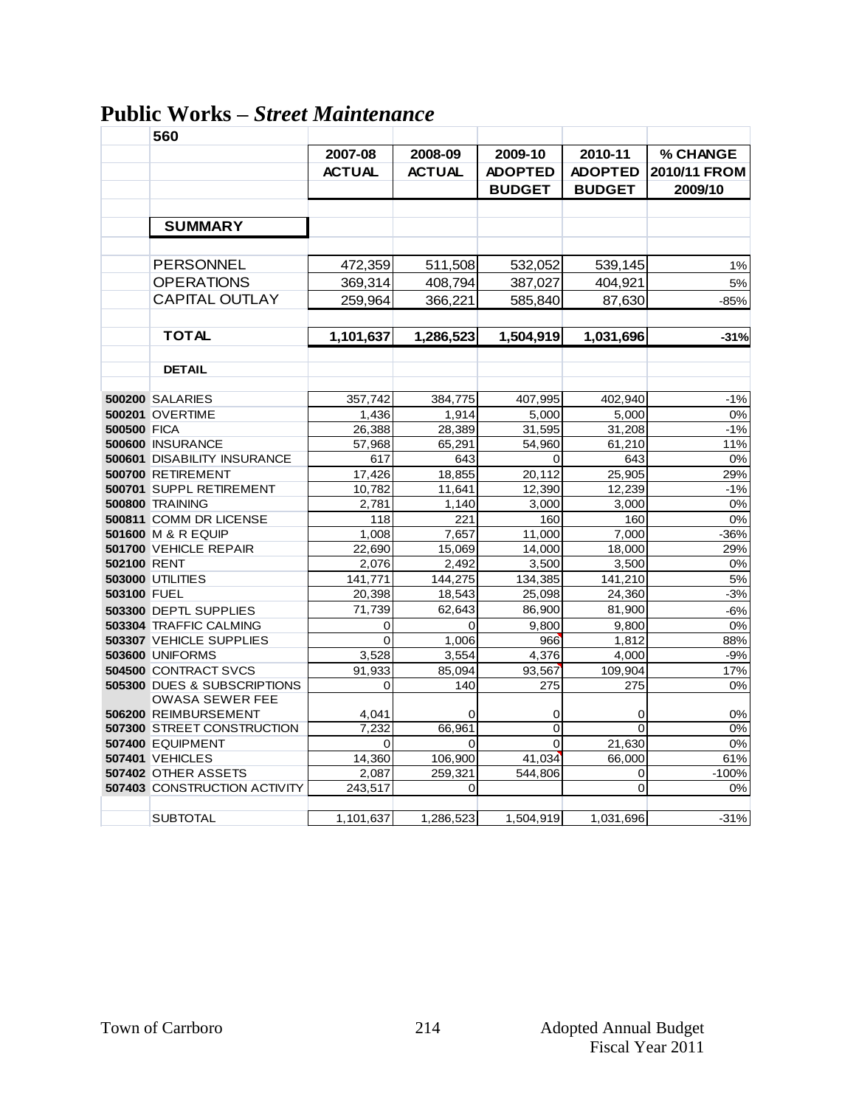### **Public Works –** *Street Maintenance*

|                    | 560                                                   |                |               |                |                |              |
|--------------------|-------------------------------------------------------|----------------|---------------|----------------|----------------|--------------|
|                    |                                                       | 2007-08        | 2008-09       | 2009-10        | 2010-11        | % CHANGE     |
|                    |                                                       | <b>ACTUAL</b>  | <b>ACTUAL</b> | <b>ADOPTED</b> | <b>ADOPTED</b> | 2010/11 FROM |
|                    |                                                       |                |               | <b>BUDGET</b>  | <b>BUDGET</b>  | 2009/10      |
|                    |                                                       |                |               |                |                |              |
|                    | <b>SUMMARY</b>                                        |                |               |                |                |              |
|                    |                                                       |                |               |                |                |              |
|                    | <b>PERSONNEL</b>                                      | 472,359        | 511,508       | 532,052        | 539,145        | 1%           |
|                    | <b>OPERATIONS</b>                                     | 369,314        | 408,794       | 387,027        | 404,921        | 5%           |
|                    | <b>CAPITAL OUTLAY</b>                                 | 259,964        | 366,221       | 585,840        | 87,630         | $-85%$       |
|                    |                                                       |                |               |                |                |              |
|                    | <b>TOTAL</b>                                          | 1,101,637      | 1,286,523     | 1,504,919      | 1,031,696      | $-31%$       |
|                    |                                                       |                |               |                |                |              |
|                    | <b>DETAIL</b>                                         |                |               |                |                |              |
|                    | <b>500200 SALARIES</b>                                | 357.742        | 384,775       | 407,995        | 402.940        | $-1%$        |
|                    | <b>500201 OVERTIME</b>                                | 1,436          | 1,914         | 5,000          | 5,000          | 0%           |
| <b>500500 FICA</b> |                                                       | 26,388         | 28,389        | 31,595         | 31,208         | $-1%$        |
|                    | 500600 INSURANCE                                      | 57.968         | 65.291        | 54.960         | 61,210         | 11%          |
|                    | 500601 DISABILITY INSURANCE                           | 617            | 643           | $\mathbf 0$    | 643            | 0%           |
|                    | 500700 RETIREMENT                                     | 17,426         | 18,855        | 20,112         | 25,905         | 29%          |
|                    | 500701 SUPPL RETIREMENT                               | 10,782         | 11,641        | 12,390         | 12,239         | $-1%$        |
|                    | 500800 TRAINING                                       | 2,781          | 1,140         | 3,000          | 3,000          | 0%           |
|                    | 500811 COMM DR LICENSE                                | 118            | 221           | 160            | 160            | 0%           |
|                    | 501600 M & R EQUIP                                    | 1,008          | 7,657         | 11,000         | 7,000          | $-36%$       |
|                    | 501700 VEHICLE REPAIR                                 | 22,690         | 15,069        | 14,000         | 18,000         | 29%          |
| 502100 RENT        |                                                       | 2,076          | 2,492         | 3,500          | 3,500          | 0%           |
|                    | <b>503000 UTILITIES</b>                               | 141,771        | 144,275       | 134,385        | 141,210        | 5%           |
| 503100 FUEL        |                                                       | 20,398         | 18,543        | 25,098         | 24,360         | $-3%$        |
|                    | 503300 DEPTL SUPPLIES                                 | 71,739         | 62,643        | 86,900         | 81,900         | $-6%$        |
|                    | 503304 TRAFFIC CALMING                                | 0              | 0             | 9,800          | 9,800          | 0%           |
|                    | 503307 VEHICLE SUPPLIES                               | $\mathbf 0$    | 1,006         | 966            | 1,812          | 88%          |
|                    | <b>503600 UNIFORMS</b>                                | 3,528          | 3,554         | 4,376          | 4,000          | $-9%$        |
|                    | 504500 CONTRACT SVCS                                  | 91,933         | 85,094        | 93,567         | 109,904        | 17%          |
|                    | 505300 DUES & SUBSCRIPTIONS<br><b>OWASA SEWER FEE</b> | $\overline{0}$ | 140           | 275            | 275            | 0%           |
|                    | 506200 REIMBURSEMENT                                  | 4,041          | 0             | 0              | 0              | 0%           |
|                    | 507300 STREET CONSTRUCTION                            | 7,232          | 66,961        | 0              | 0              | 0%           |
|                    | 507400 EQUIPMENT                                      | $\mathbf 0$    | $\Omega$      | 0              | 21,630         | 0%           |
|                    | <b>507401 VEHICLES</b>                                | 14,360         | 106,900       | 41,034         | 66,000         | 61%          |
|                    | 507402 OTHER ASSETS                                   | 2,087          | 259,321       | 544,806        | 0              | $-100%$      |
|                    | <b>507403 CONSTRUCTION ACTIVITY</b>                   | 243,517        | 0             |                | 0              | 0%           |
|                    | <b>SUBTOTAL</b>                                       | 1,101,637      | 1,286,523     | 1,504,919      | 1,031,696      | $-31%$       |
|                    |                                                       |                |               |                |                |              |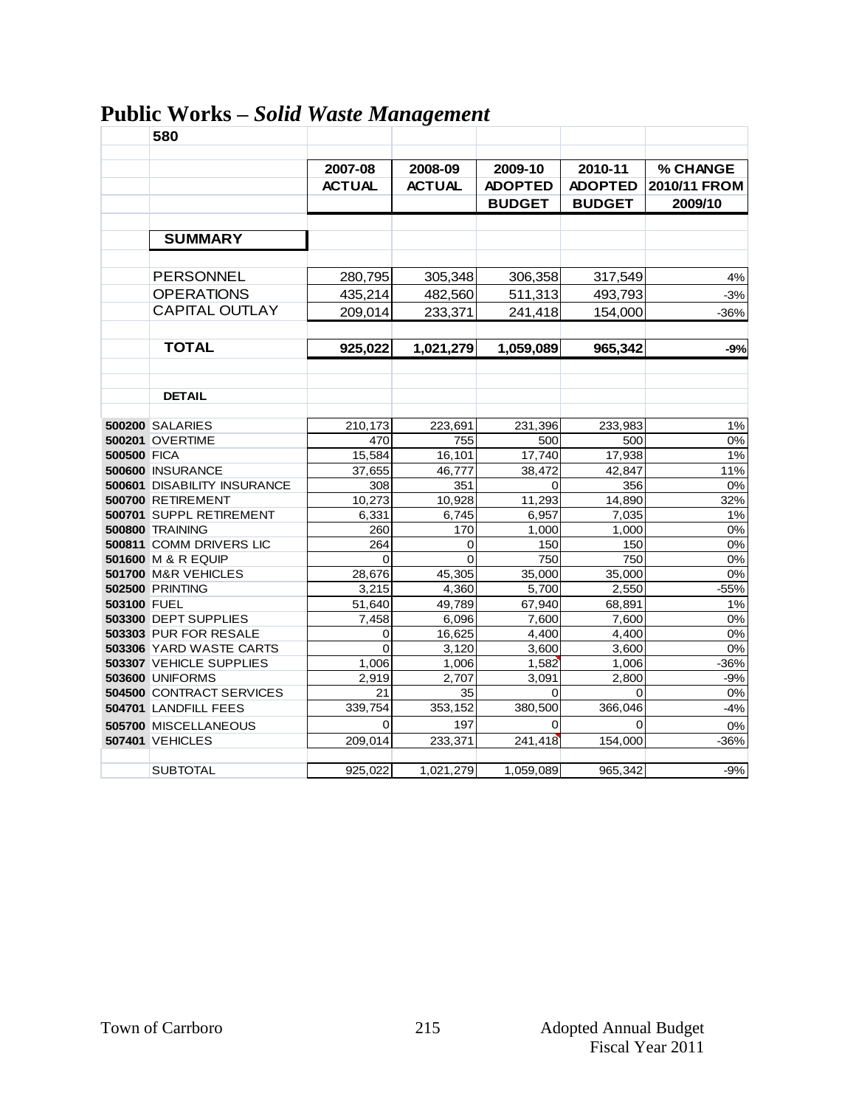|                    | 580                         |                 | o               |                 |                 |              |
|--------------------|-----------------------------|-----------------|-----------------|-----------------|-----------------|--------------|
|                    |                             |                 |                 |                 |                 |              |
|                    |                             | 2007-08         | 2008-09         | 2009-10         | 2010-11         | % CHANGE     |
|                    |                             | <b>ACTUAL</b>   | <b>ACTUAL</b>   | <b>ADOPTED</b>  | <b>ADOPTED</b>  | 2010/11 FROM |
|                    |                             |                 |                 | <b>BUDGET</b>   | <b>BUDGET</b>   | 2009/10      |
|                    |                             |                 |                 |                 |                 |              |
|                    | <b>SUMMARY</b>              |                 |                 |                 |                 |              |
|                    |                             |                 |                 |                 |                 |              |
|                    | <b>PERSONNEL</b>            | 280,795         | 305,348         | 306,358         | 317,549         | 4%           |
|                    | <b>OPERATIONS</b>           | 435,214         | 482,560         | 511,313         | 493,793         | $-3%$        |
|                    | <b>CAPITAL OUTLAY</b>       | 209,014         | 233,371         | 241,418         | 154,000         | $-36%$       |
|                    |                             |                 |                 |                 |                 |              |
|                    |                             |                 |                 |                 |                 |              |
|                    | <b>TOTAL</b>                | 925,022         | 1,021,279       | 1,059,089       | 965,342         | -9%          |
|                    |                             |                 |                 |                 |                 |              |
|                    |                             |                 |                 |                 |                 |              |
|                    | <b>DETAIL</b>               |                 |                 |                 |                 |              |
|                    | <b>500200 SALARIES</b>      | 210,173         | 223,691         | 231,396         | 233.983         | 1%           |
|                    | <b>500201 OVERTIME</b>      | 470             | 755             | 500             | 500             | 0%           |
| <b>500500 FICA</b> |                             | 15,584          | 16,101          | 17,740          | 17,938          | 1%           |
|                    | 500600 INSURANCE            | 37,655          | 46,777          | 38,472          | 42,847          | 11%          |
|                    | 500601 DISABILITY INSURANCE | 308             | 351             | 0               | 356             | 0%           |
|                    | 500700 RETIREMENT           | 10,273          | 10.928          | 11,293          | 14.890          | 32%          |
|                    | 500701 SUPPL RETIREMENT     | 6,331           | 6,745           | 6,957           | 7,035           | 1%           |
|                    | 500800 TRAINING             | 260             | 170             | 1,000           | 1,000           | 0%           |
|                    | 500811 COMM DRIVERS LIC     | 264             | 0               | 150             | 150             | 0%           |
|                    | 501600 M & R EQUIP          | $\Omega$        | $\Omega$        | 750             | 750             | 0%           |
|                    | 501700 M&R VEHICLES         | 28,676          | 45,305          | 35,000          | 35,000          | 0%           |
| 503100 FUEL        | <b>502500 PRINTING</b>      | 3,215           | 4,360           | 5,700           | 2,550           | $-55%$<br>1% |
|                    | 503300 DEPT SUPPLIES        | 51,640<br>7.458 | 49,789<br>6.096 | 67,940<br>7,600 | 68,891<br>7,600 | 0%           |
|                    | 503303 PUR FOR RESALE       | 0               | 16,625          | 4,400           | 4,400           | 0%           |
|                    | 503306 YARD WASTE CARTS     | $\Omega$        | 3,120           | 3,600           | 3,600           | 0%           |
|                    | 503307 VEHICLE SUPPLIES     | 1,006           | 1,006           | 1,582           | 1,006           | $-36%$       |
|                    | <b>503600 UNIFORMS</b>      | 2,919           | 2,707           | 3,091           | 2,800           | $-9%$        |
|                    | 504500 CONTRACT SERVICES    | 21              | 35              | 0               | $\mathbf 0$     | 0%           |
|                    | 504701 LANDFILL FEES        | 339,754         | 353,152         | 380,500         | 366,046         | $-4%$        |
|                    | 505700 MISCELLANEOUS        | $\overline{0}$  | 197             | $\Omega$        | $\Omega$        | 0%           |
|                    | <b>507401 VEHICLES</b>      | 209,014         | 233,371         | 241,418         | 154,000         | $-36%$       |
|                    |                             |                 |                 |                 |                 |              |
|                    | <b>SUBTOTAL</b>             | 925,022         | 1,021,279       | 1,059,089       | 965,342         | $-9%$        |

# **Public Works –** *Solid Waste Management*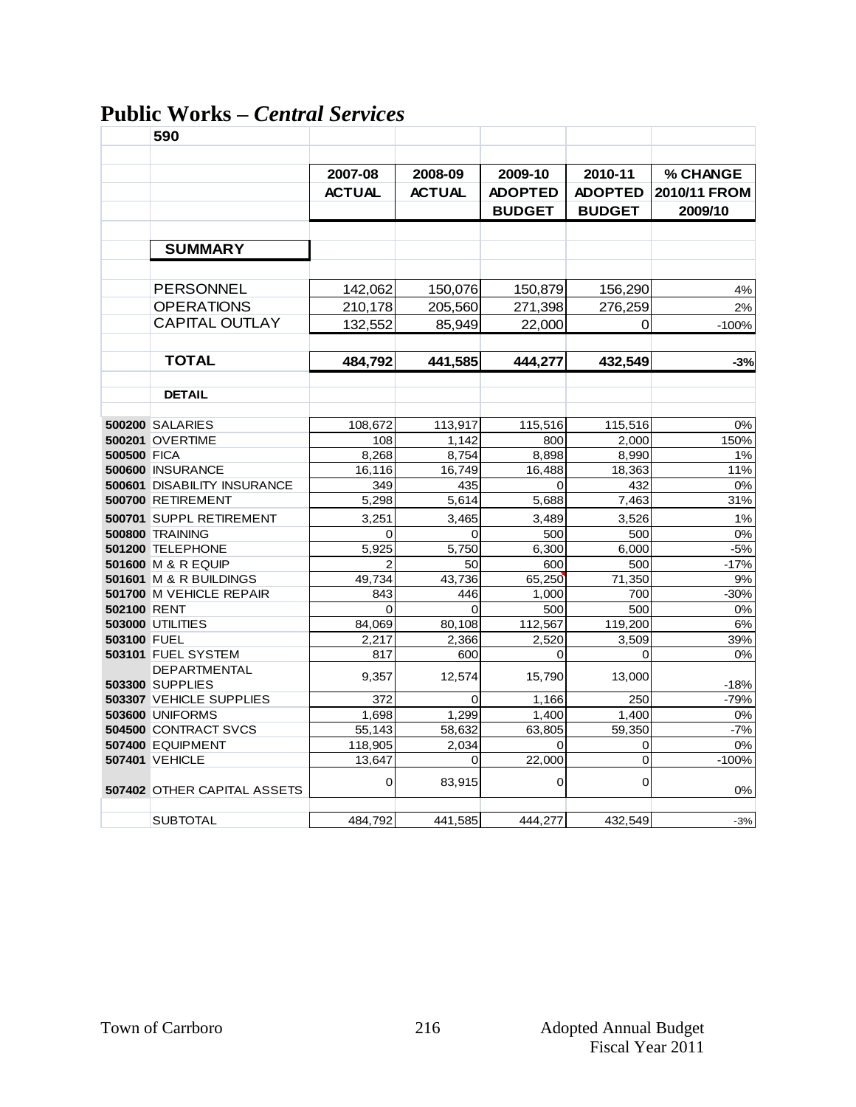## **Public Works –** *Central Services*

|                    | 590                                    |               |               |                |                |              |
|--------------------|----------------------------------------|---------------|---------------|----------------|----------------|--------------|
|                    |                                        |               |               |                |                |              |
|                    |                                        | 2007-08       | 2008-09       | 2009-10        | 2010-11        | % CHANGE     |
|                    |                                        | <b>ACTUAL</b> | <b>ACTUAL</b> | <b>ADOPTED</b> | <b>ADOPTED</b> | 2010/11 FROM |
|                    |                                        |               |               | <b>BUDGET</b>  | <b>BUDGET</b>  | 2009/10      |
|                    |                                        |               |               |                |                |              |
|                    | <b>SUMMARY</b>                         |               |               |                |                |              |
|                    |                                        |               |               |                |                |              |
|                    | <b>PERSONNEL</b>                       | 142,062       | 150,076       | 150,879        | 156,290        | 4%           |
|                    | <b>OPERATIONS</b>                      | 210,178       | 205,560       | 271,398        | 276,259        | 2%           |
|                    | <b>CAPITAL OUTLAY</b>                  | 132,552       | 85,949        | 22,000         | 0              | $-100%$      |
|                    | <b>TOTAL</b>                           | 484,792       | 441,585       | 444,277        | 432,549        | $-3%$        |
|                    |                                        |               |               |                |                |              |
|                    | <b>DETAIL</b>                          |               |               |                |                |              |
|                    | <b>500200 SALARIES</b>                 | 108,672       | 113,917       | 115,516        | 115,516        | 0%           |
|                    | <b>500201 OVERTIME</b>                 | 108           | 1,142         | 800            | 2,000          | 150%         |
| <b>500500 FICA</b> |                                        | 8,268         | 8,754         | 8,898          | 8,990          | 1%           |
|                    | 500600 INSURANCE                       | 16,116        | 16,749        | 16,488         | 18,363         | 11%          |
|                    | 500601 DISABILITY INSURANCE            | 349           | 435           | 0              | 432            | 0%           |
|                    | 500700 RETIREMENT                      | 5,298         | 5,614         | 5,688          | 7,463          | 31%          |
|                    | 500701 SUPPL RETIREMENT                | 3,251         | 3,465         | 3,489          | 3,526          | 1%           |
|                    | 500800 TRAINING                        | 0             | $\Omega$      | 500            | 500            | 0%           |
|                    | 501200 TELEPHONE                       | 5,925         | 5,750         | 6,300          | 6,000          | $-5%$        |
|                    | 501600 M & R EQUIP                     | 2             | 50            | 600            | 500            | $-17%$       |
|                    | 501601 M & R BUILDINGS                 | 49,734        | 43,736        | 65,250         | 71,350         | 9%           |
|                    | 501700 M VEHICLE REPAIR                | 843           | 446           | 1,000          | 700            | $-30%$       |
| <b>502100 RENT</b> |                                        | $\Omega$      | $\Omega$      | 500            | 500            | 0%           |
|                    | <b>503000 UTILITIES</b>                | 84,069        | 80,108        | 112,567        | 119,200        | 6%           |
| 503100 FUEL        |                                        | 2,217         | 2,366         | 2,520          | 3,509          | 39%          |
|                    | 503101 FUEL SYSTEM                     | 817           | 600           | 0              | 0              | 0%           |
|                    | DEPARTMENTAL<br><b>503300 SUPPLIES</b> | 9,357         | 12,574        | 15,790         | 13,000         | $-18%$       |
|                    | 503307 VEHICLE SUPPLIES                | 372           | 0             | 1,166          | 250            | $-79%$       |
|                    | <b>503600 UNIFORMS</b>                 | 1.698         | 1,299         | 1.400          | 1.400          | 0%           |
|                    | 504500 CONTRACT SVCS                   | 55,143        | 58,632        | 63,805         | 59,350         | $-7%$        |
|                    | 507400 EQUIPMENT                       | 118,905       | 2.034         | 0              | 0              | 0%           |
|                    | <b>507401 VEHICLE</b>                  | 13.647        | $\Omega$      | 22,000         | $\overline{0}$ | $-100%$      |
|                    | <b>507402 OTHER CAPITAL ASSETS</b>     | 0             | 83,915        | 0              | 0              | 0%           |
|                    |                                        |               |               |                |                |              |
|                    | <b>SUBTOTAL</b>                        | 484,792       | 441,585       | 444,277        | 432,549        | $-3%$        |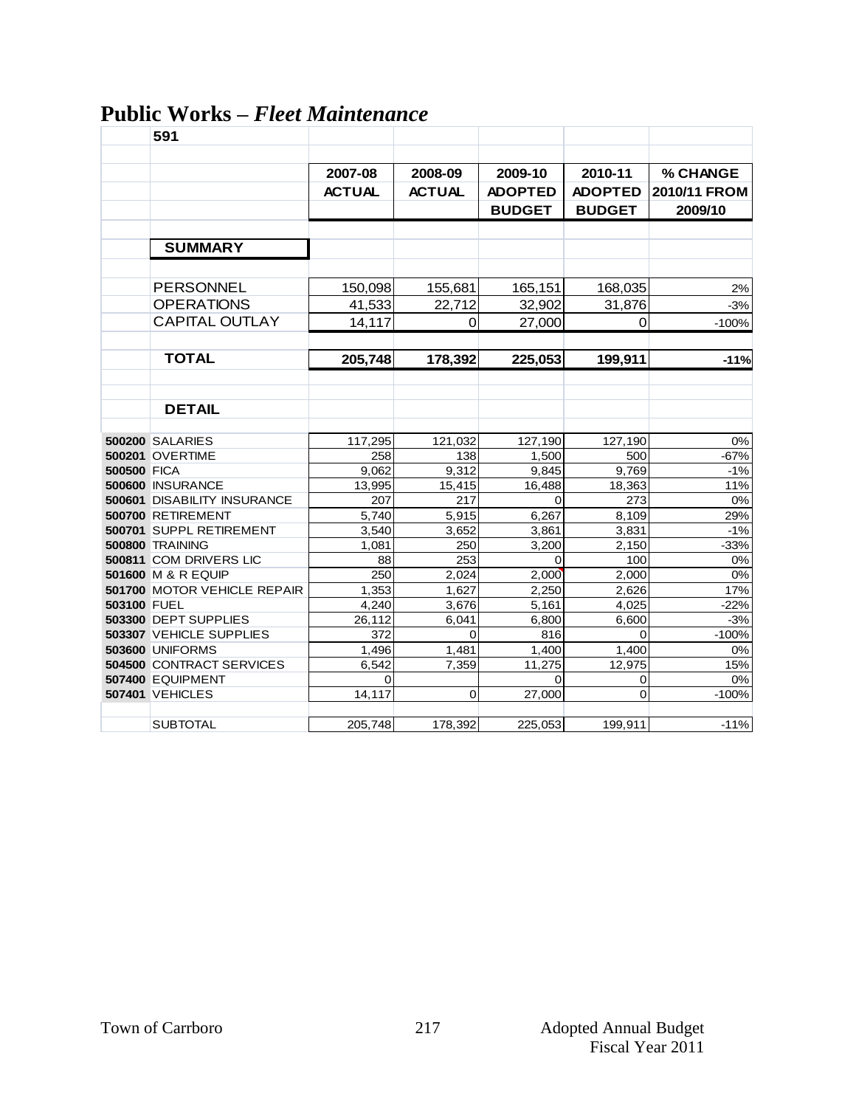|             | 591                                |               |                |                |                |              |
|-------------|------------------------------------|---------------|----------------|----------------|----------------|--------------|
|             |                                    |               |                |                |                |              |
|             |                                    | 2007-08       | 2008-09        | 2009-10        | 2010-11        | % CHANGE     |
|             |                                    | <b>ACTUAL</b> | <b>ACTUAL</b>  | <b>ADOPTED</b> | <b>ADOPTED</b> | 2010/11 FROM |
|             |                                    |               |                | <b>BUDGET</b>  | <b>BUDGET</b>  | 2009/10      |
|             |                                    |               |                |                |                |              |
|             | <b>SUMMARY</b>                     |               |                |                |                |              |
|             |                                    |               |                |                |                |              |
|             |                                    |               |                |                |                |              |
|             | PERSONNEL                          | 150,098       | 155,681        | 165,151        | 168,035        | 2%           |
|             | <b>OPERATIONS</b>                  | 41,533        | 22,712         | 32,902         | 31,876         | $-3%$        |
|             | <b>CAPITAL OUTLAY</b>              | 14,117        | 0              | 27,000         | 0              | $-100%$      |
|             |                                    |               |                |                |                |              |
|             | <b>TOTAL</b>                       | 205,748       | 178,392        | 225,053        | 199,911        | $-11%$       |
|             |                                    |               |                |                |                |              |
|             |                                    |               |                |                |                |              |
|             | <b>DETAIL</b>                      |               |                |                |                |              |
|             |                                    |               |                |                |                |              |
|             | <b>500200 SALARIES</b>             | 117,295       | 121,032        | 127,190        | 127,190        | 0%           |
|             | <b>500201 OVERTIME</b>             | 258           | 138            | 1.500          | 500            | $-67%$       |
| 500500 FICA |                                    | 9,062         | 9,312          | 9,845          | 9,769          | $-1%$        |
|             | 500600 INSURANCE                   | 13,995        | 15,415         | 16,488         | 18,363         | 11%          |
|             | <b>500601 DISABILITY INSURANCE</b> | 207           | 217            | 0              | 273            | 0%           |
|             | 500700 RETIREMENT                  | 5,740         | 5,915          | 6,267          | 8,109          | 29%          |
|             | 500701 SUPPL RETIREMENT            | 3,540         | 3,652          | 3,861          | 3,831          | $-1%$        |
|             | 500800 TRAINING                    | 1.081         | 250            | 3.200          | 2.150          | $-33%$       |
|             | 500811 COM DRIVERS LIC             | 88            | 253            | 0              | 100            | 0%           |
|             | <b>501600 M &amp; R EQUIP</b>      | 250           | 2.024          | 2,000          | 2,000          | 0%           |
|             | <b>501700 MOTOR VEHICLE REPAIR</b> | 1,353         | 1,627          | 2,250          | 2,626          | 17%          |
| 503100 FUEL |                                    | 4,240         | 3,676          | 5,161          | 4,025          | $-22%$       |
|             | 503300 DEPT SUPPLIES               | 26,112        | 6,041          | 6,800          | 6,600          | $-3%$        |
|             | 503307 VEHICLE SUPPLIES            | 372           | $\Omega$       | 816            | $\Omega$       | $-100%$      |
|             | <b>503600 UNIFORMS</b>             | 1,496         | 1,481          | 1,400          | 1,400          | 0%           |
|             | 504500 CONTRACT SERVICES           | 6,542         | 7,359          | 11,275         | 12,975         | 15%          |
|             | 507400 EQUIPMENT                   | 0             |                | 0              | 0              | 0%           |
|             | <b>507401 VEHICLES</b>             | 14,117        | $\overline{0}$ | 27,000         | $\overline{0}$ | $-100%$      |
|             |                                    |               |                |                |                |              |
|             | <b>SUBTOTAL</b>                    | 205,748       | 178,392        | 225,053        | 199,911        | $-11%$       |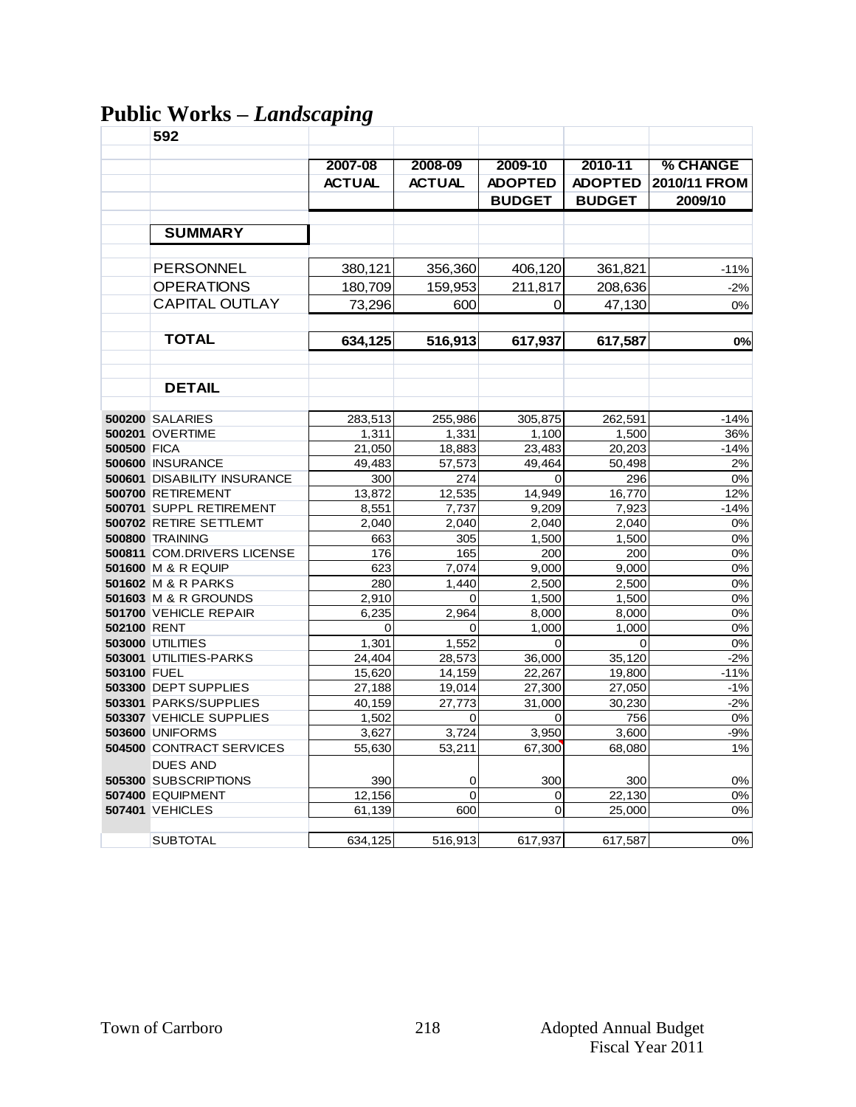# **Public Works –** *Landscaping*

|                    | 592                         |               |               |                |                |              |
|--------------------|-----------------------------|---------------|---------------|----------------|----------------|--------------|
|                    |                             | 2007-08       | 2008-09       | 2009-10        | 2010-11        | % CHANGE     |
|                    |                             | <b>ACTUAL</b> | <b>ACTUAL</b> | <b>ADOPTED</b> | <b>ADOPTED</b> | 2010/11 FROM |
|                    |                             |               |               | <b>BUDGET</b>  | <b>BUDGET</b>  | 2009/10      |
|                    |                             |               |               |                |                |              |
|                    | <b>SUMMARY</b>              |               |               |                |                |              |
|                    | PERSONNEL                   | 380,121       | 356,360       | 406,120        | 361,821        | -11%         |
|                    | <b>OPERATIONS</b>           | 180,709       | 159,953       | 211,817        | 208,636        | $-2%$        |
|                    | <b>CAPITAL OUTLAY</b>       | 73,296        | 600           | 0              | 47,130         | 0%           |
|                    |                             |               |               |                |                |              |
|                    | <b>TOTAL</b>                | 634,125       | 516,913       | 617,937        | 617,587        | 0%           |
|                    |                             |               |               |                |                |              |
|                    | <b>DETAIL</b>               |               |               |                |                |              |
|                    | <b>500200 SALARIES</b>      | 283,513       | 255,986       | 305,875        | 262,591        | $-14%$       |
|                    | <b>500201 OVERTIME</b>      | 1,311         | 1,331         | 1,100          | 1,500          | 36%          |
| <b>500500 FICA</b> |                             | 21,050        | 18,883        | 23,483         | 20,203         | $-14%$       |
|                    | 500600 INSURANCE            | 49,483        | 57,573        | 49.464         | 50,498         | 2%           |
|                    | 500601 DISABILITY INSURANCE | 300           | 274           | $\Omega$       | 296            | 0%           |
|                    | 500700 RETIREMENT           | 13,872        | 12,535        | 14,949         | 16,770         | 12%          |
|                    | 500701 SUPPL RETIREMENT     | 8,551         | 7,737         | 9,209          | 7,923          | $-14%$       |
|                    | 500702 RETIRE SETTLEMT      | 2,040         | 2,040         | 2,040          | 2,040          | 0%           |
|                    | <b>500800 TRAINING</b>      | 663           | 305           | 1,500          | 1,500          | 0%           |
|                    | 500811 COM.DRIVERS LICENSE  | 176           | 165           | 200            | 200            | 0%           |
|                    | 501600 M & R EQUIP          | 623           | 7,074         | 9,000          | 9,000          | 0%           |
|                    | 501602 M & R PARKS          | 280           | 1,440         | 2,500          | 2,500          | 0%           |
|                    | 501603 M & R GROUNDS        | 2,910         | 0             | 1,500          | 1,500          | $0\%$        |
| 502100 RENT        | 501700 VEHICLE REPAIR       | 6,235<br>0    | 2,964<br>0    | 8,000<br>1.000 | 8,000<br>1.000 | 0%<br>0%     |
|                    | <b>503000 UTILITIES</b>     | 1,301         | 1,552         | $\Omega$       | $\Omega$       | 0%           |
|                    | 503001 UTILITIES-PARKS      | 24,404        | 28,573        | 36,000         | 35,120         | $-2%$        |
| 503100 FUEL        |                             | 15,620        | 14,159        | 22,267         | 19,800         | $-11%$       |
|                    | 503300 DEPT SUPPLIES        | 27,188        | 19,014        | 27,300         | 27,050         | $-1%$        |
|                    | 503301 PARKS/SUPPLIES       | 40,159        | 27.773        | 31,000         | 30,230         | $-2%$        |
|                    | 503307 VEHICLE SUPPLIES     | 1,502         | 0             | 0              | 756            | 0%           |
|                    | <b>503600 UNIFORMS</b>      | 3,627         | 3,724         | 3,950          | 3,600          | $-9%$        |
|                    | 504500 CONTRACT SERVICES    | 55,630        | 53,211        | 67,300         | 68,080         | 1%           |
|                    | <b>DUES AND</b>             |               |               |                |                |              |
|                    | 505300 SUBSCRIPTIONS        | 390           | 0             | 300            | 300            | 0%           |
|                    | 507400 EQUIPMENT            | 12,156        | $\mathbf 0$   | 0              | 22,130         | 0%           |
|                    | <b>507401 VEHICLES</b>      | 61,139        | 600           | $\Omega$       | 25,000         | 0%           |
|                    |                             |               |               |                |                |              |
|                    | <b>SUBTOTAL</b>             | 634,125       | 516,913       | 617,937        | 617,587        | 0%           |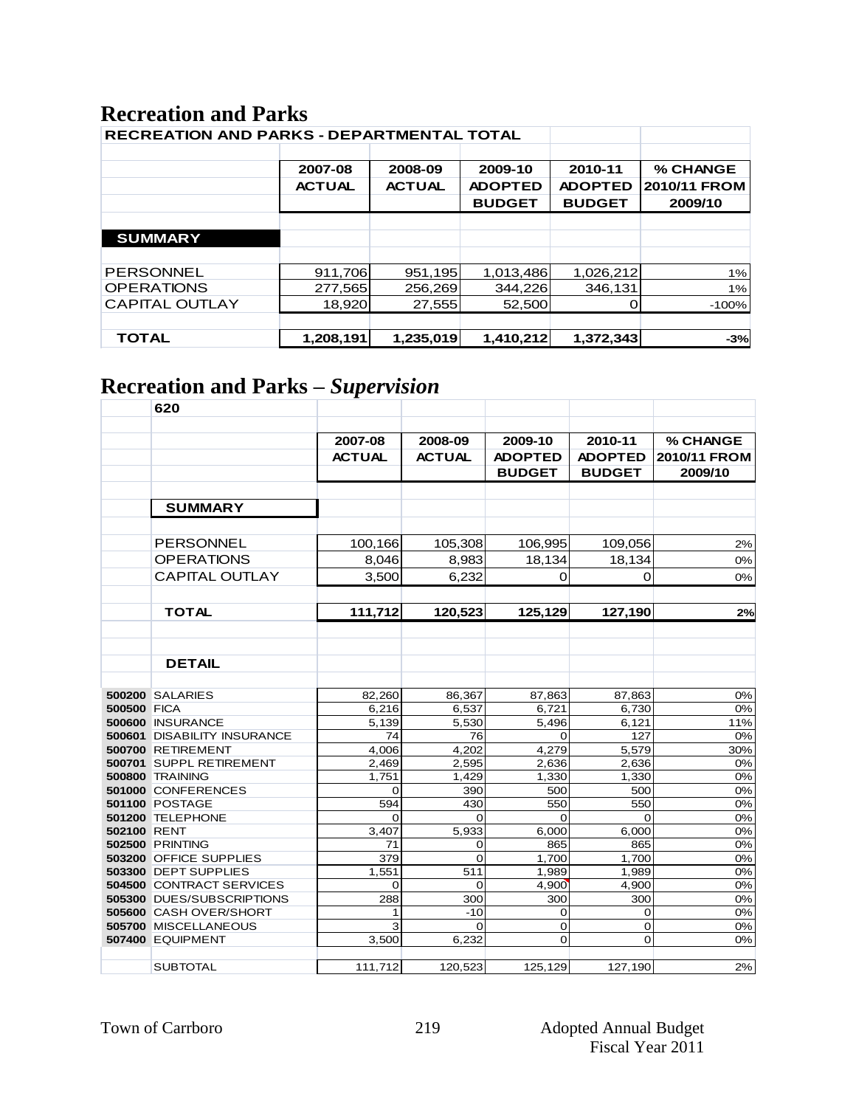### **Recreation and Parks**

| <b>RECREATION AND PARKS - DEPARTMENTAL TOTAL</b> |               |               |                |                |              |
|--------------------------------------------------|---------------|---------------|----------------|----------------|--------------|
|                                                  |               |               |                |                |              |
|                                                  | 2007-08       | 2008-09       | 2009-10        | 2010-11        | % CHANGE     |
|                                                  | <b>ACTUAL</b> | <b>ACTUAL</b> | <b>ADOPTED</b> | <b>ADOPTED</b> | 2010/11 FROM |
|                                                  |               |               | <b>BUDGET</b>  | <b>BUDGET</b>  | 2009/10      |
|                                                  |               |               |                |                |              |
| <b>SUMMARY</b>                                   |               |               |                |                |              |
|                                                  |               |               |                |                |              |
| <b>PERSONNEL</b>                                 | 911,706       | 951,195       | 1,013,486      | 1,026,212      | 1%           |
| <b>OPERATIONS</b>                                | 277,565       | 256,269       | 344,226        | 346,131        | 1%           |
| <b>CAPITAL OUTLAY</b>                            | 18,920        | 27,555        | 52,500         |                | $-100%$      |
|                                                  |               |               |                |                |              |
| <b>TOTAL</b>                                     | 1,208,191     | 1,235,019     | 1,410,212      | 1,372,343      | $-3%$        |

# **Recreation and Parks –** *Supervision*

|                    | 620                             |               |               |                |                |              |
|--------------------|---------------------------------|---------------|---------------|----------------|----------------|--------------|
|                    |                                 |               |               |                |                |              |
|                    |                                 | 2007-08       | 2008-09       | 2009-10        | 2010-11        | % CHANGE     |
|                    |                                 | <b>ACTUAL</b> | <b>ACTUAL</b> | <b>ADOPTED</b> | <b>ADOPTED</b> | 2010/11 FROM |
|                    |                                 |               |               | <b>BUDGET</b>  | <b>BUDGET</b>  | 2009/10      |
|                    |                                 |               |               |                |                |              |
|                    |                                 |               |               |                |                |              |
|                    | <b>SUMMARY</b>                  |               |               |                |                |              |
|                    |                                 |               |               |                |                |              |
|                    | <b>PERSONNEL</b>                | 100,166       | 105,308       | 106,995        | 109,056        | 2%           |
|                    | <b>OPERATIONS</b>               | 8,046         | 8,983         | 18,134         | 18,134         | 0%           |
|                    | <b>CAPITAL OUTLAY</b>           | 3.500         | 6,232         | $\Omega$       | 0              | 0%           |
|                    |                                 |               |               |                |                |              |
|                    | <b>TOTAL</b>                    | 111,712       | 120,523       | 125,129        | 127,190        | 2%           |
|                    |                                 |               |               |                |                |              |
|                    |                                 |               |               |                |                |              |
|                    |                                 |               |               |                |                |              |
|                    | <b>DETAIL</b>                   |               |               |                |                |              |
|                    |                                 |               |               |                |                |              |
|                    | <b>500200 SALARIES</b>          | 82,260        | 86,367        | 87,863         | 87,863         | 0%           |
| <b>500500 FICA</b> |                                 | 6.216         | 6.537         | 6.721          | 6.730          | 0%           |
|                    | 500600 INSURANCE                | 5,139         | 5,530         | 5,496          | 6,121          | 11%          |
|                    | 500601 DISABILITY INSURANCE     | 74            | 76            | 0              | 127            | 0%           |
|                    | 500700 RETIREMENT               | 4,006         | 4,202         | 4.279          | 5,579          | 30%          |
|                    | 500701 SUPPL RETIREMENT         | 2,469         | 2,595         | 2,636          | 2,636          | 0%           |
|                    | 500800 TRAINING                 | 1,751         | 1,429         | 1,330          | 1,330          | 0%           |
|                    | 501000 CONFERENCES              | $\Omega$      | 390           | 500            | 500            | 0%           |
|                    | <b>501100 POSTAGE</b>           | 594           | 430           | 550            | 550            | 0%           |
|                    | 501200 TELEPHONE                | $\Omega$      | 0             | $\Omega$       | Ω              | 0%           |
| 502100 RENT        |                                 | 3,407         | 5,933         | 6,000          | 6,000          | 0%           |
|                    | <b>502500 PRINTING</b>          | 71            | 0             | 865            | 865            | 0%           |
|                    | 503200 OFFICE SUPPLIES          | 379           | $\Omega$      | 1,700          | 1,700          | 0%           |
|                    | 503300 DEPT SUPPLIES            | 1,551         | 511           | 1,989          | 1,989          | 0%           |
|                    | <b>504500 CONTRACT SERVICES</b> | 0             | $\Omega$      | 4,900          | 4,900          | 0%           |
|                    | 505300 DUES/SUBSCRIPTIONS       | 288           | 300           | 300            | 300            | 0%           |
|                    | 505600 CASH OVER/SHORT          | 1             | $-10$         | 0              | 0              | 0%           |
|                    | 505700 MISCELLANEOUS            | 3             | $\Omega$      | 0              | 0              | 0%           |
|                    | 507400 EQUIPMENT                | 3,500         | 6,232         | 0              | 0              | 0%           |
|                    |                                 |               |               |                |                |              |
|                    | <b>SUBTOTAL</b>                 | 111,712       | 120,523       | 125,129        | 127,190        | 2%           |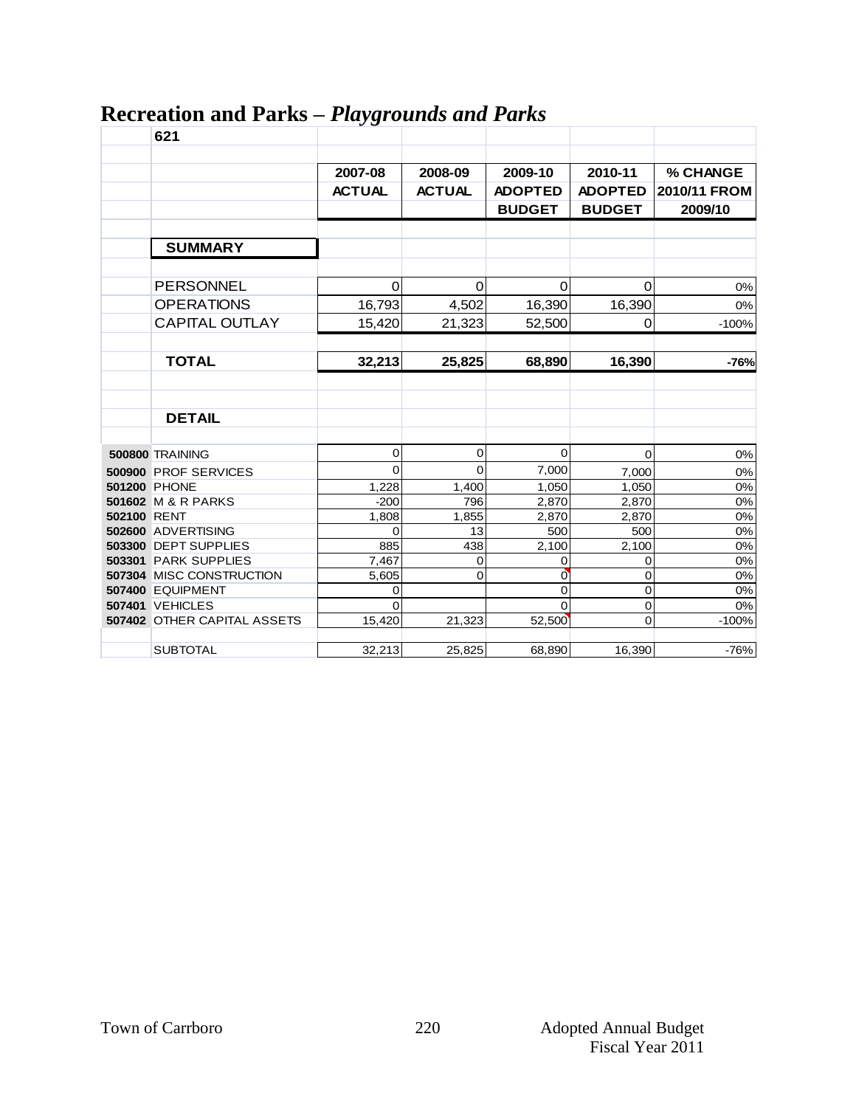|             | 621                                | ັບ            |               |                |                |              |
|-------------|------------------------------------|---------------|---------------|----------------|----------------|--------------|
|             |                                    |               |               |                |                |              |
|             |                                    | 2007-08       | 2008-09       | 2009-10        | 2010-11        | % CHANGE     |
|             |                                    | <b>ACTUAL</b> | <b>ACTUAL</b> | <b>ADOPTED</b> | <b>ADOPTED</b> | 2010/11 FROM |
|             |                                    |               |               | <b>BUDGET</b>  | <b>BUDGET</b>  | 2009/10      |
|             |                                    |               |               |                |                |              |
|             | <b>SUMMARY</b>                     |               |               |                |                |              |
|             |                                    |               |               |                |                |              |
|             | PERSONNEL                          | $\mathbf 0$   | $\mathbf 0$   | $\mathbf 0$    | 0              | 0%           |
|             | <b>OPERATIONS</b>                  | 16,793        | 4,502         | 16,390         | 16,390         | 0%           |
|             | <b>CAPITAL OUTLAY</b>              | 15,420        | 21,323        | 52,500         | 0              | $-100%$      |
|             |                                    |               |               |                |                |              |
|             | <b>TOTAL</b>                       | 32,213        | 25,825        | 68,890         | 16,390         | $-76%$       |
|             |                                    |               |               |                |                |              |
|             |                                    |               |               |                |                |              |
|             | <b>DETAIL</b>                      |               |               |                |                |              |
|             |                                    |               |               |                |                |              |
|             | 500800 TRAINING                    | 0             | 0             | $\mathbf 0$    | 0              | $0\%$        |
|             | 500900 PROF SERVICES               | $\Omega$      | 0             | 7,000          | 7,000          | $0\%$        |
|             | <b>501200 PHONE</b>                | 1,228         | 1,400         | 1,050          | 1,050          | 0%           |
|             | 501602 M & R PARKS                 | $-200$        | 796           | 2,870          | 2,870          | $0\%$        |
| 502100 RENT |                                    | 1,808         | 1,855         | 2,870          | 2,870          | 0%           |
|             | 502600 ADVERTISING                 | $\Omega$      | 13            | 500            | 500            | 0%           |
|             | 503300 DEPT SUPPLIES               | 885           | 438           | 2,100          | 2,100          | 0%           |
|             | 503301 PARK SUPPLIES               | 7,467         | 0             | 0              | 0              | $0\%$        |
|             | 507304 MISC CONSTRUCTION           | 5,605         | 0             | $\overline{0}$ | 0              | 0%           |
|             | 507400 EQUIPMENT                   | 0             |               | $\overline{0}$ | 0              | 0%           |
|             | <b>507401 VEHICLES</b>             | $\Omega$      |               | $\Omega$       | 0              | $0\%$        |
|             | <b>507402 OTHER CAPITAL ASSETS</b> | 15,420        | 21,323        | 52,500         | $\mathbf 0$    | $-100%$      |
|             | <b>SUBTOTAL</b>                    | 32,213        | 25,825        | 68,890         | 16,390         | $-76%$       |
|             |                                    |               |               |                |                |              |

## **Recreation and Parks –** *Playgrounds and Parks*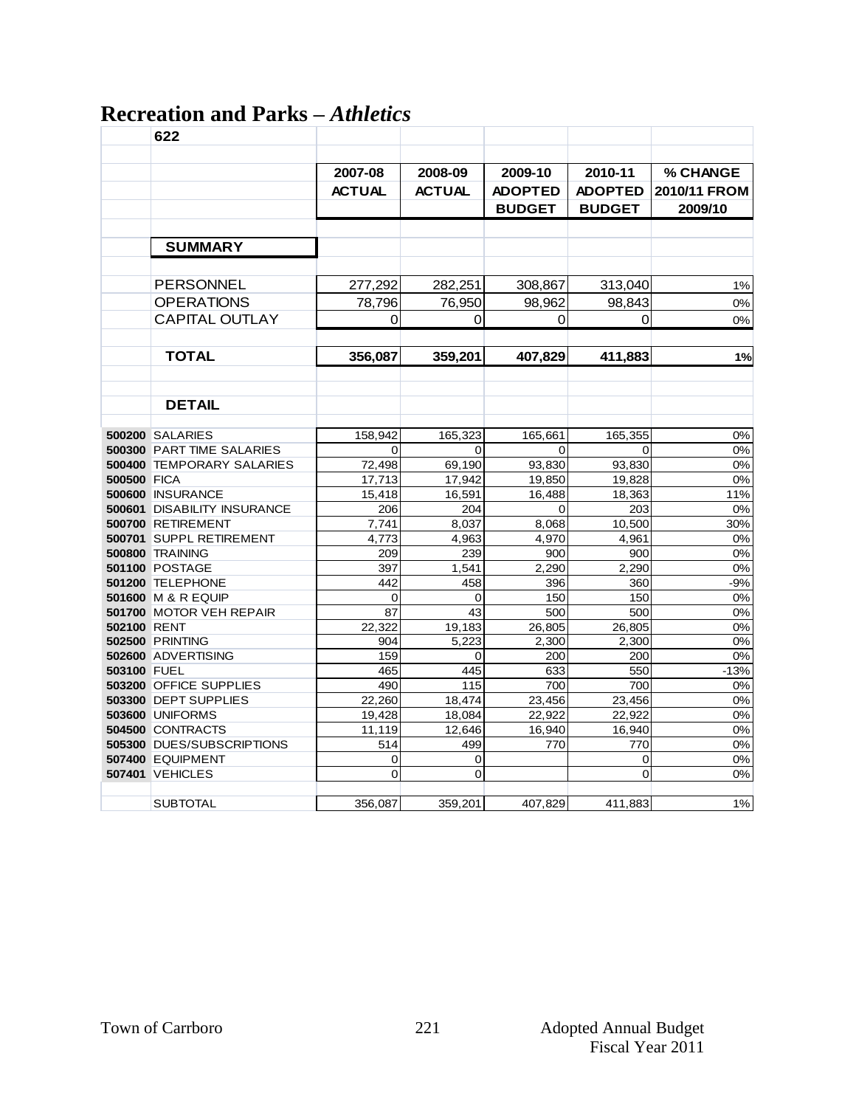# **Recreation and Parks –** *Athletics*

|             | 622                                             |                |                |                |                |                 |
|-------------|-------------------------------------------------|----------------|----------------|----------------|----------------|-----------------|
|             |                                                 |                |                |                |                |                 |
|             |                                                 | 2007-08        | 2008-09        | 2009-10        | 2010-11        | <b>% CHANGE</b> |
|             |                                                 | <b>ACTUAL</b>  | <b>ACTUAL</b>  | <b>ADOPTED</b> | <b>ADOPTED</b> | 2010/11 FROM    |
|             |                                                 |                |                |                |                |                 |
|             |                                                 |                |                | <b>BUDGET</b>  | <b>BUDGET</b>  | 2009/10         |
|             |                                                 |                |                |                |                |                 |
|             | <b>SUMMARY</b>                                  |                |                |                |                |                 |
|             |                                                 |                |                |                |                |                 |
|             | <b>PERSONNEL</b>                                | 277,292        | 282,251        | 308,867        | 313,040        | 1%              |
|             | <b>OPERATIONS</b>                               | 78,796         | 76,950         | 98,962         | 98,843         | $0\%$           |
|             | <b>CAPITAL OUTLAY</b>                           | 0              | 0              |                | 0              |                 |
|             |                                                 |                |                | 0              |                | 0%              |
|             |                                                 |                |                |                |                |                 |
|             | <b>TOTAL</b>                                    | 356,087        | 359,201        | 407,829        | 411,883        | 1%              |
|             |                                                 |                |                |                |                |                 |
|             |                                                 |                |                |                |                |                 |
|             | <b>DETAIL</b>                                   |                |                |                |                |                 |
|             |                                                 |                |                |                |                |                 |
|             | <b>500200 SALARIES</b>                          | 158,942        | 165,323        | 165,661        | 165,355        | 0%              |
|             | 500300 PART TIME SALARIES                       | 0              | 0              | 0              | 0              | $0\%$           |
|             | <b>500400 TEMPORARY SALARIES</b>                | 72,498         | 69,190         | 93,830         | 93,830         | $0\%$           |
| 500500 FICA |                                                 | 17,713         | 17,942         | 19,850         | 19,828         | 0%              |
|             | 500600 INSURANCE                                | 15,418         | 16,591         | 16,488         | 18,363         | 11%             |
|             | <b>500601 DISABILITY INSURANCE</b>              | 206            | 204            | $\Omega$       | 203            | 0%              |
|             | 500700 RETIREMENT                               | 7,741          | 8,037          | 8,068          | 10,500         | 30%             |
|             | 500701 SUPPL RETIREMENT                         | 4,773          | 4,963<br>239   | 4,970          | 4,961<br>900   | 0%<br>0%        |
|             | <b>500800 TRAINING</b><br><b>501100 POSTAGE</b> | 209            |                | 900            | 2,290          | 0%              |
|             | 501200 TELEPHONE                                | 397<br>442     | 1,541<br>458   | 2,290<br>396   | 360            | $-9%$           |
|             | 501600 M & R EQUIP                              | $\mathbf 0$    | 0              | 150            | 150            | 0%              |
|             | 501700 MOTOR VEH REPAIR                         | 87             | 43             | 500            | 500            | 0%              |
| 502100 RENT |                                                 | 22,322         | 19,183         | 26,805         | 26,805         | 0%              |
|             | <b>502500 PRINTING</b>                          | 904            | 5,223          | 2,300          | 2,300          | 0%              |
|             | 502600 ADVERTISING                              | 159            | $\Omega$       | 200            | 200            | 0%              |
| 503100 FUEL |                                                 | 465            | 445            | 633            | 550            | $-13%$          |
|             | 503200 OFFICE SUPPLIES                          | 490            | 115            | 700            | 700            | 0%              |
|             | 503300 DEPT SUPPLIES                            | 22,260         | 18,474         | 23,456         | 23,456         | 0%              |
|             | <b>503600 UNIFORMS</b>                          | 19,428         | 18,084         | 22,922         | 22,922         | 0%              |
|             | 504500 CONTRACTS                                | 11,119         | 12,646         | 16,940         | 16,940         | 0%              |
|             | 505300 DUES/SUBSCRIPTIONS                       | 514            | 499            | 770            | 770            | $0\%$           |
|             | 507400 EQUIPMENT                                | 0              | 0              |                | 0              | 0%              |
|             | <b>507401 VEHICLES</b>                          | $\overline{0}$ | $\overline{0}$ |                | 0              | 0%              |
|             |                                                 |                |                |                |                |                 |
|             | <b>SUBTOTAL</b>                                 | 356,087        | 359,201        | 407,829        | 411,883        | $1\%$           |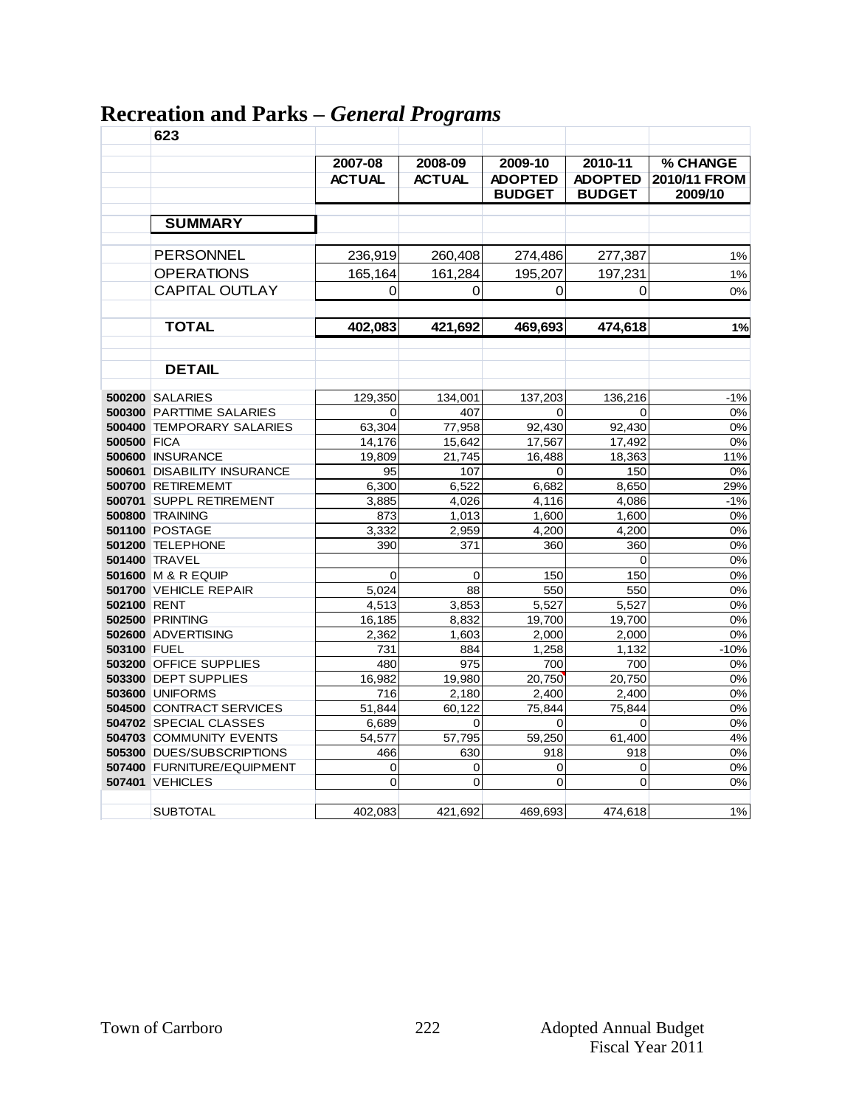|                    | 623                                            |               | $\cdots$ $\cdots$ $\circ$ $\circ$ $\cdots$ $\cdots$ |                 |                |              |
|--------------------|------------------------------------------------|---------------|-----------------------------------------------------|-----------------|----------------|--------------|
|                    |                                                | 2007-08       | 2008-09                                             | 2009-10         | 2010-11        | % CHANGE     |
|                    |                                                | <b>ACTUAL</b> | <b>ACTUAL</b>                                       | <b>ADOPTED</b>  | <b>ADOPTED</b> | 2010/11 FROM |
|                    |                                                |               |                                                     | <b>BUDGET</b>   | <b>BUDGET</b>  | 2009/10      |
|                    |                                                |               |                                                     |                 |                |              |
|                    | <b>SUMMARY</b>                                 |               |                                                     |                 |                |              |
|                    | <b>PERSONNEL</b>                               | 236,919       | 260,408                                             | 274,486         | 277,387        | 1%           |
|                    | <b>OPERATIONS</b>                              | 165,164       | 161,284                                             | 195,207         | 197,231        | 1%           |
|                    | <b>CAPITAL OUTLAY</b>                          | 0             | 0                                                   | 0               | 0              | 0%           |
|                    |                                                |               |                                                     |                 |                |              |
|                    |                                                |               |                                                     |                 |                |              |
|                    | <b>TOTAL</b>                                   | 402,083       | 421,692                                             | 469,693         | 474,618        | 1%           |
|                    |                                                |               |                                                     |                 |                |              |
|                    | <b>DETAIL</b>                                  |               |                                                     |                 |                |              |
|                    | <b>500200 SALARIES</b>                         | 129,350       | 134,001                                             | 137,203         | 136,216        | $-1%$        |
|                    | 500300 PARTTIME SALARIES                       | 0             | 407                                                 | 0               | 0              | 0%           |
|                    | <b>500400 TEMPORARY SALARIES</b>               | 63,304        | 77,958                                              | 92,430          | 92,430         | $0\%$        |
| <b>500500 FICA</b> |                                                | 14,176        | 15,642                                              | 17,567          | 17,492         | 0%           |
|                    | 500600 INSURANCE                               | 19,809        | 21,745                                              | 16,488          | 18,363         | 11%          |
|                    | 500601 DISABILITY INSURANCE                    | 95            | 107                                                 | 0               | 150            | 0%           |
|                    | 500700 RETIREMEMT                              | 6,300         | 6,522                                               | 6,682           | 8,650          | 29%          |
|                    | 500701 SUPPL RETIREMENT                        | 3,885         | 4,026                                               | 4,116           | 4.086          | $-1%$        |
|                    | <b>500800 TRAINING</b>                         | 873           | 1,013                                               | 1,600           | 1,600          | 0%           |
|                    | <b>501100 POSTAGE</b>                          | 3,332         | 2,959                                               | 4,200           | 4,200          | 0%           |
|                    | 501200 TELEPHONE                               | 390           | 371                                                 | 360             | 360            | 0%           |
|                    | <b>501400 TRAVEL</b>                           |               |                                                     |                 | 0              | 0%           |
|                    | <b>501600 M &amp; R EQUIP</b>                  | $\Omega$      | 0                                                   | 150             | 150            | 0%           |
|                    | 501700 VEHICLE REPAIR                          | 5,024         | 88                                                  | 550             | 550            | 0%           |
| 502100 RENT        |                                                | 4,513         | 3,853                                               | 5,527           | 5,527          | 0%           |
|                    | <b>502500 PRINTING</b>                         | 16,185        | 8,832                                               | 19,700          | 19,700         | 0%           |
|                    | 502600 ADVERTISING                             | 2,362         | 1,603                                               | 2,000           | 2,000          | 0%           |
| 503100 FUEL        |                                                | 731           | 884                                                 | 1.258           | 1,132          | $-10%$       |
|                    | 503200 OFFICE SUPPLIES<br>503300 DEPT SUPPLIES | 480<br>16,982 | 975<br>19,980                                       | 700             | 700<br>20,750  | 0%<br>0%     |
|                    | <b>503600 UNIFORMS</b>                         | 716           | 2,180                                               | 20,750<br>2,400 | 2,400          | 0%           |
|                    | <b>504500 CONTRACT SERVICES</b>                | 51,844        | 60,122                                              | 75,844          | 75,844         | 0%           |
|                    | 504702 SPECIAL CLASSES                         | 6,689         | 0                                                   | 0               | 0              | 0%           |
|                    | 504703 COMMUNITY EVENTS                        | 54,577        | 57,795                                              | 59,250          | 61,400         | 4%           |
|                    | 505300 DUES/SUBSCRIPTIONS                      | 466           | 630                                                 | 918             | 918            | 0%           |
|                    | 507400 FURNITURE/EQUIPMENT                     | 0             | 0                                                   | 0               | 0              | 0%           |
|                    | <b>507401 VEHICLES</b>                         | 0             | 0                                                   | 0               | 0              | 0%           |
|                    |                                                |               |                                                     |                 |                |              |
|                    | <b>SUBTOTAL</b>                                | 402,083       | 421,692                                             | 469,693         | 474,618        | $1\%$        |

# **Recreation and Parks –** *General Programs*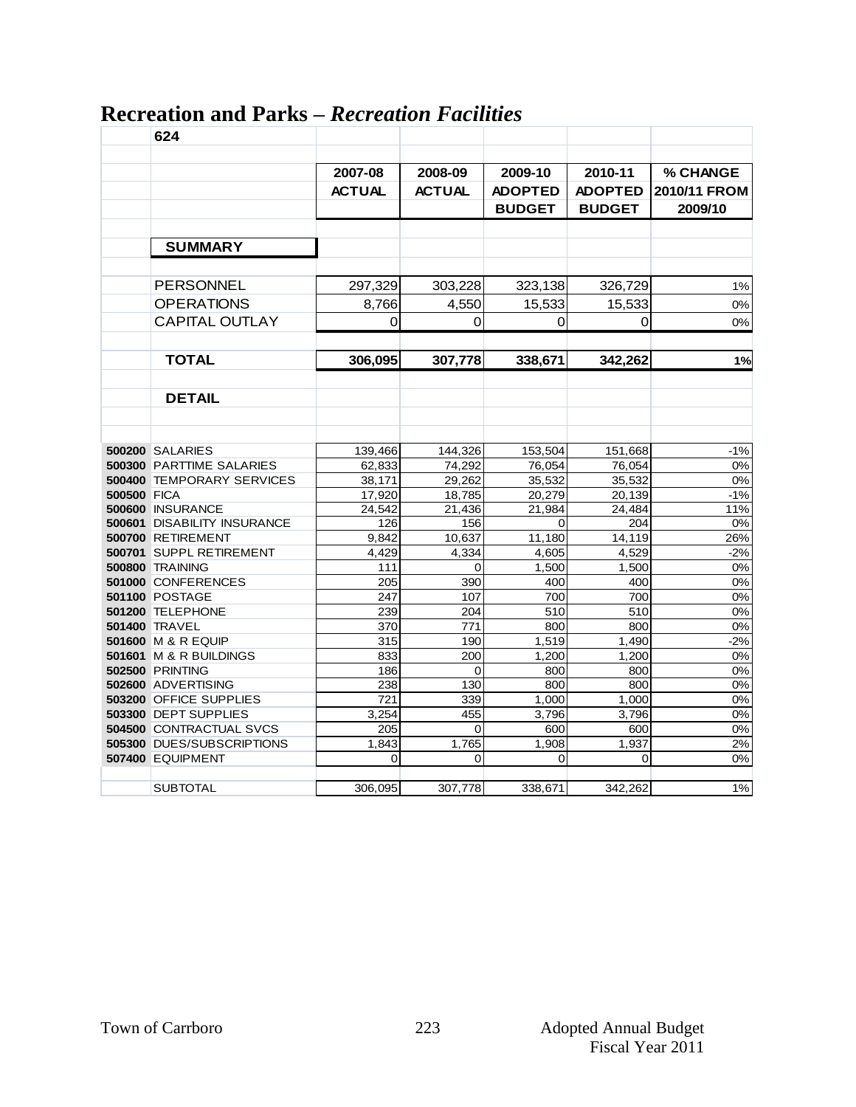|                    | 624                               |               |               |                |                |              |
|--------------------|-----------------------------------|---------------|---------------|----------------|----------------|--------------|
|                    |                                   |               |               |                |                |              |
|                    |                                   | 2007-08       | 2008-09       | 2009-10        | 2010-11        | % CHANGE     |
|                    |                                   | <b>ACTUAL</b> | <b>ACTUAL</b> | <b>ADOPTED</b> | <b>ADOPTED</b> | 2010/11 FROM |
|                    |                                   |               |               | <b>BUDGET</b>  | <b>BUDGET</b>  | 2009/10      |
|                    |                                   |               |               |                |                |              |
|                    | <b>SUMMARY</b>                    |               |               |                |                |              |
|                    |                                   |               |               |                |                |              |
|                    |                                   |               |               |                |                |              |
|                    | <b>PERSONNEL</b>                  | 297,329       | 303,228       | 323,138        | 326,729        | $1\%$        |
|                    | <b>OPERATIONS</b>                 | 8,766         | 4,550         | 15,533         | 15,533         | 0%           |
|                    | <b>CAPITAL OUTLAY</b>             | 0             | 0             | 0              | 0              | $0\%$        |
|                    |                                   |               |               |                |                |              |
|                    | <b>TOTAL</b>                      | 306,095       | 307,778       | 338,671        | 342,262        | 1%           |
|                    |                                   |               |               |                |                |              |
|                    | <b>DETAIL</b>                     |               |               |                |                |              |
|                    |                                   |               |               |                |                |              |
|                    |                                   |               |               |                |                |              |
|                    | <b>500200 SALARIES</b>            | 139,466       | 144,326       | 153,504        | 151,668        | $-1%$        |
|                    | <b>500300 PARTTIME SALARIES</b>   | 62,833        | 74,292        | 76,054         | 76,054         | $0\%$        |
|                    | 500400 TEMPORARY SERVICES         | 38,171        | 29,262        | 35,532         | 35,532         | 0%           |
| <b>500500 FICA</b> |                                   | 17,920        | 18,785        | 20,279         | 20,139         | $-1%$        |
|                    | 500600 INSURANCE                  | 24,542        | 21,436        | 21,984         | 24,484         | 11%          |
|                    | 500601 DISABILITY INSURANCE       | 126           | 156           | 0              | 204            | 0%           |
|                    | 500700 RETIREMENT                 | 9,842         | 10,637        | 11,180         | 14,119         | 26%          |
|                    | 500701 SUPPL RETIREMENT           | 4,429         | 4,334         | 4,605          | 4,529          | $-2%$        |
|                    | <b>500800 TRAINING</b>            | 111           | 0             | 1,500          | 1,500          | 0%           |
|                    | 501000 CONFERENCES                | 205           | 390           | 400            | 400            | 0%           |
|                    | <b>501100 POSTAGE</b>             | 247           | 107           | 700            | 700            | 0%           |
|                    | 501200 TELEPHONE                  | 239           | 204           | 510            | 510            | 0%           |
|                    | 501400 TRAVEL                     | 370           | 771           | 800            | 800            | 0%           |
|                    | <b>501600 M &amp; R EQUIP</b>     | 315           | 190           | 1.519          | 1.490          | $-2%$        |
|                    | <b>501601 M &amp; R BUILDINGS</b> | 833           | 200           | 1,200          | 1,200          | 0%           |
|                    | <b>502500 PRINTING</b>            | 186           | $\Omega$      | 800            | 800            | 0%           |
|                    | 502600 ADVERTISING                | 238           | 130           | 800            | 800            | 0%           |
|                    | 503200 OFFICE SUPPLIES            | 721           | 339           | 1,000          | 1,000          | 0%           |
|                    | 503300 DEPT SUPPLIES              | 3,254         | 455           | 3,796          | 3,796          | 0%           |
|                    | <b>504500 CONTRACTUAL SVCS</b>    | 205           | $\Omega$      | 600            | 600            | $0\%$        |
|                    | 505300 DUES/SUBSCRIPTIONS         | 1,843         | 1,765         | 1,908          | 1,937          | 2%           |
|                    | <b>507400 EQUIPMENT</b>           | $\Omega$      | $\Omega$      | 0              | 0              | 0%           |
|                    | <b>SUBTOTAL</b>                   | 306,095       | 307,778       | 338,671        | 342,262        | 1%           |
|                    |                                   |               |               |                |                |              |

# **Recreation and Parks –** *Recreation Facilities*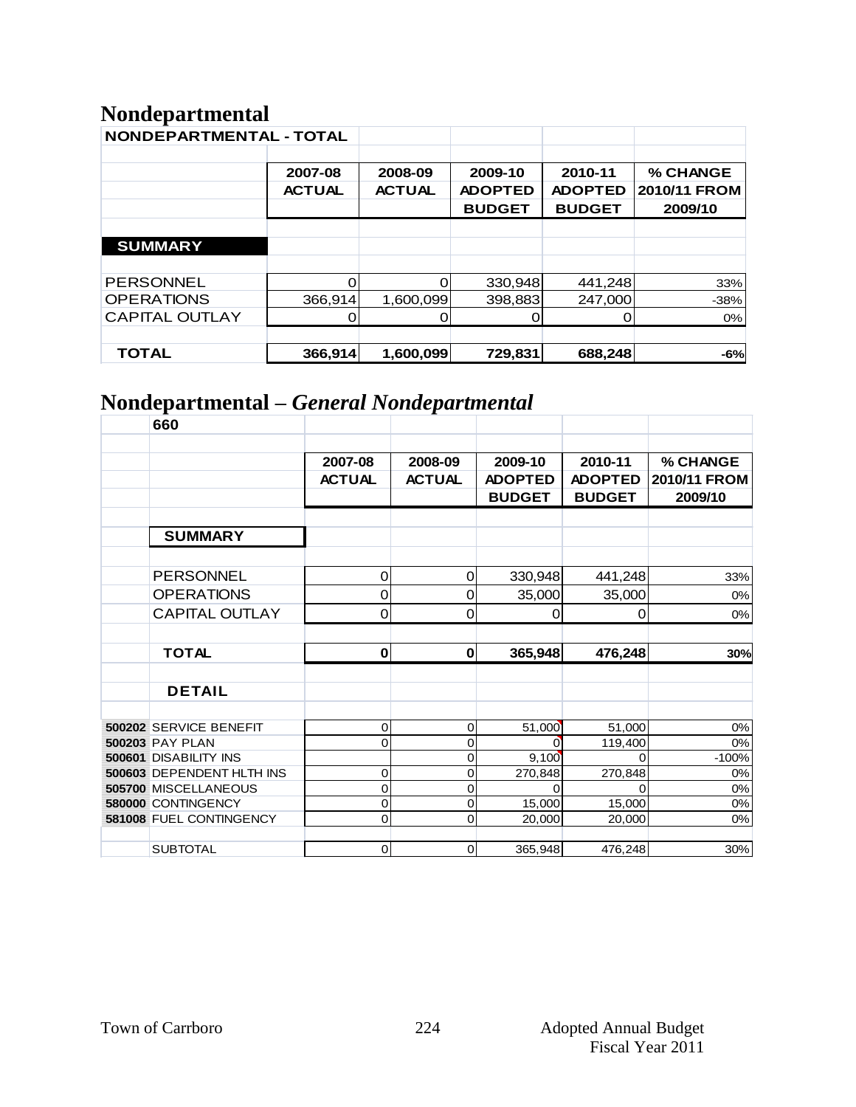# **Nondepartmental**

| <b>NONDEPARTMENTAL - TOTAL</b> |               |               |                |                |              |
|--------------------------------|---------------|---------------|----------------|----------------|--------------|
|                                | 2007-08       | 2008-09       | 2009-10        | 2010-11        | % CHANGE     |
|                                | <b>ACTUAL</b> | <b>ACTUAL</b> | <b>ADOPTED</b> | <b>ADOPTED</b> | 2010/11 FROM |
|                                |               |               | <b>BUDGET</b>  | <b>BUDGET</b>  | 2009/10      |
|                                |               |               |                |                |              |
| <b>SUMMARY</b>                 |               |               |                |                |              |
|                                |               |               |                |                |              |
| <b>PERSONNEL</b>               |               | Ο             | 330,948        | 441,248        | 33%          |
| <b>OPERATIONS</b>              | 366,914       | 1,600,099     | 398,883        | 247,000        | $-38%$       |
| <b>CAPITAL OUTLAY</b>          |               |               |                |                | 0%           |
|                                |               |               |                |                |              |
| TOTAL                          | 366,914       | 1,600,099     | 729,831        | 688,248        | $-6%$        |

# **Nondepartmental –** *General Nondepartmental*

| 660                          |               |               |                |                |              |
|------------------------------|---------------|---------------|----------------|----------------|--------------|
|                              |               |               |                |                |              |
|                              | 2007-08       | 2008-09       | 2009-10        | 2010-11        | % CHANGE     |
|                              | <b>ACTUAL</b> | <b>ACTUAL</b> | <b>ADOPTED</b> | <b>ADOPTED</b> | 2010/11 FROM |
|                              |               |               | <b>BUDGET</b>  | <b>BUDGET</b>  | 2009/10      |
|                              |               |               |                |                |              |
| <b>SUMMARY</b>               |               |               |                |                |              |
|                              |               |               |                |                |              |
| <b>PERSONNEL</b>             | $\mathbf 0$   | 0             | 330,948        | 441,248        | 33%          |
| <b>OPERATIONS</b>            | $\mathbf 0$   | 0             | 35,000         | 35,000         | 0%           |
| <b>CAPITAL OUTLAY</b>        | $\mathbf 0$   | 0             | 0              | 0              | $0\%$        |
|                              |               |               |                |                |              |
| <b>TOTAL</b>                 | $\bf{0}$      | $\bf{0}$      | 365,948        | 476,248        | 30%          |
|                              |               |               |                |                |              |
| <b>DETAIL</b>                |               |               |                |                |              |
|                              |               |               |                |                |              |
| 500202 SERVICE BENEFIT       | $\mathbf 0$   | 0             | 51,000         | 51,000         | $0\%$        |
| <b>500203 PAY PLAN</b>       | $\mathbf 0$   | 0             | 0 <sup>-</sup> | 119,400        | 0%           |
| <b>500601 DISABILITY INS</b> |               | 0             | 9,100          | $\Omega$       | $-100%$      |
| 500603 DEPENDENT HLTH INS    | $\mathbf 0$   | $\mathbf 0$   | 270,848        | 270,848        | 0%           |
| 505700 MISCELLANEOUS         | 0             | 0             |                | $\Omega$       | 0%           |
| 580000 CONTINGENCY           | $\mathbf 0$   | 0             | 15,000         | 15,000         | $0\%$        |
| 581008 FUEL CONTINGENCY      | $\mathsf 0$   | 0             | 20,000         | 20,000         | 0%           |
|                              |               |               |                |                |              |
| <b>SUBTOTAL</b>              | $\mathbf 0$   | 0             | 365,948        | 476,248        | 30%          |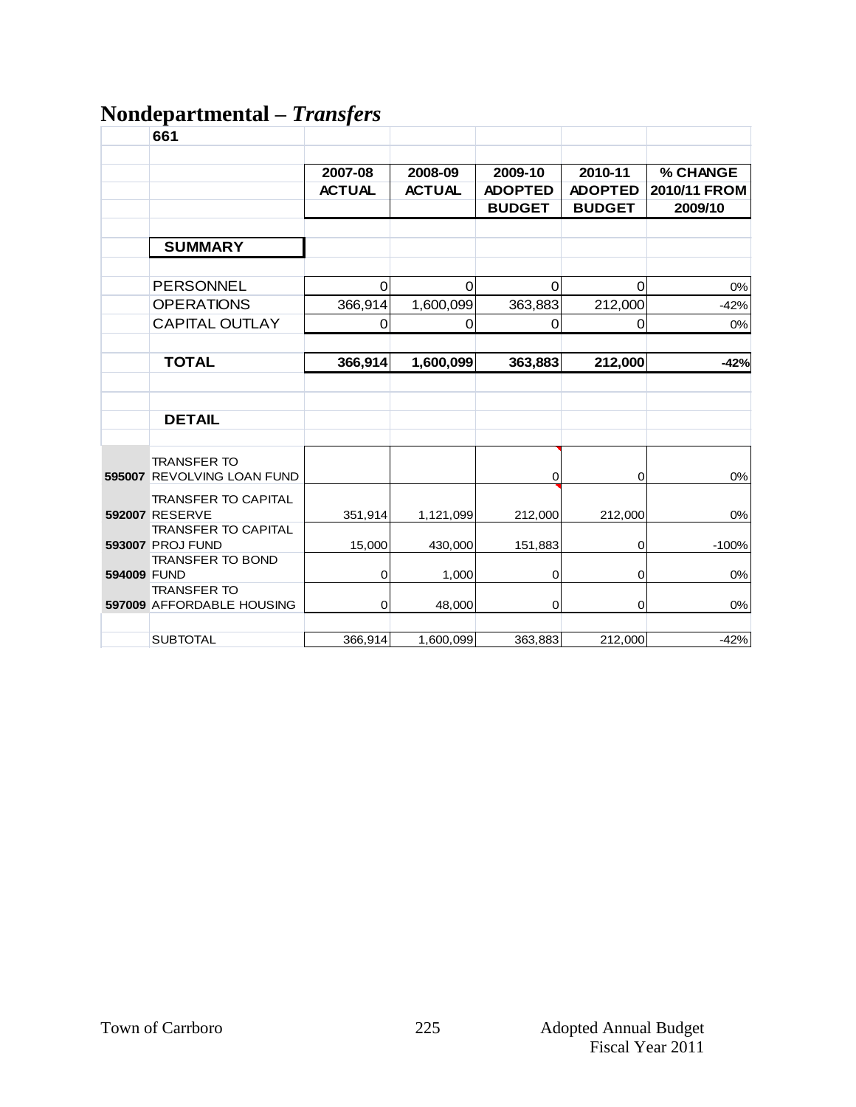# **Nondepartmental –** *Transfers*

|             | 661                                                   |                          |                          |                                            |                                            |                                     |
|-------------|-------------------------------------------------------|--------------------------|--------------------------|--------------------------------------------|--------------------------------------------|-------------------------------------|
|             |                                                       | 2007-08<br><b>ACTUAL</b> | 2008-09<br><b>ACTUAL</b> | 2009-10<br><b>ADOPTED</b><br><b>BUDGET</b> | 2010-11<br><b>ADOPTED</b><br><b>BUDGET</b> | % CHANGE<br>2010/11 FROM<br>2009/10 |
|             | <b>SUMMARY</b>                                        |                          |                          |                                            |                                            |                                     |
|             | <b>PERSONNEL</b><br><b>OPERATIONS</b>                 | 0<br>366,914             | 0<br>1,600,099           | 0<br>363,883                               | $\Omega$<br>212,000                        | 0%<br>$-42%$                        |
|             | <b>CAPITAL OUTLAY</b>                                 | $\mathbf 0$              | 0                        | 0                                          | $\mathbf 0$                                | 0%                                  |
|             | <b>TOTAL</b>                                          | 366,914                  | 1,600,099                | 363,883                                    | 212,000                                    | $-42%$                              |
|             |                                                       |                          |                          |                                            |                                            |                                     |
|             | <b>DETAIL</b>                                         |                          |                          |                                            |                                            |                                     |
|             | <b>TRANSFER TO</b><br>595007 REVOLVING LOAN FUND      |                          |                          | 0                                          | $\overline{O}$                             | $0\%$                               |
|             | <b>TRANSFER TO CAPITAL</b><br><b>592007 RESERVE</b>   | 351,914                  | 1,121,099                | 212,000                                    | 212,000                                    | 0%                                  |
|             | <b>TRANSFER TO CAPITAL</b><br><b>593007 PROJ FUND</b> | 15,000                   | 430,000                  | 151,883                                    | $\mathbf 0$                                | $-100%$                             |
| 594009 FUND | <b>TRANSFER TO BOND</b>                               | $\pmb{0}$                | 1,000                    | 0                                          | $\overline{O}$                             | 0%                                  |
|             | <b>TRANSFER TO</b><br>597009 AFFORDABLE HOUSING       | $\mathbf 0$              | 48,000                   | 0                                          | $\pmb{0}$                                  | $0\%$                               |
|             | <b>SUBTOTAL</b>                                       | 366,914                  | 1,600,099                | 363,883                                    | 212,000                                    | $-42%$                              |